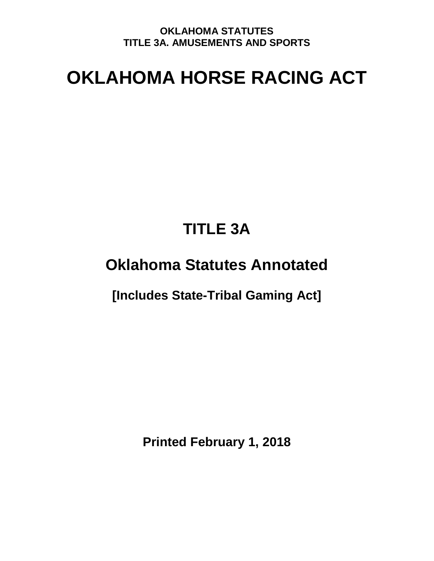# **OKLAHOMA HORSE RACING ACT**

# **TITLE 3A**

# **Oklahoma Statutes Annotated**

**[Includes State-Tribal Gaming Act]** 

**Printed February 1, 2018**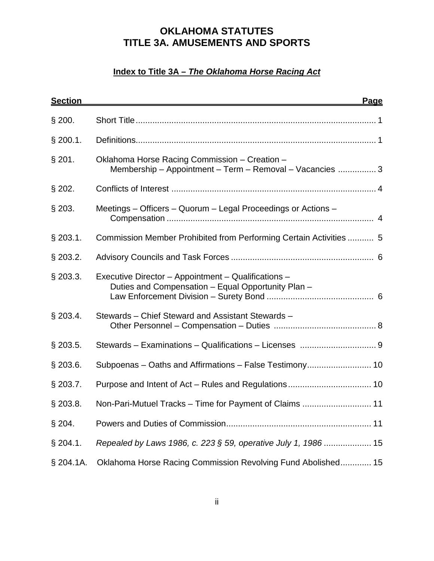# **Index to Title 3A – The Oklahoma Horse Racing Act**

| <b>Section</b> | <b>Page</b>                                                                                               |
|----------------|-----------------------------------------------------------------------------------------------------------|
| $§$ 200.       |                                                                                                           |
| $§$ 200.1.     |                                                                                                           |
| $§$ 201.       | Oklahoma Horse Racing Commission - Creation -<br>Membership - Appointment - Term - Removal - Vacancies  3 |
| $§$ 202.       |                                                                                                           |
| $§$ 203.       | Meetings – Officers – Quorum – Legal Proceedings or Actions –                                             |
| $§$ 203.1.     | Commission Member Prohibited from Performing Certain Activities  5                                        |
| \$203.2.       |                                                                                                           |
| $§$ 203.3.     | Executive Director - Appointment - Qualifications -<br>Duties and Compensation - Equal Opportunity Plan - |
| \$203.4.       | Stewards – Chief Steward and Assistant Stewards –                                                         |
| $§$ 203.5.     |                                                                                                           |
| $§$ 203.6.     | Subpoenas - Oaths and Affirmations - False Testimony 10                                                   |
| $§$ 203.7.     |                                                                                                           |
| $§$ 203.8.     | Non-Pari-Mutuel Tracks - Time for Payment of Claims  11                                                   |
| $§$ 204.       |                                                                                                           |
| $§$ 204.1.     | Repealed by Laws 1986, c. 223 § 59, operative July 1, 1986  15                                            |
| \$204.1A.      | Oklahoma Horse Racing Commission Revolving Fund Abolished 15                                              |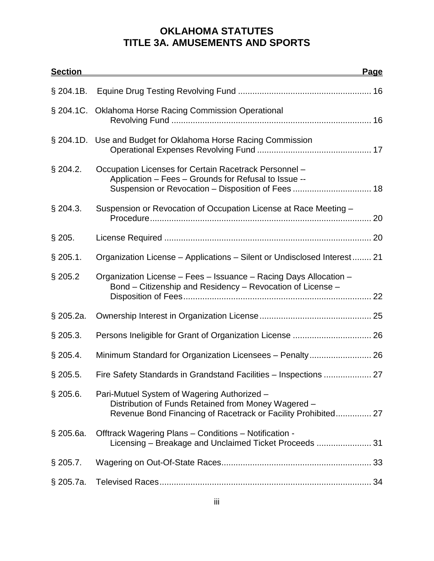| <b>Section</b> |                                                                                                                                                                     | <u>Page</u> |
|----------------|---------------------------------------------------------------------------------------------------------------------------------------------------------------------|-------------|
| $§$ 204.1B.    |                                                                                                                                                                     |             |
|                | § 204.1C. Oklahoma Horse Racing Commission Operational                                                                                                              |             |
|                | § 204.1D. Use and Budget for Oklahoma Horse Racing Commission                                                                                                       |             |
| \$204.2.       | Occupation Licenses for Certain Racetrack Personnel -<br>Application - Fees - Grounds for Refusal to Issue --                                                       |             |
| $§$ 204.3.     | Suspension or Revocation of Occupation License at Race Meeting -                                                                                                    |             |
| $§$ 205.       |                                                                                                                                                                     |             |
| $§$ 205.1.     | Organization License – Applications – Silent or Undisclosed Interest 21                                                                                             |             |
| $§$ 205.2      | Organization License - Fees - Issuance - Racing Days Allocation -<br>Bond – Citizenship and Residency – Revocation of License –                                     |             |
| § 205.2a.      |                                                                                                                                                                     |             |
| $\S$ 205.3.    |                                                                                                                                                                     |             |
| $§$ 205.4.     | Minimum Standard for Organization Licensees - Penalty 26                                                                                                            |             |
| $§$ 205.5.     | Fire Safety Standards in Grandstand Facilities – Inspections  27                                                                                                    |             |
| \$205.6.       | Pari-Mutuel System of Wagering Authorized -<br>Distribution of Funds Retained from Money Wagered -<br>Revenue Bond Financing of Racetrack or Facility Prohibited 27 |             |
| $\S$ 205.6a.   | Offtrack Wagering Plans - Conditions - Notification -<br>Licensing - Breakage and Unclaimed Ticket Proceeds  31                                                     |             |
| $\S$ 205.7.    |                                                                                                                                                                     |             |
| § 205.7a.      |                                                                                                                                                                     |             |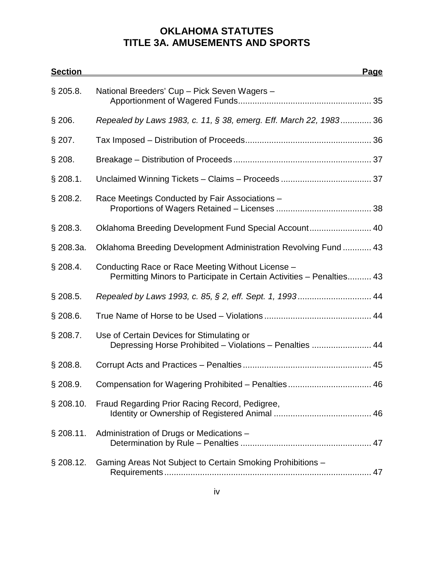| <b>Section</b> |                                                                                                                            | <u>Page</u> |
|----------------|----------------------------------------------------------------------------------------------------------------------------|-------------|
| $§$ 205.8.     | National Breeders' Cup - Pick Seven Wagers -                                                                               |             |
| $§$ 206.       | Repealed by Laws 1983, c. 11, § 38, emerg. Eff. March 22, 1983 36                                                          |             |
| $§$ 207.       |                                                                                                                            |             |
| $§$ 208.       |                                                                                                                            |             |
| $§$ 208.1.     |                                                                                                                            |             |
| $§$ 208.2.     | Race Meetings Conducted by Fair Associations -                                                                             |             |
| $\S$ 208.3.    | Oklahoma Breeding Development Fund Special Account 40                                                                      |             |
| § 208.3a.      | Oklahoma Breeding Development Administration Revolving Fund  43                                                            |             |
| $§$ 208.4.     | Conducting Race or Race Meeting Without License -<br>Permitting Minors to Participate in Certain Activities - Penalties 43 |             |
| $§$ 208.5.     | Repealed by Laws 1993, c. 85, § 2, eff. Sept. 1, 1993 44                                                                   |             |
| $§$ 208.6.     |                                                                                                                            |             |
| $§$ 208.7.     | Use of Certain Devices for Stimulating or<br>Depressing Horse Prohibited - Violations - Penalties  44                      |             |
| \$208.8.       |                                                                                                                            |             |
| $§$ 208.9.     | Compensation for Wagering Prohibited - Penalties 46                                                                        |             |
| \$208.10.      | Fraud Regarding Prior Racing Record, Pedigree,                                                                             |             |
| \$208.11.      | Administration of Drugs or Medications -                                                                                   |             |
| \$208.12.      | Gaming Areas Not Subject to Certain Smoking Prohibitions -                                                                 |             |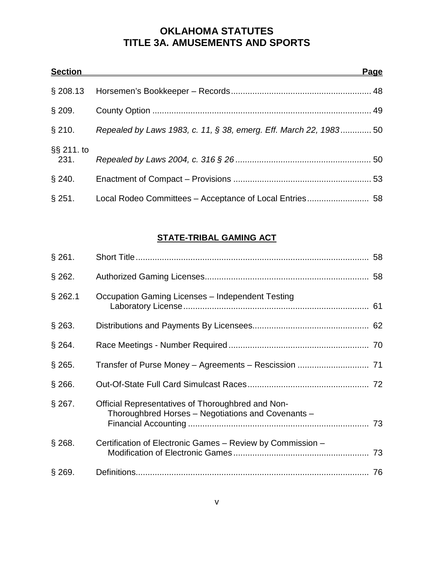| <b>Section</b>     |                                                                   | <u>Page</u> |
|--------------------|-------------------------------------------------------------------|-------------|
| \$208.13           |                                                                   |             |
| $\S$ 209.          |                                                                   |             |
| $§$ 210.           | Repealed by Laws 1983, c. 11, § 38, emerg. Eff. March 22, 1983 50 |             |
| §§ 211. to<br>231. |                                                                   |             |
| $§$ 240.           |                                                                   |             |
| $§$ 251.           |                                                                   |             |

# **STATE-TRIBAL GAMING ACT**

| $§$ 261.  |                                                                                                         |  |
|-----------|---------------------------------------------------------------------------------------------------------|--|
| $§$ 262.  |                                                                                                         |  |
| $§$ 262.1 | Occupation Gaming Licenses - Independent Testing                                                        |  |
| $§$ 263.  |                                                                                                         |  |
| $§$ 264.  |                                                                                                         |  |
| $§$ 265.  |                                                                                                         |  |
| $§$ 266.  |                                                                                                         |  |
| $§$ 267.  | Official Representatives of Thoroughbred and Non-<br>Thoroughbred Horses – Negotiations and Covenants – |  |
| $§$ 268.  | Certification of Electronic Games - Review by Commission -                                              |  |
| $§$ 269.  |                                                                                                         |  |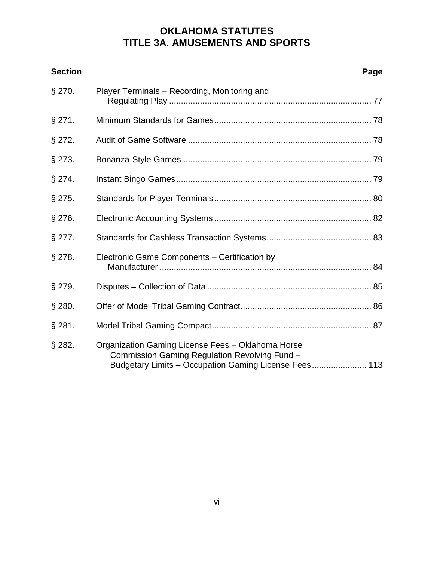| <b>Section</b> |                                                                                                                                                             | <b>Page</b> |
|----------------|-------------------------------------------------------------------------------------------------------------------------------------------------------------|-------------|
| $§$ 270.       | Player Terminals - Recording, Monitoring and                                                                                                                |             |
| $§$ 271.       |                                                                                                                                                             |             |
| $§$ 272.       |                                                                                                                                                             |             |
| $§$ 273.       |                                                                                                                                                             |             |
| $§$ 274.       |                                                                                                                                                             |             |
| $§$ 275.       |                                                                                                                                                             |             |
| $§$ 276.       |                                                                                                                                                             |             |
| $§$ 277.       |                                                                                                                                                             |             |
| $§$ 278.       | Electronic Game Components – Certification by                                                                                                               |             |
| $§$ 279.       |                                                                                                                                                             |             |
| $§$ 280.       |                                                                                                                                                             |             |
| $§$ 281.       |                                                                                                                                                             |             |
| $§$ 282.       | Organization Gaming License Fees - Oklahoma Horse<br>Commission Gaming Regulation Revolving Fund -<br>Budgetary Limits - Occupation Gaming License Fees 113 |             |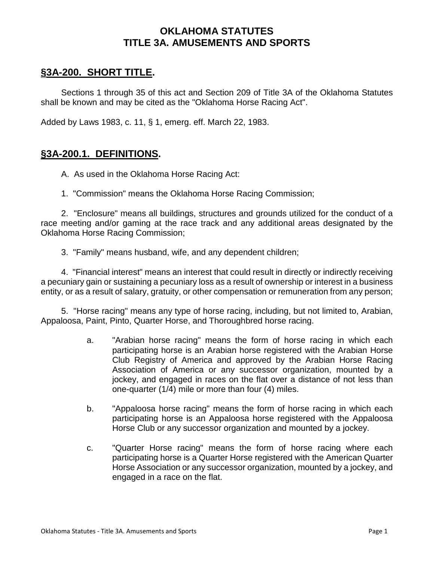# **§3A-200. SHORT TITLE.**

Sections 1 through 35 of this act and Section 209 of Title 3A of the Oklahoma Statutes shall be known and may be cited as the "Oklahoma Horse Racing Act".

Added by Laws 1983, c. 11, § 1, emerg. eff. March 22, 1983.

#### **§3A-200.1. DEFINITIONS.**

A. As used in the Oklahoma Horse Racing Act:

1. "Commission" means the Oklahoma Horse Racing Commission;

2. "Enclosure" means all buildings, structures and grounds utilized for the conduct of a race meeting and/or gaming at the race track and any additional areas designated by the Oklahoma Horse Racing Commission;

3. "Family" means husband, wife, and any dependent children;

4. "Financial interest" means an interest that could result in directly or indirectly receiving a pecuniary gain or sustaining a pecuniary loss as a result of ownership or interest in a business entity, or as a result of salary, gratuity, or other compensation or remuneration from any person;

5. "Horse racing" means any type of horse racing, including, but not limited to, Arabian, Appaloosa, Paint, Pinto, Quarter Horse, and Thoroughbred horse racing.

- a. "Arabian horse racing" means the form of horse racing in which each participating horse is an Arabian horse registered with the Arabian Horse Club Registry of America and approved by the Arabian Horse Racing Association of America or any successor organization, mounted by a jockey, and engaged in races on the flat over a distance of not less than one-quarter (1/4) mile or more than four (4) miles.
- b. "Appaloosa horse racing" means the form of horse racing in which each participating horse is an Appaloosa horse registered with the Appaloosa Horse Club or any successor organization and mounted by a jockey.
- c. "Quarter Horse racing" means the form of horse racing where each participating horse is a Quarter Horse registered with the American Quarter Horse Association or any successor organization, mounted by a jockey, and engaged in a race on the flat.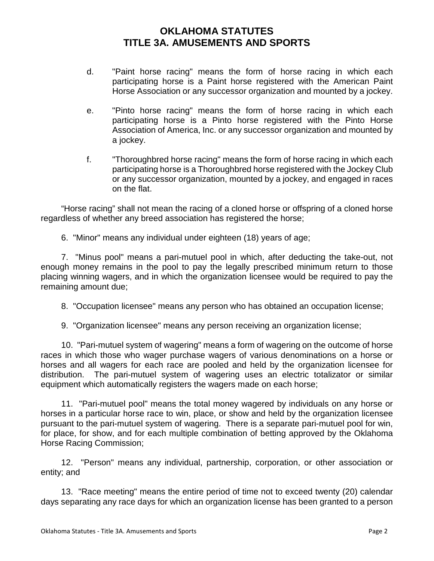- d. "Paint horse racing" means the form of horse racing in which each participating horse is a Paint horse registered with the American Paint Horse Association or any successor organization and mounted by a jockey.
- e. "Pinto horse racing" means the form of horse racing in which each participating horse is a Pinto horse registered with the Pinto Horse Association of America, Inc. or any successor organization and mounted by a jockey.
- f. "Thoroughbred horse racing" means the form of horse racing in which each participating horse is a Thoroughbred horse registered with the Jockey Club or any successor organization, mounted by a jockey, and engaged in races on the flat.

 "Horse racing" shall not mean the racing of a cloned horse or offspring of a cloned horse regardless of whether any breed association has registered the horse;

6. "Minor" means any individual under eighteen (18) years of age;

7. "Minus pool" means a pari-mutuel pool in which, after deducting the take-out, not enough money remains in the pool to pay the legally prescribed minimum return to those placing winning wagers, and in which the organization licensee would be required to pay the remaining amount due;

8. "Occupation licensee" means any person who has obtained an occupation license;

9. "Organization licensee" means any person receiving an organization license;

10. "Pari-mutuel system of wagering" means a form of wagering on the outcome of horse races in which those who wager purchase wagers of various denominations on a horse or horses and all wagers for each race are pooled and held by the organization licensee for distribution. The pari-mutuel system of wagering uses an electric totalizator or similar equipment which automatically registers the wagers made on each horse;

11. "Pari-mutuel pool" means the total money wagered by individuals on any horse or horses in a particular horse race to win, place, or show and held by the organization licensee pursuant to the pari-mutuel system of wagering. There is a separate pari-mutuel pool for win, for place, for show, and for each multiple combination of betting approved by the Oklahoma Horse Racing Commission;

12. "Person" means any individual, partnership, corporation, or other association or entity; and

13. "Race meeting" means the entire period of time not to exceed twenty (20) calendar days separating any race days for which an organization license has been granted to a person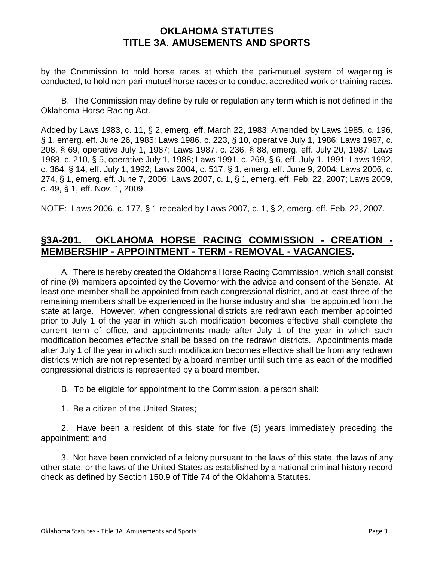by the Commission to hold horse races at which the pari-mutuel system of wagering is conducted, to hold non-pari-mutuel horse races or to conduct accredited work or training races.

B. The Commission may define by rule or regulation any term which is not defined in the Oklahoma Horse Racing Act.

Added by Laws 1983, c. 11, § 2, emerg. eff. March 22, 1983; Amended by Laws 1985, c. 196, § 1, emerg. eff. June 26, 1985; Laws 1986, c. 223, § 10, operative July 1, 1986; Laws 1987, c. 208, § 69, operative July 1, 1987; Laws 1987, c. 236, § 88, emerg. eff. July 20, 1987; Laws 1988, c. 210, § 5, operative July 1, 1988; Laws 1991, c. 269, § 6, eff. July 1, 1991; Laws 1992, c. 364, § 14, eff. July 1, 1992; Laws 2004, c. 517, § 1, emerg. eff. June 9, 2004; Laws 2006, c. 274, § 1, emerg. eff. June 7, 2006; Laws 2007, c. 1, § 1, emerg. eff. Feb. 22, 2007; Laws 2009, c. 49, § 1, eff. Nov. 1, 2009.

NOTE: Laws 2006, c. 177, § 1 repealed by Laws 2007, c. 1, § 2, emerg. eff. Feb. 22, 2007.

# **§3A-201. OKLAHOMA HORSE RACING COMMISSION - CREATION - MEMBERSHIP - APPOINTMENT - TERM - REMOVAL - VACANCIES.**

A. There is hereby created the Oklahoma Horse Racing Commission, which shall consist of nine (9) members appointed by the Governor with the advice and consent of the Senate. At least one member shall be appointed from each congressional district, and at least three of the remaining members shall be experienced in the horse industry and shall be appointed from the state at large. However, when congressional districts are redrawn each member appointed prior to July 1 of the year in which such modification becomes effective shall complete the current term of office, and appointments made after July 1 of the year in which such modification becomes effective shall be based on the redrawn districts. Appointments made after July 1 of the year in which such modification becomes effective shall be from any redrawn districts which are not represented by a board member until such time as each of the modified congressional districts is represented by a board member.

B. To be eligible for appointment to the Commission, a person shall:

1. Be a citizen of the United States;

2. Have been a resident of this state for five (5) years immediately preceding the appointment; and

3. Not have been convicted of a felony pursuant to the laws of this state, the laws of any other state, or the laws of the United States as established by a national criminal history record check as defined by Section 150.9 of Title 74 of the Oklahoma Statutes.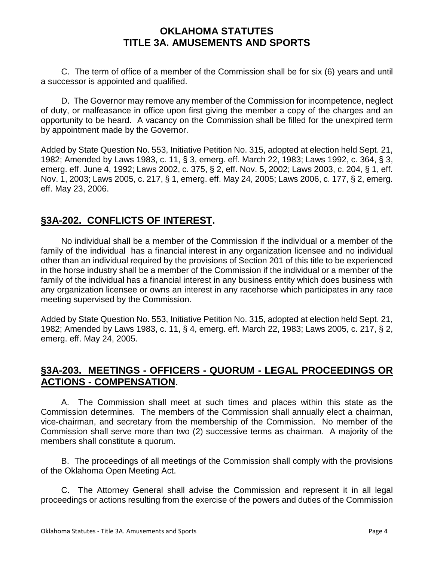C. The term of office of a member of the Commission shall be for six (6) years and until a successor is appointed and qualified.

D. The Governor may remove any member of the Commission for incompetence, neglect of duty, or malfeasance in office upon first giving the member a copy of the charges and an opportunity to be heard. A vacancy on the Commission shall be filled for the unexpired term by appointment made by the Governor.

Added by State Question No. 553, Initiative Petition No. 315, adopted at election held Sept. 21, 1982; Amended by Laws 1983, c. 11, § 3, emerg. eff. March 22, 1983; Laws 1992, c. 364, § 3, emerg. eff. June 4, 1992; Laws 2002, c. 375, § 2, eff. Nov. 5, 2002; Laws 2003, c. 204, § 1, eff. Nov. 1, 2003; Laws 2005, c. 217, § 1, emerg. eff. May 24, 2005; Laws 2006, c. 177, § 2, emerg. eff. May 23, 2006.

# **§3A-202. CONFLICTS OF INTEREST.**

No individual shall be a member of the Commission if the individual or a member of the family of the individual has a financial interest in any organization licensee and no individual other than an individual required by the provisions of Section 201 of this title to be experienced in the horse industry shall be a member of the Commission if the individual or a member of the family of the individual has a financial interest in any business entity which does business with any organization licensee or owns an interest in any racehorse which participates in any race meeting supervised by the Commission.

Added by State Question No. 553, Initiative Petition No. 315, adopted at election held Sept. 21, 1982; Amended by Laws 1983, c. 11, § 4, emerg. eff. March 22, 1983; Laws 2005, c. 217, § 2, emerg. eff. May 24, 2005.

# **§3A-203. MEETINGS - OFFICERS - QUORUM - LEGAL PROCEEDINGS OR ACTIONS - COMPENSATION.**

A. The Commission shall meet at such times and places within this state as the Commission determines. The members of the Commission shall annually elect a chairman, vice-chairman, and secretary from the membership of the Commission. No member of the Commission shall serve more than two (2) successive terms as chairman. A majority of the members shall constitute a quorum.

B. The proceedings of all meetings of the Commission shall comply with the provisions of the Oklahoma Open Meeting Act.

C. The Attorney General shall advise the Commission and represent it in all legal proceedings or actions resulting from the exercise of the powers and duties of the Commission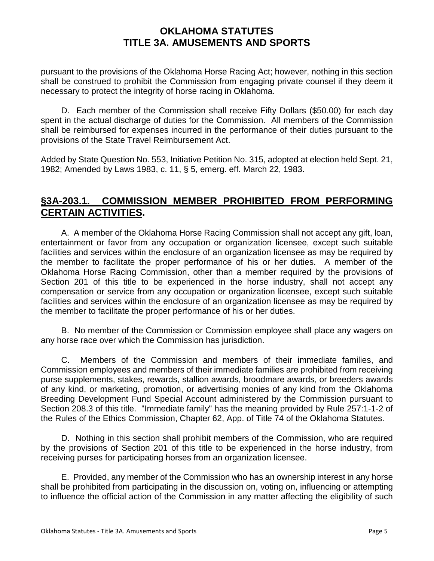pursuant to the provisions of the Oklahoma Horse Racing Act; however, nothing in this section shall be construed to prohibit the Commission from engaging private counsel if they deem it necessary to protect the integrity of horse racing in Oklahoma.

D. Each member of the Commission shall receive Fifty Dollars (\$50.00) for each day spent in the actual discharge of duties for the Commission. All members of the Commission shall be reimbursed for expenses incurred in the performance of their duties pursuant to the provisions of the State Travel Reimbursement Act.

Added by State Question No. 553, Initiative Petition No. 315, adopted at election held Sept. 21, 1982; Amended by Laws 1983, c. 11, § 5, emerg. eff. March 22, 1983.

# **§3A-203.1. COMMISSION MEMBER PROHIBITED FROM PERFORMING CERTAIN ACTIVITIES.**

A. A member of the Oklahoma Horse Racing Commission shall not accept any gift, loan, entertainment or favor from any occupation or organization licensee, except such suitable facilities and services within the enclosure of an organization licensee as may be required by the member to facilitate the proper performance of his or her duties. A member of the Oklahoma Horse Racing Commission, other than a member required by the provisions of Section 201 of this title to be experienced in the horse industry, shall not accept any compensation or service from any occupation or organization licensee, except such suitable facilities and services within the enclosure of an organization licensee as may be required by the member to facilitate the proper performance of his or her duties.

B. No member of the Commission or Commission employee shall place any wagers on any horse race over which the Commission has jurisdiction.

C. Members of the Commission and members of their immediate families, and Commission employees and members of their immediate families are prohibited from receiving purse supplements, stakes, rewards, stallion awards, broodmare awards, or breeders awards of any kind, or marketing, promotion, or advertising monies of any kind from the Oklahoma Breeding Development Fund Special Account administered by the Commission pursuant to Section 208.3 of this title. "Immediate family" has the meaning provided by Rule 257:1-1-2 of the Rules of the Ethics Commission, Chapter 62, App. of Title 74 of the Oklahoma Statutes.

D. Nothing in this section shall prohibit members of the Commission, who are required by the provisions of Section 201 of this title to be experienced in the horse industry, from receiving purses for participating horses from an organization licensee.

E. Provided, any member of the Commission who has an ownership interest in any horse shall be prohibited from participating in the discussion on, voting on, influencing or attempting to influence the official action of the Commission in any matter affecting the eligibility of such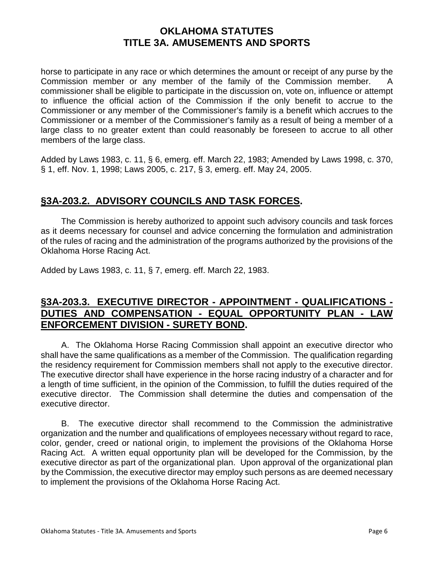horse to participate in any race or which determines the amount or receipt of any purse by the Commission member or any member of the family of the Commission member. A commissioner shall be eligible to participate in the discussion on, vote on, influence or attempt to influence the official action of the Commission if the only benefit to accrue to the Commissioner or any member of the Commissioner's family is a benefit which accrues to the Commissioner or a member of the Commissioner's family as a result of being a member of a large class to no greater extent than could reasonably be foreseen to accrue to all other members of the large class.

Added by Laws 1983, c. 11, § 6, emerg. eff. March 22, 1983; Amended by Laws 1998, c. 370, § 1, eff. Nov. 1, 1998; Laws 2005, c. 217, § 3, emerg. eff. May 24, 2005.

# **§3A-203.2. ADVISORY COUNCILS AND TASK FORCES.**

The Commission is hereby authorized to appoint such advisory councils and task forces as it deems necessary for counsel and advice concerning the formulation and administration of the rules of racing and the administration of the programs authorized by the provisions of the Oklahoma Horse Racing Act.

Added by Laws 1983, c. 11, § 7, emerg. eff. March 22, 1983.

# **§3A-203.3. EXECUTIVE DIRECTOR - APPOINTMENT - QUALIFICATIONS - DUTIES AND COMPENSATION - EQUAL OPPORTUNITY PLAN - LAW ENFORCEMENT DIVISION - SURETY BOND.**

A. The Oklahoma Horse Racing Commission shall appoint an executive director who shall have the same qualifications as a member of the Commission. The qualification regarding the residency requirement for Commission members shall not apply to the executive director. The executive director shall have experience in the horse racing industry of a character and for a length of time sufficient, in the opinion of the Commission, to fulfill the duties required of the executive director. The Commission shall determine the duties and compensation of the executive director.

B. The executive director shall recommend to the Commission the administrative organization and the number and qualifications of employees necessary without regard to race, color, gender, creed or national origin, to implement the provisions of the Oklahoma Horse Racing Act. A written equal opportunity plan will be developed for the Commission, by the executive director as part of the organizational plan. Upon approval of the organizational plan by the Commission, the executive director may employ such persons as are deemed necessary to implement the provisions of the Oklahoma Horse Racing Act.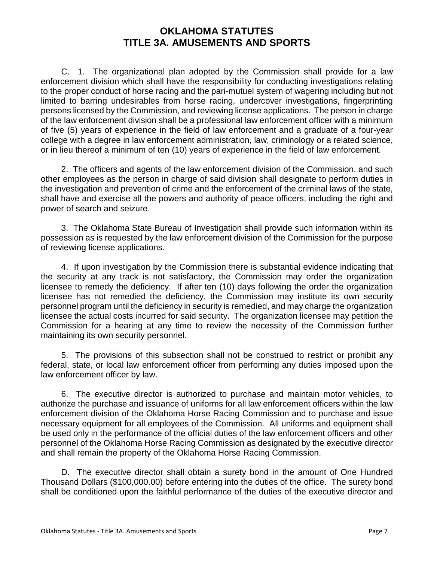C. 1. The organizational plan adopted by the Commission shall provide for a law enforcement division which shall have the responsibility for conducting investigations relating to the proper conduct of horse racing and the pari-mutuel system of wagering including but not limited to barring undesirables from horse racing, undercover investigations, fingerprinting persons licensed by the Commission, and reviewing license applications. The person in charge of the law enforcement division shall be a professional law enforcement officer with a minimum of five (5) years of experience in the field of law enforcement and a graduate of a four-year college with a degree in law enforcement administration, law, criminology or a related science, or in lieu thereof a minimum of ten (10) years of experience in the field of law enforcement.

2. The officers and agents of the law enforcement division of the Commission, and such other employees as the person in charge of said division shall designate to perform duties in the investigation and prevention of crime and the enforcement of the criminal laws of the state, shall have and exercise all the powers and authority of peace officers, including the right and power of search and seizure.

3. The Oklahoma State Bureau of Investigation shall provide such information within its possession as is requested by the law enforcement division of the Commission for the purpose of reviewing license applications.

4. If upon investigation by the Commission there is substantial evidence indicating that the security at any track is not satisfactory, the Commission may order the organization licensee to remedy the deficiency. If after ten (10) days following the order the organization licensee has not remedied the deficiency, the Commission may institute its own security personnel program until the deficiency in security is remedied, and may charge the organization licensee the actual costs incurred for said security. The organization licensee may petition the Commission for a hearing at any time to review the necessity of the Commission further maintaining its own security personnel.

5. The provisions of this subsection shall not be construed to restrict or prohibit any federal, state, or local law enforcement officer from performing any duties imposed upon the law enforcement officer by law.

6. The executive director is authorized to purchase and maintain motor vehicles, to authorize the purchase and issuance of uniforms for all law enforcement officers within the law enforcement division of the Oklahoma Horse Racing Commission and to purchase and issue necessary equipment for all employees of the Commission. All uniforms and equipment shall be used only in the performance of the official duties of the law enforcement officers and other personnel of the Oklahoma Horse Racing Commission as designated by the executive director and shall remain the property of the Oklahoma Horse Racing Commission.

D. The executive director shall obtain a surety bond in the amount of One Hundred Thousand Dollars (\$100,000.00) before entering into the duties of the office. The surety bond shall be conditioned upon the faithful performance of the duties of the executive director and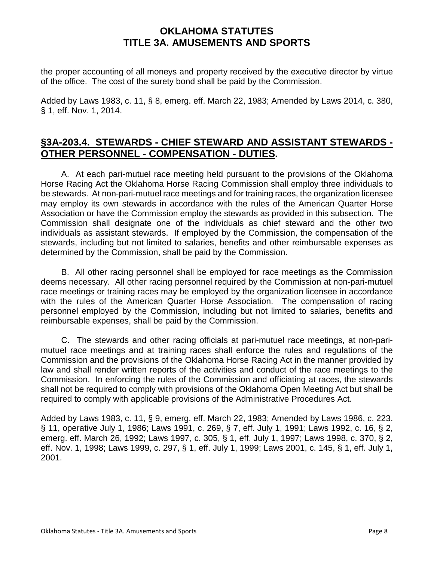the proper accounting of all moneys and property received by the executive director by virtue of the office. The cost of the surety bond shall be paid by the Commission.

Added by Laws 1983, c. 11, § 8, emerg. eff. March 22, 1983; Amended by Laws 2014, c. 380, § 1, eff. Nov. 1, 2014.

# **§3A-203.4. STEWARDS - CHIEF STEWARD AND ASSISTANT STEWARDS - OTHER PERSONNEL - COMPENSATION - DUTIES.**

A. At each pari-mutuel race meeting held pursuant to the provisions of the Oklahoma Horse Racing Act the Oklahoma Horse Racing Commission shall employ three individuals to be stewards. At non-pari-mutuel race meetings and for training races, the organization licensee may employ its own stewards in accordance with the rules of the American Quarter Horse Association or have the Commission employ the stewards as provided in this subsection. The Commission shall designate one of the individuals as chief steward and the other two individuals as assistant stewards. If employed by the Commission, the compensation of the stewards, including but not limited to salaries, benefits and other reimbursable expenses as determined by the Commission, shall be paid by the Commission.

B. All other racing personnel shall be employed for race meetings as the Commission deems necessary. All other racing personnel required by the Commission at non-pari-mutuel race meetings or training races may be employed by the organization licensee in accordance with the rules of the American Quarter Horse Association. The compensation of racing personnel employed by the Commission, including but not limited to salaries, benefits and reimbursable expenses, shall be paid by the Commission.

C. The stewards and other racing officials at pari-mutuel race meetings, at non-parimutuel race meetings and at training races shall enforce the rules and regulations of the Commission and the provisions of the Oklahoma Horse Racing Act in the manner provided by law and shall render written reports of the activities and conduct of the race meetings to the Commission. In enforcing the rules of the Commission and officiating at races, the stewards shall not be required to comply with provisions of the Oklahoma Open Meeting Act but shall be required to comply with applicable provisions of the Administrative Procedures Act.

Added by Laws 1983, c. 11, § 9, emerg. eff. March 22, 1983; Amended by Laws 1986, c. 223, § 11, operative July 1, 1986; Laws 1991, c. 269, § 7, eff. July 1, 1991; Laws 1992, c. 16, § 2, emerg. eff. March 26, 1992; Laws 1997, c. 305, § 1, eff. July 1, 1997; Laws 1998, c. 370, § 2, eff. Nov. 1, 1998; Laws 1999, c. 297, § 1, eff. July 1, 1999; Laws 2001, c. 145, § 1, eff. July 1, 2001.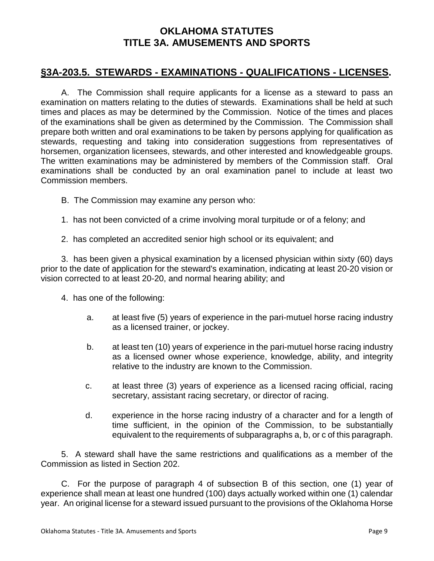# **§3A-203.5. STEWARDS - EXAMINATIONS - QUALIFICATIONS - LICENSES.**

A. The Commission shall require applicants for a license as a steward to pass an examination on matters relating to the duties of stewards. Examinations shall be held at such times and places as may be determined by the Commission. Notice of the times and places of the examinations shall be given as determined by the Commission. The Commission shall prepare both written and oral examinations to be taken by persons applying for qualification as stewards, requesting and taking into consideration suggestions from representatives of horsemen, organization licensees, stewards, and other interested and knowledgeable groups. The written examinations may be administered by members of the Commission staff. Oral examinations shall be conducted by an oral examination panel to include at least two Commission members.

- B. The Commission may examine any person who:
- 1. has not been convicted of a crime involving moral turpitude or of a felony; and
- 2. has completed an accredited senior high school or its equivalent; and

3. has been given a physical examination by a licensed physician within sixty (60) days prior to the date of application for the steward's examination, indicating at least 20-20 vision or vision corrected to at least 20-20, and normal hearing ability; and

- 4. has one of the following:
	- a. at least five (5) years of experience in the pari-mutuel horse racing industry as a licensed trainer, or jockey.
	- b. at least ten (10) years of experience in the pari-mutuel horse racing industry as a licensed owner whose experience, knowledge, ability, and integrity relative to the industry are known to the Commission.
	- c. at least three (3) years of experience as a licensed racing official, racing secretary, assistant racing secretary, or director of racing.
	- d. experience in the horse racing industry of a character and for a length of time sufficient, in the opinion of the Commission, to be substantially equivalent to the requirements of subparagraphs a, b, or c of this paragraph.

5. A steward shall have the same restrictions and qualifications as a member of the Commission as listed in Section 202.

C. For the purpose of paragraph 4 of subsection B of this section, one (1) year of experience shall mean at least one hundred (100) days actually worked within one (1) calendar year. An original license for a steward issued pursuant to the provisions of the Oklahoma Horse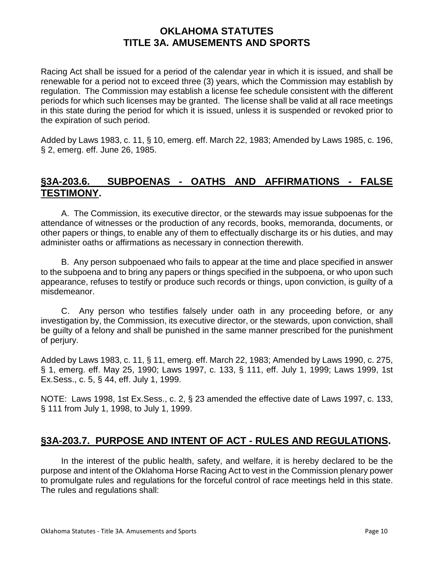Racing Act shall be issued for a period of the calendar year in which it is issued, and shall be renewable for a period not to exceed three (3) years, which the Commission may establish by regulation. The Commission may establish a license fee schedule consistent with the different periods for which such licenses may be granted. The license shall be valid at all race meetings in this state during the period for which it is issued, unless it is suspended or revoked prior to the expiration of such period.

Added by Laws 1983, c. 11, § 10, emerg. eff. March 22, 1983; Amended by Laws 1985, c. 196, § 2, emerg. eff. June 26, 1985.

# **§3A-203.6. SUBPOENAS - OATHS AND AFFIRMATIONS - FALSE TESTIMONY.**

A. The Commission, its executive director, or the stewards may issue subpoenas for the attendance of witnesses or the production of any records, books, memoranda, documents, or other papers or things, to enable any of them to effectually discharge its or his duties, and may administer oaths or affirmations as necessary in connection therewith.

B. Any person subpoenaed who fails to appear at the time and place specified in answer to the subpoena and to bring any papers or things specified in the subpoena, or who upon such appearance, refuses to testify or produce such records or things, upon conviction, is guilty of a misdemeanor.

C. Any person who testifies falsely under oath in any proceeding before, or any investigation by, the Commission, its executive director, or the stewards, upon conviction, shall be guilty of a felony and shall be punished in the same manner prescribed for the punishment of perjury.

Added by Laws 1983, c. 11, § 11, emerg. eff. March 22, 1983; Amended by Laws 1990, c. 275, § 1, emerg. eff. May 25, 1990; Laws 1997, c. 133, § 111, eff. July 1, 1999; Laws 1999, 1st Ex.Sess., c. 5, § 44, eff. July 1, 1999.

NOTE: Laws 1998, 1st Ex.Sess., c. 2, § 23 amended the effective date of Laws 1997, c. 133, § 111 from July 1, 1998, to July 1, 1999.

# **§3A-203.7. PURPOSE AND INTENT OF ACT - RULES AND REGULATIONS.**

In the interest of the public health, safety, and welfare, it is hereby declared to be the purpose and intent of the Oklahoma Horse Racing Act to vest in the Commission plenary power to promulgate rules and regulations for the forceful control of race meetings held in this state. The rules and regulations shall: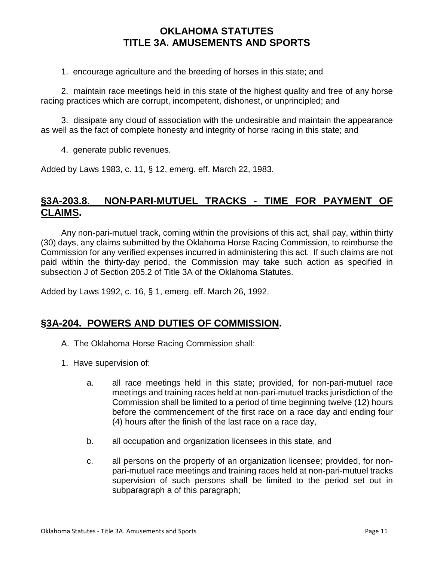1. encourage agriculture and the breeding of horses in this state; and

2. maintain race meetings held in this state of the highest quality and free of any horse racing practices which are corrupt, incompetent, dishonest, or unprincipled; and

3. dissipate any cloud of association with the undesirable and maintain the appearance as well as the fact of complete honesty and integrity of horse racing in this state; and

4. generate public revenues.

Added by Laws 1983, c. 11, § 12, emerg. eff. March 22, 1983.

# **§3A-203.8. NON-PARI-MUTUEL TRACKS - TIME FOR PAYMENT OF CLAIMS.**

Any non-pari-mutuel track, coming within the provisions of this act, shall pay, within thirty (30) days, any claims submitted by the Oklahoma Horse Racing Commission, to reimburse the Commission for any verified expenses incurred in administering this act. If such claims are not paid within the thirty-day period, the Commission may take such action as specified in subsection J of Section 205.2 of Title 3A of the Oklahoma Statutes.

Added by Laws 1992, c. 16, § 1, emerg. eff. March 26, 1992.

#### **§3A-204. POWERS AND DUTIES OF COMMISSION.**

- A. The Oklahoma Horse Racing Commission shall:
- 1. Have supervision of:
	- a. all race meetings held in this state; provided, for non-pari-mutuel race meetings and training races held at non-pari-mutuel tracks jurisdiction of the Commission shall be limited to a period of time beginning twelve (12) hours before the commencement of the first race on a race day and ending four (4) hours after the finish of the last race on a race day,
	- b. all occupation and organization licensees in this state, and
	- c. all persons on the property of an organization licensee; provided, for nonpari-mutuel race meetings and training races held at non-pari-mutuel tracks supervision of such persons shall be limited to the period set out in subparagraph a of this paragraph;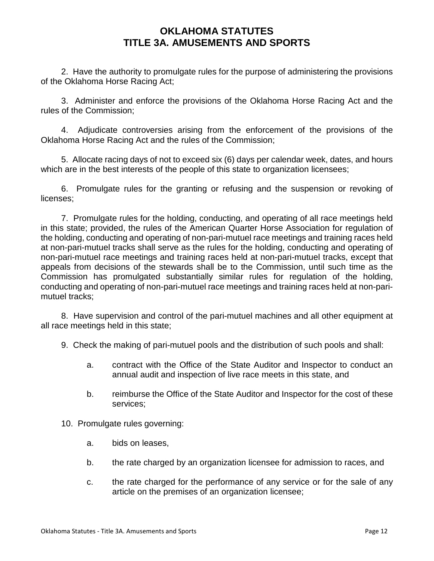2. Have the authority to promulgate rules for the purpose of administering the provisions of the Oklahoma Horse Racing Act;

3. Administer and enforce the provisions of the Oklahoma Horse Racing Act and the rules of the Commission;

4. Adjudicate controversies arising from the enforcement of the provisions of the Oklahoma Horse Racing Act and the rules of the Commission;

5. Allocate racing days of not to exceed six (6) days per calendar week, dates, and hours which are in the best interests of the people of this state to organization licensees;

6. Promulgate rules for the granting or refusing and the suspension or revoking of licenses;

7. Promulgate rules for the holding, conducting, and operating of all race meetings held in this state; provided, the rules of the American Quarter Horse Association for regulation of the holding, conducting and operating of non-pari-mutuel race meetings and training races held at non-pari-mutuel tracks shall serve as the rules for the holding, conducting and operating of non-pari-mutuel race meetings and training races held at non-pari-mutuel tracks, except that appeals from decisions of the stewards shall be to the Commission, until such time as the Commission has promulgated substantially similar rules for regulation of the holding, conducting and operating of non-pari-mutuel race meetings and training races held at non-parimutuel tracks;

8. Have supervision and control of the pari-mutuel machines and all other equipment at all race meetings held in this state;

- 9. Check the making of pari-mutuel pools and the distribution of such pools and shall:
	- a. contract with the Office of the State Auditor and Inspector to conduct an annual audit and inspection of live race meets in this state, and
	- b. reimburse the Office of the State Auditor and Inspector for the cost of these services;

10. Promulgate rules governing:

- a. bids on leases,
- b. the rate charged by an organization licensee for admission to races, and
- c. the rate charged for the performance of any service or for the sale of any article on the premises of an organization licensee;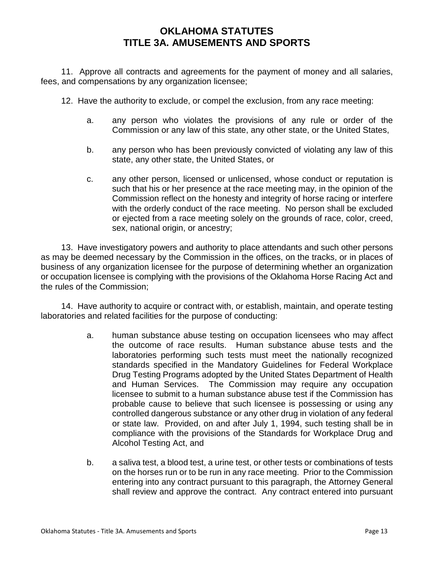11. Approve all contracts and agreements for the payment of money and all salaries, fees, and compensations by any organization licensee;

12. Have the authority to exclude, or compel the exclusion, from any race meeting:

- a. any person who violates the provisions of any rule or order of the Commission or any law of this state, any other state, or the United States,
- b. any person who has been previously convicted of violating any law of this state, any other state, the United States, or
- c. any other person, licensed or unlicensed, whose conduct or reputation is such that his or her presence at the race meeting may, in the opinion of the Commission reflect on the honesty and integrity of horse racing or interfere with the orderly conduct of the race meeting. No person shall be excluded or ejected from a race meeting solely on the grounds of race, color, creed, sex, national origin, or ancestry;

13. Have investigatory powers and authority to place attendants and such other persons as may be deemed necessary by the Commission in the offices, on the tracks, or in places of business of any organization licensee for the purpose of determining whether an organization or occupation licensee is complying with the provisions of the Oklahoma Horse Racing Act and the rules of the Commission;

14. Have authority to acquire or contract with, or establish, maintain, and operate testing laboratories and related facilities for the purpose of conducting:

- a. human substance abuse testing on occupation licensees who may affect the outcome of race results. Human substance abuse tests and the laboratories performing such tests must meet the nationally recognized standards specified in the Mandatory Guidelines for Federal Workplace Drug Testing Programs adopted by the United States Department of Health and Human Services. The Commission may require any occupation licensee to submit to a human substance abuse test if the Commission has probable cause to believe that such licensee is possessing or using any controlled dangerous substance or any other drug in violation of any federal or state law. Provided, on and after July 1, 1994, such testing shall be in compliance with the provisions of the Standards for Workplace Drug and Alcohol Testing Act, and
- b. a saliva test, a blood test, a urine test, or other tests or combinations of tests on the horses run or to be run in any race meeting. Prior to the Commission entering into any contract pursuant to this paragraph, the Attorney General shall review and approve the contract. Any contract entered into pursuant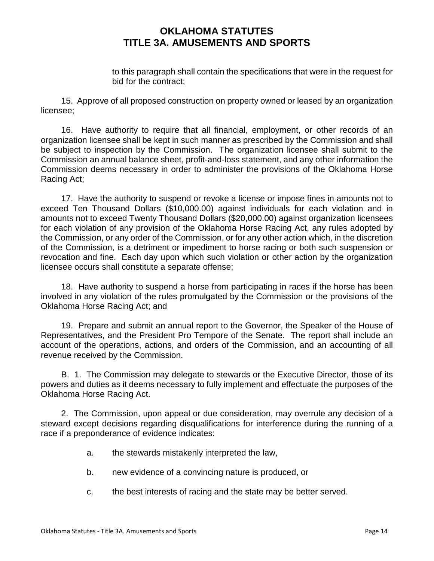to this paragraph shall contain the specifications that were in the request for bid for the contract;

15. Approve of all proposed construction on property owned or leased by an organization licensee;

16. Have authority to require that all financial, employment, or other records of an organization licensee shall be kept in such manner as prescribed by the Commission and shall be subject to inspection by the Commission. The organization licensee shall submit to the Commission an annual balance sheet, profit-and-loss statement, and any other information the Commission deems necessary in order to administer the provisions of the Oklahoma Horse Racing Act;

17. Have the authority to suspend or revoke a license or impose fines in amounts not to exceed Ten Thousand Dollars (\$10,000.00) against individuals for each violation and in amounts not to exceed Twenty Thousand Dollars (\$20,000.00) against organization licensees for each violation of any provision of the Oklahoma Horse Racing Act, any rules adopted by the Commission, or any order of the Commission, or for any other action which, in the discretion of the Commission, is a detriment or impediment to horse racing or both such suspension or revocation and fine. Each day upon which such violation or other action by the organization licensee occurs shall constitute a separate offense;

18. Have authority to suspend a horse from participating in races if the horse has been involved in any violation of the rules promulgated by the Commission or the provisions of the Oklahoma Horse Racing Act; and

19. Prepare and submit an annual report to the Governor, the Speaker of the House of Representatives, and the President Pro Tempore of the Senate. The report shall include an account of the operations, actions, and orders of the Commission, and an accounting of all revenue received by the Commission.

B. 1. The Commission may delegate to stewards or the Executive Director, those of its powers and duties as it deems necessary to fully implement and effectuate the purposes of the Oklahoma Horse Racing Act.

2. The Commission, upon appeal or due consideration, may overrule any decision of a steward except decisions regarding disqualifications for interference during the running of a race if a preponderance of evidence indicates:

- a. the stewards mistakenly interpreted the law,
- b. new evidence of a convincing nature is produced, or
- c. the best interests of racing and the state may be better served.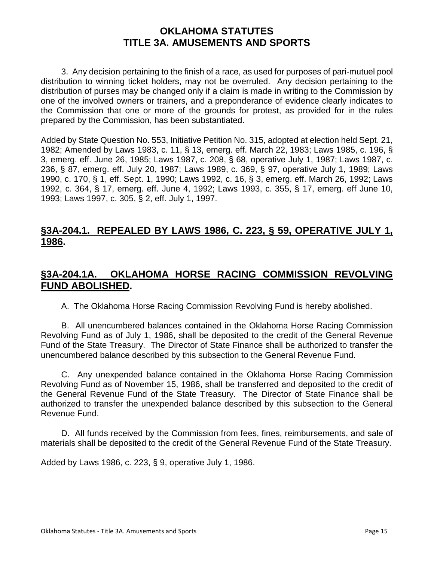3. Any decision pertaining to the finish of a race, as used for purposes of pari-mutuel pool distribution to winning ticket holders, may not be overruled. Any decision pertaining to the distribution of purses may be changed only if a claim is made in writing to the Commission by one of the involved owners or trainers, and a preponderance of evidence clearly indicates to the Commission that one or more of the grounds for protest, as provided for in the rules prepared by the Commission, has been substantiated.

Added by State Question No. 553, Initiative Petition No. 315, adopted at election held Sept. 21, 1982; Amended by Laws 1983, c. 11, § 13, emerg. eff. March 22, 1983; Laws 1985, c. 196, § 3, emerg. eff. June 26, 1985; Laws 1987, c. 208, § 68, operative July 1, 1987; Laws 1987, c. 236, § 87, emerg. eff. July 20, 1987; Laws 1989, c. 369, § 97, operative July 1, 1989; Laws 1990, c. 170, § 1, eff. Sept. 1, 1990; Laws 1992, c. 16, § 3, emerg. eff. March 26, 1992; Laws 1992, c. 364, § 17, emerg. eff. June 4, 1992; Laws 1993, c. 355, § 17, emerg. eff June 10, 1993; Laws 1997, c. 305, § 2, eff. July 1, 1997.

# **§3A-204.1. REPEALED BY LAWS 1986, C. 223, § 59, OPERATIVE JULY 1, 1986.**

#### **§3A-204.1A. OKLAHOMA HORSE RACING COMMISSION REVOLVING FUND ABOLISHED.**

A. The Oklahoma Horse Racing Commission Revolving Fund is hereby abolished.

B. All unencumbered balances contained in the Oklahoma Horse Racing Commission Revolving Fund as of July 1, 1986, shall be deposited to the credit of the General Revenue Fund of the State Treasury. The Director of State Finance shall be authorized to transfer the unencumbered balance described by this subsection to the General Revenue Fund.

C. Any unexpended balance contained in the Oklahoma Horse Racing Commission Revolving Fund as of November 15, 1986, shall be transferred and deposited to the credit of the General Revenue Fund of the State Treasury. The Director of State Finance shall be authorized to transfer the unexpended balance described by this subsection to the General Revenue Fund.

D. All funds received by the Commission from fees, fines, reimbursements, and sale of materials shall be deposited to the credit of the General Revenue Fund of the State Treasury.

Added by Laws 1986, c. 223, § 9, operative July 1, 1986.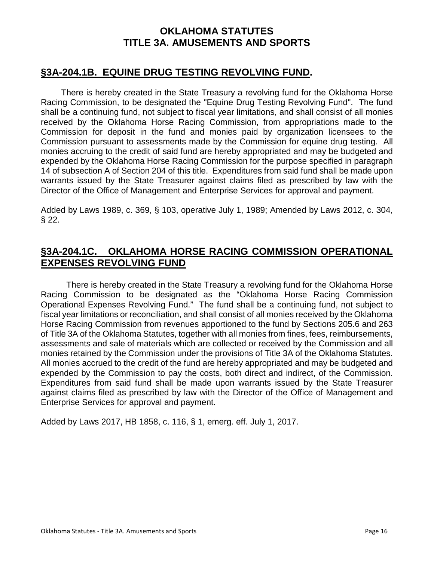#### **§3A-204.1B. EQUINE DRUG TESTING REVOLVING FUND.**

There is hereby created in the State Treasury a revolving fund for the Oklahoma Horse Racing Commission, to be designated the "Equine Drug Testing Revolving Fund". The fund shall be a continuing fund, not subject to fiscal year limitations, and shall consist of all monies received by the Oklahoma Horse Racing Commission, from appropriations made to the Commission for deposit in the fund and monies paid by organization licensees to the Commission pursuant to assessments made by the Commission for equine drug testing. All monies accruing to the credit of said fund are hereby appropriated and may be budgeted and expended by the Oklahoma Horse Racing Commission for the purpose specified in paragraph 14 of subsection A of Section 204 of this title. Expenditures from said fund shall be made upon warrants issued by the State Treasurer against claims filed as prescribed by law with the Director of the Office of Management and Enterprise Services for approval and payment.

Added by Laws 1989, c. 369, § 103, operative July 1, 1989; Amended by Laws 2012, c. 304,  $§ 22.$ 

# **§3A-204.1C. OKLAHOMA HORSE RACING COMMISSION OPERATIONAL EXPENSES REVOLVING FUND**

 There is hereby created in the State Treasury a revolving fund for the Oklahoma Horse Racing Commission to be designated as the "Oklahoma Horse Racing Commission Operational Expenses Revolving Fund." The fund shall be a continuing fund, not subject to fiscal year limitations or reconciliation, and shall consist of all monies received by the Oklahoma Horse Racing Commission from revenues apportioned to the fund by Sections 205.6 and 263 of Title 3A of the Oklahoma Statutes, together with all monies from fines, fees, reimbursements, assessments and sale of materials which are collected or received by the Commission and all monies retained by the Commission under the provisions of Title 3A of the Oklahoma Statutes. All monies accrued to the credit of the fund are hereby appropriated and may be budgeted and expended by the Commission to pay the costs, both direct and indirect, of the Commission. Expenditures from said fund shall be made upon warrants issued by the State Treasurer against claims filed as prescribed by law with the Director of the Office of Management and Enterprise Services for approval and payment.

Added by Laws 2017, HB 1858, c. 116, § 1, emerg. eff. July 1, 2017.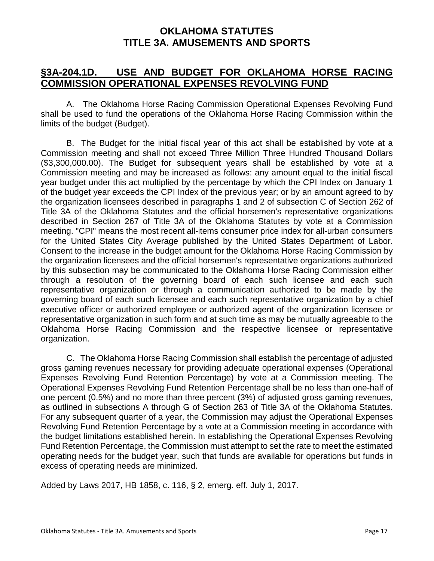# **§3A-204.1D. USE AND BUDGET FOR OKLAHOMA HORSE RACING COMMISSION OPERATIONAL EXPENSES REVOLVING FUND**

A. The Oklahoma Horse Racing Commission Operational Expenses Revolving Fund shall be used to fund the operations of the Oklahoma Horse Racing Commission within the limits of the budget (Budget).

B. The Budget for the initial fiscal year of this act shall be established by vote at a Commission meeting and shall not exceed Three Million Three Hundred Thousand Dollars (\$3,300,000.00). The Budget for subsequent years shall be established by vote at a Commission meeting and may be increased as follows: any amount equal to the initial fiscal year budget under this act multiplied by the percentage by which the CPI Index on January 1 of the budget year exceeds the CPI Index of the previous year; or by an amount agreed to by the organization licensees described in paragraphs 1 and 2 of subsection C of Section 262 of Title 3A of the Oklahoma Statutes and the official horsemen's representative organizations described in Section 267 of Title 3A of the Oklahoma Statutes by vote at a Commission meeting. "CPI" means the most recent all-items consumer price index for all-urban consumers for the United States City Average published by the United States Department of Labor. Consent to the increase in the budget amount for the Oklahoma Horse Racing Commission by the organization licensees and the official horsemen's representative organizations authorized by this subsection may be communicated to the Oklahoma Horse Racing Commission either through a resolution of the governing board of each such licensee and each such representative organization or through a communication authorized to be made by the governing board of each such licensee and each such representative organization by a chief executive officer or authorized employee or authorized agent of the organization licensee or representative organization in such form and at such time as may be mutually agreeable to the Oklahoma Horse Racing Commission and the respective licensee or representative organization.

C. The Oklahoma Horse Racing Commission shall establish the percentage of adjusted gross gaming revenues necessary for providing adequate operational expenses (Operational Expenses Revolving Fund Retention Percentage) by vote at a Commission meeting. The Operational Expenses Revolving Fund Retention Percentage shall be no less than one-half of one percent (0.5%) and no more than three percent (3%) of adjusted gross gaming revenues, as outlined in subsections A through G of Section 263 of Title 3A of the Oklahoma Statutes. For any subsequent quarter of a year, the Commission may adjust the Operational Expenses Revolving Fund Retention Percentage by a vote at a Commission meeting in accordance with the budget limitations established herein. In establishing the Operational Expenses Revolving Fund Retention Percentage, the Commission must attempt to set the rate to meet the estimated operating needs for the budget year, such that funds are available for operations but funds in excess of operating needs are minimized.

Added by Laws 2017, HB 1858, c. 116, § 2, emerg. eff. July 1, 2017.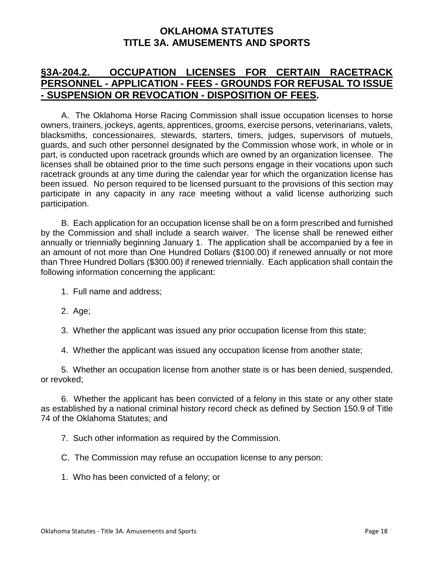# **§3A-204.2. OCCUPATION LICENSES FOR CERTAIN RACETRACK PERSONNEL - APPLICATION - FEES - GROUNDS FOR REFUSAL TO ISSUE - SUSPENSION OR REVOCATION - DISPOSITION OF FEES.**

A. The Oklahoma Horse Racing Commission shall issue occupation licenses to horse owners, trainers, jockeys, agents, apprentices, grooms, exercise persons, veterinarians, valets, blacksmiths, concessionaires, stewards, starters, timers, judges, supervisors of mutuels, guards, and such other personnel designated by the Commission whose work, in whole or in part, is conducted upon racetrack grounds which are owned by an organization licensee. The licenses shall be obtained prior to the time such persons engage in their vocations upon such racetrack grounds at any time during the calendar year for which the organization license has been issued. No person required to be licensed pursuant to the provisions of this section may participate in any capacity in any race meeting without a valid license authorizing such participation.

B. Each application for an occupation license shall be on a form prescribed and furnished by the Commission and shall include a search waiver. The license shall be renewed either annually or triennially beginning January 1. The application shall be accompanied by a fee in an amount of not more than One Hundred Dollars (\$100.00) if renewed annually or not more than Three Hundred Dollars (\$300.00) if renewed triennially. Each application shall contain the following information concerning the applicant:

- 1. Full name and address;
- 2. Age;
- 3. Whether the applicant was issued any prior occupation license from this state;

4. Whether the applicant was issued any occupation license from another state;

5. Whether an occupation license from another state is or has been denied, suspended, or revoked;

6. Whether the applicant has been convicted of a felony in this state or any other state as established by a national criminal history record check as defined by Section 150.9 of Title 74 of the Oklahoma Statutes; and

7. Such other information as required by the Commission.

C. The Commission may refuse an occupation license to any person:

1. Who has been convicted of a felony; or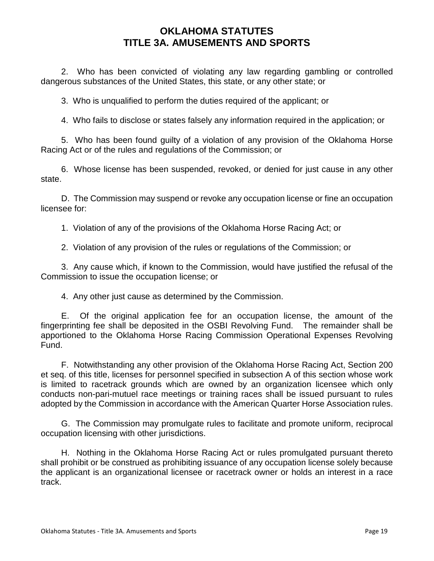2. Who has been convicted of violating any law regarding gambling or controlled dangerous substances of the United States, this state, or any other state; or

3. Who is unqualified to perform the duties required of the applicant; or

4. Who fails to disclose or states falsely any information required in the application; or

5. Who has been found guilty of a violation of any provision of the Oklahoma Horse Racing Act or of the rules and regulations of the Commission; or

6. Whose license has been suspended, revoked, or denied for just cause in any other state.

D. The Commission may suspend or revoke any occupation license or fine an occupation licensee for:

1. Violation of any of the provisions of the Oklahoma Horse Racing Act; or

2. Violation of any provision of the rules or regulations of the Commission; or

3. Any cause which, if known to the Commission, would have justified the refusal of the Commission to issue the occupation license; or

4. Any other just cause as determined by the Commission.

E. Of the original application fee for an occupation license, the amount of the fingerprinting fee shall be deposited in the OSBI Revolving Fund. The remainder shall be apportioned to the Oklahoma Horse Racing Commission Operational Expenses Revolving Fund.

F. Notwithstanding any other provision of the Oklahoma Horse Racing Act, Section 200 et seq. of this title, licenses for personnel specified in subsection A of this section whose work is limited to racetrack grounds which are owned by an organization licensee which only conducts non-pari-mutuel race meetings or training races shall be issued pursuant to rules adopted by the Commission in accordance with the American Quarter Horse Association rules.

G. The Commission may promulgate rules to facilitate and promote uniform, reciprocal occupation licensing with other jurisdictions.

H. Nothing in the Oklahoma Horse Racing Act or rules promulgated pursuant thereto shall prohibit or be construed as prohibiting issuance of any occupation license solely because the applicant is an organizational licensee or racetrack owner or holds an interest in a race track.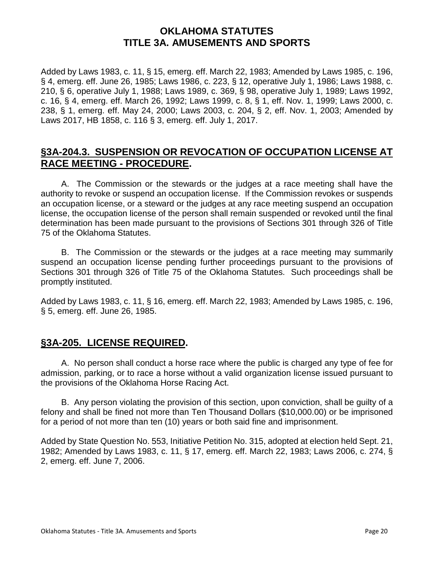Added by Laws 1983, c. 11, § 15, emerg. eff. March 22, 1983; Amended by Laws 1985, c. 196, § 4, emerg. eff. June 26, 1985; Laws 1986, c. 223, § 12, operative July 1, 1986; Laws 1988, c. 210, § 6, operative July 1, 1988; Laws 1989, c. 369, § 98, operative July 1, 1989; Laws 1992, c. 16, § 4, emerg. eff. March 26, 1992; Laws 1999, c. 8, § 1, eff. Nov. 1, 1999; Laws 2000, c. 238, § 1, emerg. eff. May 24, 2000; Laws 2003, c. 204, § 2, eff. Nov. 1, 2003; Amended by Laws 2017, HB 1858, c. 116 § 3, emerg. eff. July 1, 2017.

# **§3A-204.3. SUSPENSION OR REVOCATION OF OCCUPATION LICENSE AT RACE MEETING - PROCEDURE.**

A. The Commission or the stewards or the judges at a race meeting shall have the authority to revoke or suspend an occupation license. If the Commission revokes or suspends an occupation license, or a steward or the judges at any race meeting suspend an occupation license, the occupation license of the person shall remain suspended or revoked until the final determination has been made pursuant to the provisions of Sections 301 through 326 of Title 75 of the Oklahoma Statutes.

B. The Commission or the stewards or the judges at a race meeting may summarily suspend an occupation license pending further proceedings pursuant to the provisions of Sections 301 through 326 of Title 75 of the Oklahoma Statutes. Such proceedings shall be promptly instituted.

Added by Laws 1983, c. 11, § 16, emerg. eff. March 22, 1983; Amended by Laws 1985, c. 196, § 5, emerg. eff. June 26, 1985.

# **§3A-205. LICENSE REQUIRED.**

A. No person shall conduct a horse race where the public is charged any type of fee for admission, parking, or to race a horse without a valid organization license issued pursuant to the provisions of the Oklahoma Horse Racing Act.

B. Any person violating the provision of this section, upon conviction, shall be guilty of a felony and shall be fined not more than Ten Thousand Dollars (\$10,000.00) or be imprisoned for a period of not more than ten (10) years or both said fine and imprisonment.

Added by State Question No. 553, Initiative Petition No. 315, adopted at election held Sept. 21, 1982; Amended by Laws 1983, c. 11, § 17, emerg. eff. March 22, 1983; Laws 2006, c. 274, § 2, emerg. eff. June 7, 2006.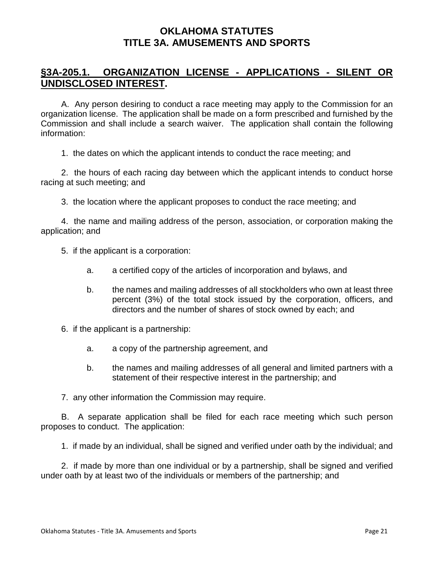# **§3A-205.1. ORGANIZATION LICENSE - APPLICATIONS - SILENT OR UNDISCLOSED INTEREST.**

A. Any person desiring to conduct a race meeting may apply to the Commission for an organization license. The application shall be made on a form prescribed and furnished by the Commission and shall include a search waiver. The application shall contain the following information:

1. the dates on which the applicant intends to conduct the race meeting; and

2. the hours of each racing day between which the applicant intends to conduct horse racing at such meeting; and

3. the location where the applicant proposes to conduct the race meeting; and

4. the name and mailing address of the person, association, or corporation making the application; and

- 5. if the applicant is a corporation:
	- a. a certified copy of the articles of incorporation and bylaws, and
	- b. the names and mailing addresses of all stockholders who own at least three percent (3%) of the total stock issued by the corporation, officers, and directors and the number of shares of stock owned by each; and
- 6. if the applicant is a partnership:
	- a. a copy of the partnership agreement, and
	- b. the names and mailing addresses of all general and limited partners with a statement of their respective interest in the partnership; and
- 7. any other information the Commission may require.

B. A separate application shall be filed for each race meeting which such person proposes to conduct. The application:

1. if made by an individual, shall be signed and verified under oath by the individual; and

2. if made by more than one individual or by a partnership, shall be signed and verified under oath by at least two of the individuals or members of the partnership; and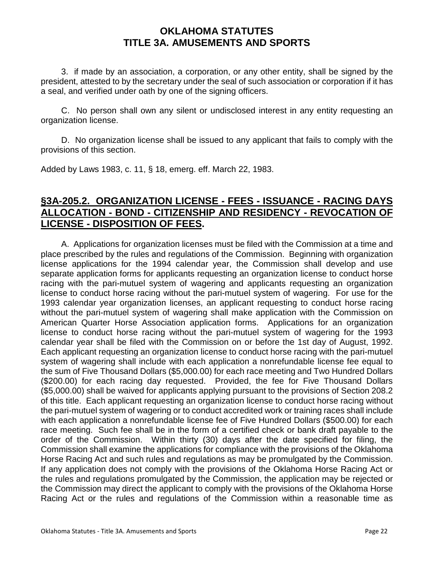3. if made by an association, a corporation, or any other entity, shall be signed by the president, attested to by the secretary under the seal of such association or corporation if it has a seal, and verified under oath by one of the signing officers.

C. No person shall own any silent or undisclosed interest in any entity requesting an organization license.

D. No organization license shall be issued to any applicant that fails to comply with the provisions of this section.

Added by Laws 1983, c. 11, § 18, emerg. eff. March 22, 1983.

# **§3A-205.2. ORGANIZATION LICENSE - FEES - ISSUANCE - RACING DAYS ALLOCATION - BOND - CITIZENSHIP AND RESIDENCY - REVOCATION OF LICENSE - DISPOSITION OF FEES.**

A. Applications for organization licenses must be filed with the Commission at a time and place prescribed by the rules and regulations of the Commission. Beginning with organization license applications for the 1994 calendar year, the Commission shall develop and use separate application forms for applicants requesting an organization license to conduct horse racing with the pari-mutuel system of wagering and applicants requesting an organization license to conduct horse racing without the pari-mutuel system of wagering. For use for the 1993 calendar year organization licenses, an applicant requesting to conduct horse racing without the pari-mutuel system of wagering shall make application with the Commission on American Quarter Horse Association application forms. Applications for an organization license to conduct horse racing without the pari-mutuel system of wagering for the 1993 calendar year shall be filed with the Commission on or before the 1st day of August, 1992. Each applicant requesting an organization license to conduct horse racing with the pari-mutuel system of wagering shall include with each application a nonrefundable license fee equal to the sum of Five Thousand Dollars (\$5,000.00) for each race meeting and Two Hundred Dollars (\$200.00) for each racing day requested. Provided, the fee for Five Thousand Dollars (\$5,000.00) shall be waived for applicants applying pursuant to the provisions of Section 208.2 of this title. Each applicant requesting an organization license to conduct horse racing without the pari-mutuel system of wagering or to conduct accredited work or training races shall include with each application a nonrefundable license fee of Five Hundred Dollars (\$500.00) for each race meeting. Such fee shall be in the form of a certified check or bank draft payable to the order of the Commission. Within thirty (30) days after the date specified for filing, the Commission shall examine the applications for compliance with the provisions of the Oklahoma Horse Racing Act and such rules and regulations as may be promulgated by the Commission. If any application does not comply with the provisions of the Oklahoma Horse Racing Act or the rules and regulations promulgated by the Commission, the application may be rejected or the Commission may direct the applicant to comply with the provisions of the Oklahoma Horse Racing Act or the rules and regulations of the Commission within a reasonable time as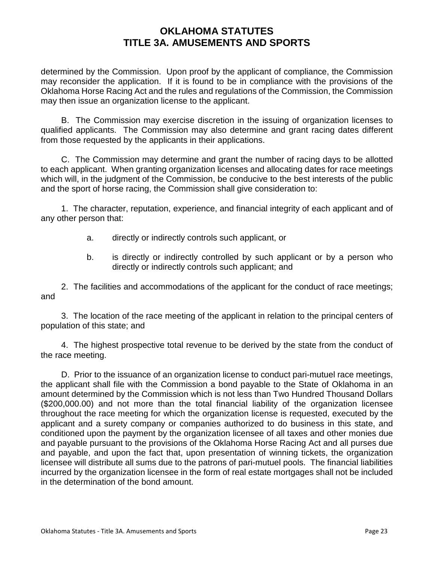determined by the Commission. Upon proof by the applicant of compliance, the Commission may reconsider the application. If it is found to be in compliance with the provisions of the Oklahoma Horse Racing Act and the rules and regulations of the Commission, the Commission may then issue an organization license to the applicant.

B. The Commission may exercise discretion in the issuing of organization licenses to qualified applicants. The Commission may also determine and grant racing dates different from those requested by the applicants in their applications.

C. The Commission may determine and grant the number of racing days to be allotted to each applicant. When granting organization licenses and allocating dates for race meetings which will, in the judgment of the Commission, be conducive to the best interests of the public and the sport of horse racing, the Commission shall give consideration to:

1. The character, reputation, experience, and financial integrity of each applicant and of any other person that:

- a. directly or indirectly controls such applicant, or
- b. is directly or indirectly controlled by such applicant or by a person who directly or indirectly controls such applicant; and

2. The facilities and accommodations of the applicant for the conduct of race meetings; and

3. The location of the race meeting of the applicant in relation to the principal centers of population of this state; and

4. The highest prospective total revenue to be derived by the state from the conduct of the race meeting.

D. Prior to the issuance of an organization license to conduct pari-mutuel race meetings, the applicant shall file with the Commission a bond payable to the State of Oklahoma in an amount determined by the Commission which is not less than Two Hundred Thousand Dollars (\$200,000.00) and not more than the total financial liability of the organization licensee throughout the race meeting for which the organization license is requested, executed by the applicant and a surety company or companies authorized to do business in this state, and conditioned upon the payment by the organization licensee of all taxes and other monies due and payable pursuant to the provisions of the Oklahoma Horse Racing Act and all purses due and payable, and upon the fact that, upon presentation of winning tickets, the organization licensee will distribute all sums due to the patrons of pari-mutuel pools. The financial liabilities incurred by the organization licensee in the form of real estate mortgages shall not be included in the determination of the bond amount.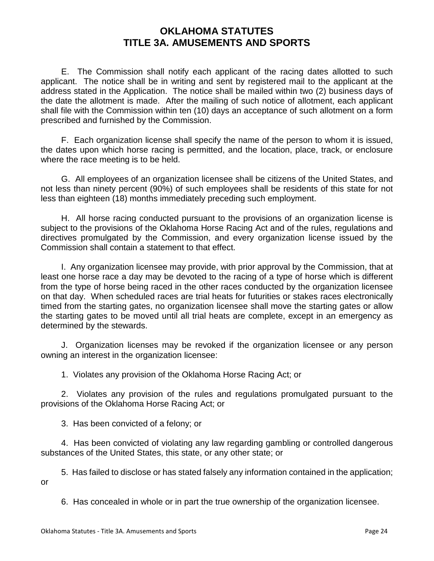E. The Commission shall notify each applicant of the racing dates allotted to such applicant. The notice shall be in writing and sent by registered mail to the applicant at the address stated in the Application. The notice shall be mailed within two (2) business days of the date the allotment is made. After the mailing of such notice of allotment, each applicant shall file with the Commission within ten (10) days an acceptance of such allotment on a form prescribed and furnished by the Commission.

F. Each organization license shall specify the name of the person to whom it is issued, the dates upon which horse racing is permitted, and the location, place, track, or enclosure where the race meeting is to be held.

G. All employees of an organization licensee shall be citizens of the United States, and not less than ninety percent (90%) of such employees shall be residents of this state for not less than eighteen (18) months immediately preceding such employment.

H. All horse racing conducted pursuant to the provisions of an organization license is subject to the provisions of the Oklahoma Horse Racing Act and of the rules, regulations and directives promulgated by the Commission, and every organization license issued by the Commission shall contain a statement to that effect.

I. Any organization licensee may provide, with prior approval by the Commission, that at least one horse race a day may be devoted to the racing of a type of horse which is different from the type of horse being raced in the other races conducted by the organization licensee on that day. When scheduled races are trial heats for futurities or stakes races electronically timed from the starting gates, no organization licensee shall move the starting gates or allow the starting gates to be moved until all trial heats are complete, except in an emergency as determined by the stewards.

J. Organization licenses may be revoked if the organization licensee or any person owning an interest in the organization licensee:

1. Violates any provision of the Oklahoma Horse Racing Act; or

 2. Violates any provision of the rules and regulations promulgated pursuant to the provisions of the Oklahoma Horse Racing Act; or

3. Has been convicted of a felony; or

4. Has been convicted of violating any law regarding gambling or controlled dangerous substances of the United States, this state, or any other state; or

5. Has failed to disclose or has stated falsely any information contained in the application; or

6. Has concealed in whole or in part the true ownership of the organization licensee.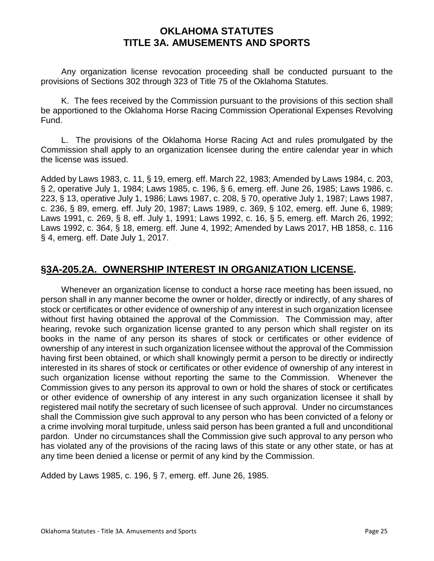Any organization license revocation proceeding shall be conducted pursuant to the provisions of Sections 302 through 323 of Title 75 of the Oklahoma Statutes.

K. The fees received by the Commission pursuant to the provisions of this section shall be apportioned to the Oklahoma Horse Racing Commission Operational Expenses Revolving Fund.

L. The provisions of the Oklahoma Horse Racing Act and rules promulgated by the Commission shall apply to an organization licensee during the entire calendar year in which the license was issued.

Added by Laws 1983, c. 11, § 19, emerg. eff. March 22, 1983; Amended by Laws 1984, c. 203, § 2, operative July 1, 1984; Laws 1985, c. 196, § 6, emerg. eff. June 26, 1985; Laws 1986, c. 223, § 13, operative July 1, 1986; Laws 1987, c. 208, § 70, operative July 1, 1987; Laws 1987, c. 236, § 89, emerg. eff. July 20, 1987; Laws 1989, c. 369, § 102, emerg. eff. June 6, 1989; Laws 1991, c. 269, § 8, eff. July 1, 1991; Laws 1992, c. 16, § 5, emerg. eff. March 26, 1992; Laws 1992, c. 364, § 18, emerg. eff. June 4, 1992; Amended by Laws 2017, HB 1858, c. 116 § 4, emerg. eff. Date July 1, 2017.

# **§3A-205.2A. OWNERSHIP INTEREST IN ORGANIZATION LICENSE.**

Whenever an organization license to conduct a horse race meeting has been issued, no person shall in any manner become the owner or holder, directly or indirectly, of any shares of stock or certificates or other evidence of ownership of any interest in such organization licensee without first having obtained the approval of the Commission. The Commission may, after hearing, revoke such organization license granted to any person which shall register on its books in the name of any person its shares of stock or certificates or other evidence of ownership of any interest in such organization licensee without the approval of the Commission having first been obtained, or which shall knowingly permit a person to be directly or indirectly interested in its shares of stock or certificates or other evidence of ownership of any interest in such organization license without reporting the same to the Commission. Whenever the Commission gives to any person its approval to own or hold the shares of stock or certificates or other evidence of ownership of any interest in any such organization licensee it shall by registered mail notify the secretary of such licensee of such approval. Under no circumstances shall the Commission give such approval to any person who has been convicted of a felony or a crime involving moral turpitude, unless said person has been granted a full and unconditional pardon. Under no circumstances shall the Commission give such approval to any person who has violated any of the provisions of the racing laws of this state or any other state, or has at any time been denied a license or permit of any kind by the Commission.

Added by Laws 1985, c. 196, § 7, emerg. eff. June 26, 1985.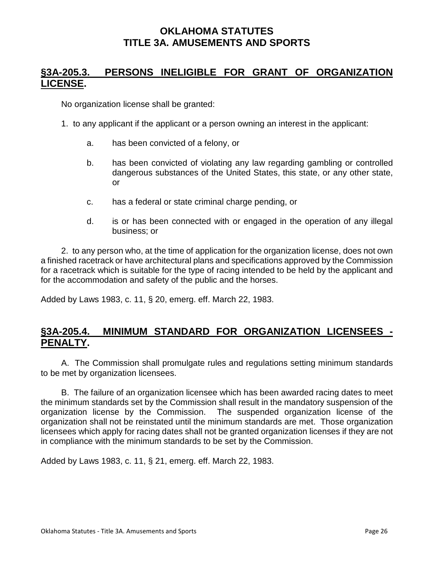# **§3A-205.3. PERSONS INELIGIBLE FOR GRANT OF ORGANIZATION LICENSE.**

No organization license shall be granted:

- 1. to any applicant if the applicant or a person owning an interest in the applicant:
	- a. has been convicted of a felony, or
	- b. has been convicted of violating any law regarding gambling or controlled dangerous substances of the United States, this state, or any other state, or
	- c. has a federal or state criminal charge pending, or
	- d. is or has been connected with or engaged in the operation of any illegal business; or

2. to any person who, at the time of application for the organization license, does not own a finished racetrack or have architectural plans and specifications approved by the Commission for a racetrack which is suitable for the type of racing intended to be held by the applicant and for the accommodation and safety of the public and the horses.

Added by Laws 1983, c. 11, § 20, emerg. eff. March 22, 1983.

# **§3A-205.4. MINIMUM STANDARD FOR ORGANIZATION LICENSEES - PENALTY.**

A. The Commission shall promulgate rules and regulations setting minimum standards to be met by organization licensees.

B. The failure of an organization licensee which has been awarded racing dates to meet the minimum standards set by the Commission shall result in the mandatory suspension of the organization license by the Commission. The suspended organization license of the organization shall not be reinstated until the minimum standards are met. Those organization licensees which apply for racing dates shall not be granted organization licenses if they are not in compliance with the minimum standards to be set by the Commission.

Added by Laws 1983, c. 11, § 21, emerg. eff. March 22, 1983.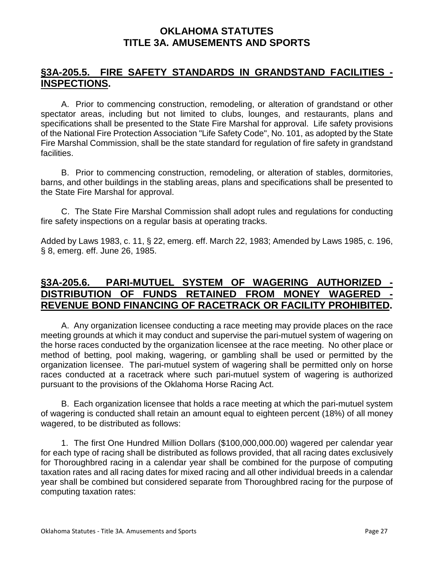#### **§3A-205.5. FIRE SAFETY STANDARDS IN GRANDSTAND FACILITIES - INSPECTIONS.**

A. Prior to commencing construction, remodeling, or alteration of grandstand or other spectator areas, including but not limited to clubs, lounges, and restaurants, plans and specifications shall be presented to the State Fire Marshal for approval. Life safety provisions of the National Fire Protection Association "Life Safety Code", No. 101, as adopted by the State Fire Marshal Commission, shall be the state standard for regulation of fire safety in grandstand facilities.

B. Prior to commencing construction, remodeling, or alteration of stables, dormitories, barns, and other buildings in the stabling areas, plans and specifications shall be presented to the State Fire Marshal for approval.

C. The State Fire Marshal Commission shall adopt rules and regulations for conducting fire safety inspections on a regular basis at operating tracks.

Added by Laws 1983, c. 11, § 22, emerg. eff. March 22, 1983; Amended by Laws 1985, c. 196, § 8, emerg. eff. June 26, 1985.

# **§3A-205.6. PARI-MUTUEL SYSTEM OF WAGERING AUTHORIZED** DISTRIBUTION OF FUNDS RETAINED FROM MONEY WAGERED **REVENUE BOND FINANCING OF RACETRACK OR FACILITY PROHIBITED.**

A. Any organization licensee conducting a race meeting may provide places on the race meeting grounds at which it may conduct and supervise the pari-mutuel system of wagering on the horse races conducted by the organization licensee at the race meeting. No other place or method of betting, pool making, wagering, or gambling shall be used or permitted by the organization licensee. The pari-mutuel system of wagering shall be permitted only on horse races conducted at a racetrack where such pari-mutuel system of wagering is authorized pursuant to the provisions of the Oklahoma Horse Racing Act.

B. Each organization licensee that holds a race meeting at which the pari-mutuel system of wagering is conducted shall retain an amount equal to eighteen percent (18%) of all money wagered, to be distributed as follows:

1. The first One Hundred Million Dollars (\$100,000,000.00) wagered per calendar year for each type of racing shall be distributed as follows provided, that all racing dates exclusively for Thoroughbred racing in a calendar year shall be combined for the purpose of computing taxation rates and all racing dates for mixed racing and all other individual breeds in a calendar year shall be combined but considered separate from Thoroughbred racing for the purpose of computing taxation rates: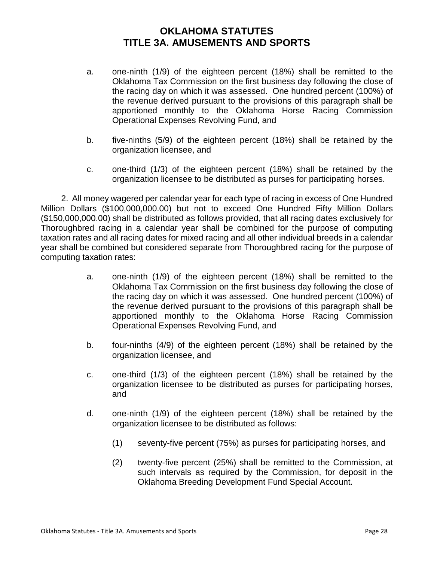- a. one-ninth (1/9) of the eighteen percent (18%) shall be remitted to the Oklahoma Tax Commission on the first business day following the close of the racing day on which it was assessed. One hundred percent (100%) of the revenue derived pursuant to the provisions of this paragraph shall be apportioned monthly to the Oklahoma Horse Racing Commission Operational Expenses Revolving Fund, and
- b. five-ninths (5/9) of the eighteen percent (18%) shall be retained by the organization licensee, and
- c. one-third (1/3) of the eighteen percent (18%) shall be retained by the organization licensee to be distributed as purses for participating horses.

2. All money wagered per calendar year for each type of racing in excess of One Hundred Million Dollars (\$100,000,000.00) but not to exceed One Hundred Fifty Million Dollars (\$150,000,000.00) shall be distributed as follows provided, that all racing dates exclusively for Thoroughbred racing in a calendar year shall be combined for the purpose of computing taxation rates and all racing dates for mixed racing and all other individual breeds in a calendar year shall be combined but considered separate from Thoroughbred racing for the purpose of computing taxation rates:

- a. one-ninth (1/9) of the eighteen percent (18%) shall be remitted to the Oklahoma Tax Commission on the first business day following the close of the racing day on which it was assessed. One hundred percent (100%) of the revenue derived pursuant to the provisions of this paragraph shall be apportioned monthly to the Oklahoma Horse Racing Commission Operational Expenses Revolving Fund, and
- b. four-ninths (4/9) of the eighteen percent (18%) shall be retained by the organization licensee, and
- c. one-third (1/3) of the eighteen percent (18%) shall be retained by the organization licensee to be distributed as purses for participating horses, and
- d. one-ninth (1/9) of the eighteen percent (18%) shall be retained by the organization licensee to be distributed as follows:
	- (1) seventy-five percent (75%) as purses for participating horses, and
	- (2) twenty-five percent (25%) shall be remitted to the Commission, at such intervals as required by the Commission, for deposit in the Oklahoma Breeding Development Fund Special Account.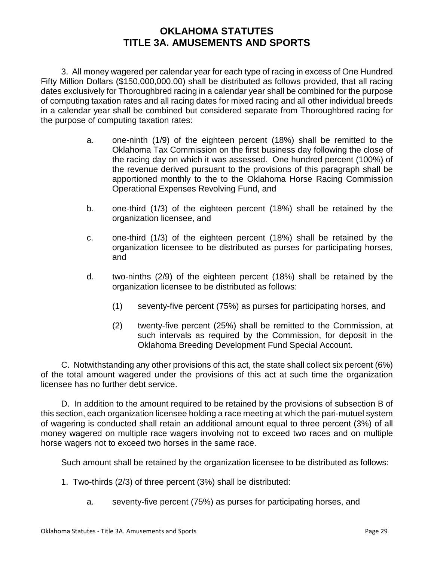3. All money wagered per calendar year for each type of racing in excess of One Hundred Fifty Million Dollars (\$150,000,000.00) shall be distributed as follows provided, that all racing dates exclusively for Thoroughbred racing in a calendar year shall be combined for the purpose of computing taxation rates and all racing dates for mixed racing and all other individual breeds in a calendar year shall be combined but considered separate from Thoroughbred racing for the purpose of computing taxation rates:

- a. one-ninth (1/9) of the eighteen percent (18%) shall be remitted to the Oklahoma Tax Commission on the first business day following the close of the racing day on which it was assessed. One hundred percent (100%) of the revenue derived pursuant to the provisions of this paragraph shall be apportioned monthly to the to the Oklahoma Horse Racing Commission Operational Expenses Revolving Fund, and
- b. one-third (1/3) of the eighteen percent (18%) shall be retained by the organization licensee, and
- c. one-third (1/3) of the eighteen percent (18%) shall be retained by the organization licensee to be distributed as purses for participating horses, and
- d. two-ninths (2/9) of the eighteen percent (18%) shall be retained by the organization licensee to be distributed as follows:
	- (1) seventy-five percent (75%) as purses for participating horses, and
	- (2) twenty-five percent (25%) shall be remitted to the Commission, at such intervals as required by the Commission, for deposit in the Oklahoma Breeding Development Fund Special Account.

C. Notwithstanding any other provisions of this act, the state shall collect six percent (6%) of the total amount wagered under the provisions of this act at such time the organization licensee has no further debt service.

D. In addition to the amount required to be retained by the provisions of subsection B of this section, each organization licensee holding a race meeting at which the pari-mutuel system of wagering is conducted shall retain an additional amount equal to three percent (3%) of all money wagered on multiple race wagers involving not to exceed two races and on multiple horse wagers not to exceed two horses in the same race.

Such amount shall be retained by the organization licensee to be distributed as follows:

- 1. Two-thirds (2/3) of three percent (3%) shall be distributed:
	- a. seventy-five percent (75%) as purses for participating horses, and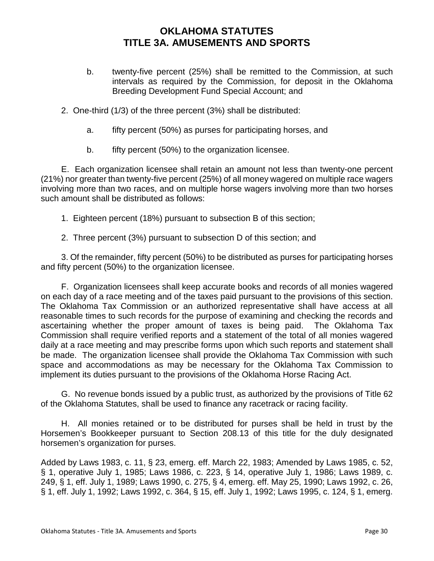- b. twenty-five percent (25%) shall be remitted to the Commission, at such intervals as required by the Commission, for deposit in the Oklahoma Breeding Development Fund Special Account; and
- 2. One-third (1/3) of the three percent (3%) shall be distributed:
	- a. fifty percent (50%) as purses for participating horses, and
	- b. fifty percent (50%) to the organization licensee.

E. Each organization licensee shall retain an amount not less than twenty-one percent (21%) nor greater than twenty-five percent (25%) of all money wagered on multiple race wagers involving more than two races, and on multiple horse wagers involving more than two horses such amount shall be distributed as follows:

- 1. Eighteen percent (18%) pursuant to subsection B of this section;
- 2. Three percent (3%) pursuant to subsection D of this section; and

3. Of the remainder, fifty percent (50%) to be distributed as purses for participating horses and fifty percent (50%) to the organization licensee.

F. Organization licensees shall keep accurate books and records of all monies wagered on each day of a race meeting and of the taxes paid pursuant to the provisions of this section. The Oklahoma Tax Commission or an authorized representative shall have access at all reasonable times to such records for the purpose of examining and checking the records and ascertaining whether the proper amount of taxes is being paid. The Oklahoma Tax Commission shall require verified reports and a statement of the total of all monies wagered daily at a race meeting and may prescribe forms upon which such reports and statement shall be made. The organization licensee shall provide the Oklahoma Tax Commission with such space and accommodations as may be necessary for the Oklahoma Tax Commission to implement its duties pursuant to the provisions of the Oklahoma Horse Racing Act.

G. No revenue bonds issued by a public trust, as authorized by the provisions of Title 62 of the Oklahoma Statutes, shall be used to finance any racetrack or racing facility.

H. All monies retained or to be distributed for purses shall be held in trust by the Horsemen's Bookkeeper pursuant to Section 208.13 of this title for the duly designated horsemen's organization for purses.

Added by Laws 1983, c. 11, § 23, emerg. eff. March 22, 1983; Amended by Laws 1985, c. 52, § 1, operative July 1, 1985; Laws 1986, c. 223, § 14, operative July 1, 1986; Laws 1989, c. 249, § 1, eff. July 1, 1989; Laws 1990, c. 275, § 4, emerg. eff. May 25, 1990; Laws 1992, c. 26, § 1, eff. July 1, 1992; Laws 1992, c. 364, § 15, eff. July 1, 1992; Laws 1995, c. 124, § 1, emerg.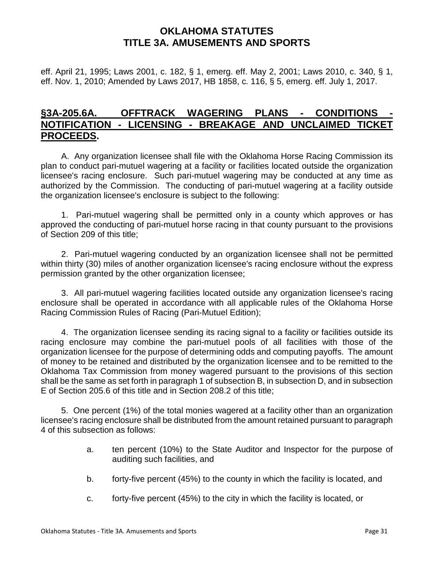eff. April 21, 1995; Laws 2001, c. 182, § 1, emerg. eff. May 2, 2001; Laws 2010, c. 340, § 1, eff. Nov. 1, 2010; Amended by Laws 2017, HB 1858, c. 116, § 5, emerg. eff. July 1, 2017.

## **§3A-205.6A. OFFTRACK WAGERING PLANS - CONDITIONS - NOTIFICATION - LICENSING - BREAKAGE AND UNCLAIMED TICKET PROCEEDS.**

A. Any organization licensee shall file with the Oklahoma Horse Racing Commission its plan to conduct pari-mutuel wagering at a facility or facilities located outside the organization licensee's racing enclosure. Such pari-mutuel wagering may be conducted at any time as authorized by the Commission. The conducting of pari-mutuel wagering at a facility outside the organization licensee's enclosure is subject to the following:

1. Pari-mutuel wagering shall be permitted only in a county which approves or has approved the conducting of pari-mutuel horse racing in that county pursuant to the provisions of Section 209 of this title;

2. Pari-mutuel wagering conducted by an organization licensee shall not be permitted within thirty (30) miles of another organization licensee's racing enclosure without the express permission granted by the other organization licensee;

3. All pari-mutuel wagering facilities located outside any organization licensee's racing enclosure shall be operated in accordance with all applicable rules of the Oklahoma Horse Racing Commission Rules of Racing (Pari-Mutuel Edition);

4. The organization licensee sending its racing signal to a facility or facilities outside its racing enclosure may combine the pari-mutuel pools of all facilities with those of the organization licensee for the purpose of determining odds and computing payoffs. The amount of money to be retained and distributed by the organization licensee and to be remitted to the Oklahoma Tax Commission from money wagered pursuant to the provisions of this section shall be the same as set forth in paragraph 1 of subsection B, in subsection D, and in subsection E of Section 205.6 of this title and in Section 208.2 of this title;

5. One percent (1%) of the total monies wagered at a facility other than an organization licensee's racing enclosure shall be distributed from the amount retained pursuant to paragraph 4 of this subsection as follows:

- a. ten percent (10%) to the State Auditor and Inspector for the purpose of auditing such facilities, and
- b. forty-five percent (45%) to the county in which the facility is located, and
- c. forty-five percent (45%) to the city in which the facility is located, or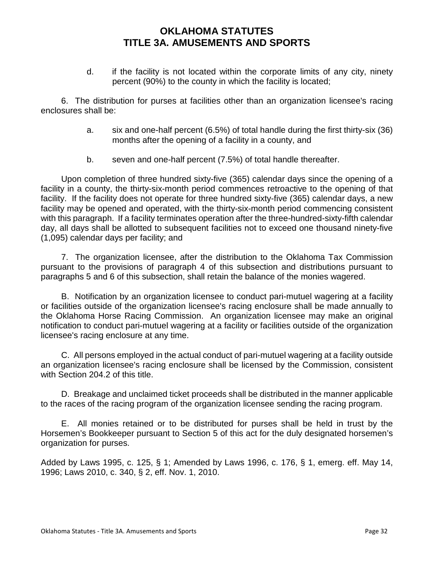d. if the facility is not located within the corporate limits of any city, ninety percent (90%) to the county in which the facility is located;

6. The distribution for purses at facilities other than an organization licensee's racing enclosures shall be:

- a. six and one-half percent (6.5%) of total handle during the first thirty-six (36) months after the opening of a facility in a county, and
- b. seven and one-half percent (7.5%) of total handle thereafter.

Upon completion of three hundred sixty-five (365) calendar days since the opening of a facility in a county, the thirty-six-month period commences retroactive to the opening of that facility. If the facility does not operate for three hundred sixty-five (365) calendar days, a new facility may be opened and operated, with the thirty-six-month period commencing consistent with this paragraph. If a facility terminates operation after the three-hundred-sixty-fifth calendar day, all days shall be allotted to subsequent facilities not to exceed one thousand ninety-five (1,095) calendar days per facility; and

7. The organization licensee, after the distribution to the Oklahoma Tax Commission pursuant to the provisions of paragraph 4 of this subsection and distributions pursuant to paragraphs 5 and 6 of this subsection, shall retain the balance of the monies wagered.

B. Notification by an organization licensee to conduct pari-mutuel wagering at a facility or facilities outside of the organization licensee's racing enclosure shall be made annually to the Oklahoma Horse Racing Commission. An organization licensee may make an original notification to conduct pari-mutuel wagering at a facility or facilities outside of the organization licensee's racing enclosure at any time.

C. All persons employed in the actual conduct of pari-mutuel wagering at a facility outside an organization licensee's racing enclosure shall be licensed by the Commission, consistent with Section 204.2 of this title.

D. Breakage and unclaimed ticket proceeds shall be distributed in the manner applicable to the races of the racing program of the organization licensee sending the racing program.

E. All monies retained or to be distributed for purses shall be held in trust by the Horsemen's Bookkeeper pursuant to Section 5 of this act for the duly designated horsemen's organization for purses.

Added by Laws 1995, c. 125, § 1; Amended by Laws 1996, c. 176, § 1, emerg. eff. May 14, 1996; Laws 2010, c. 340, § 2, eff. Nov. 1, 2010.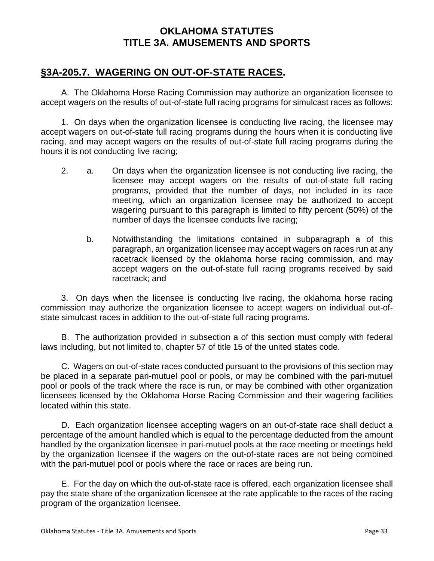## **§3A-205.7. WAGERING ON OUT-OF-STATE RACES.**

A. The Oklahoma Horse Racing Commission may authorize an organization licensee to accept wagers on the results of out-of-state full racing programs for simulcast races as follows:

1. On days when the organization licensee is conducting live racing, the licensee may accept wagers on out-of-state full racing programs during the hours when it is conducting live racing, and may accept wagers on the results of out-of-state full racing programs during the hours it is not conducting live racing;

- 2. a. On days when the organization licensee is not conducting live racing, the licensee may accept wagers on the results of out-of-state full racing programs, provided that the number of days, not included in its race meeting, which an organization licensee may be authorized to accept wagering pursuant to this paragraph is limited to fifty percent (50%) of the number of days the licensee conducts live racing;
	- b. Notwithstanding the limitations contained in subparagraph a of this paragraph, an organization licensee may accept wagers on races run at any racetrack licensed by the oklahoma horse racing commission, and may accept wagers on the out-of-state full racing programs received by said racetrack; and

3. On days when the licensee is conducting live racing, the oklahoma horse racing commission may authorize the organization licensee to accept wagers on individual out-ofstate simulcast races in addition to the out-of-state full racing programs.

B. The authorization provided in subsection a of this section must comply with federal laws including, but not limited to, chapter 57 of title 15 of the united states code.

C. Wagers on out-of-state races conducted pursuant to the provisions of this section may be placed in a separate pari-mutuel pool or pools, or may be combined with the pari-mutuel pool or pools of the track where the race is run, or may be combined with other organization licensees licensed by the Oklahoma Horse Racing Commission and their wagering facilities located within this state.

D. Each organization licensee accepting wagers on an out-of-state race shall deduct a percentage of the amount handled which is equal to the percentage deducted from the amount handled by the organization licensee in pari-mutuel pools at the race meeting or meetings held by the organization licensee if the wagers on the out-of-state races are not being combined with the pari-mutuel pool or pools where the race or races are being run.

E. For the day on which the out-of-state race is offered, each organization licensee shall pay the state share of the organization licensee at the rate applicable to the races of the racing program of the organization licensee.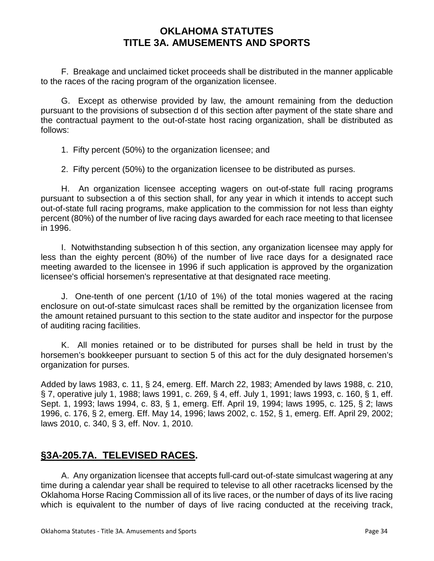F. Breakage and unclaimed ticket proceeds shall be distributed in the manner applicable to the races of the racing program of the organization licensee.

G. Except as otherwise provided by law, the amount remaining from the deduction pursuant to the provisions of subsection d of this section after payment of the state share and the contractual payment to the out-of-state host racing organization, shall be distributed as follows:

1. Fifty percent (50%) to the organization licensee; and

2. Fifty percent (50%) to the organization licensee to be distributed as purses.

H. An organization licensee accepting wagers on out-of-state full racing programs pursuant to subsection a of this section shall, for any year in which it intends to accept such out-of-state full racing programs, make application to the commission for not less than eighty percent (80%) of the number of live racing days awarded for each race meeting to that licensee in 1996.

I. Notwithstanding subsection h of this section, any organization licensee may apply for less than the eighty percent (80%) of the number of live race days for a designated race meeting awarded to the licensee in 1996 if such application is approved by the organization licensee's official horsemen's representative at that designated race meeting.

J. One-tenth of one percent (1/10 of 1%) of the total monies wagered at the racing enclosure on out-of-state simulcast races shall be remitted by the organization licensee from the amount retained pursuant to this section to the state auditor and inspector for the purpose of auditing racing facilities.

K. All monies retained or to be distributed for purses shall be held in trust by the horsemen's bookkeeper pursuant to section 5 of this act for the duly designated horsemen's organization for purses.

Added by laws 1983, c. 11, § 24, emerg. Eff. March 22, 1983; Amended by laws 1988, c. 210, § 7, operative july 1, 1988; laws 1991, c. 269, § 4, eff. July 1, 1991; laws 1993, c. 160, § 1, eff. Sept. 1, 1993; laws 1994, c. 83, § 1, emerg. Eff. April 19, 1994; laws 1995, c. 125, § 2; laws 1996, c. 176, § 2, emerg. Eff. May 14, 1996; laws 2002, c. 152, § 1, emerg. Eff. April 29, 2002; laws 2010, c. 340, § 3, eff. Nov. 1, 2010.

# **§3A-205.7A. TELEVISED RACES.**

A. Any organization licensee that accepts full-card out-of-state simulcast wagering at any time during a calendar year shall be required to televise to all other racetracks licensed by the Oklahoma Horse Racing Commission all of its live races, or the number of days of its live racing which is equivalent to the number of days of live racing conducted at the receiving track,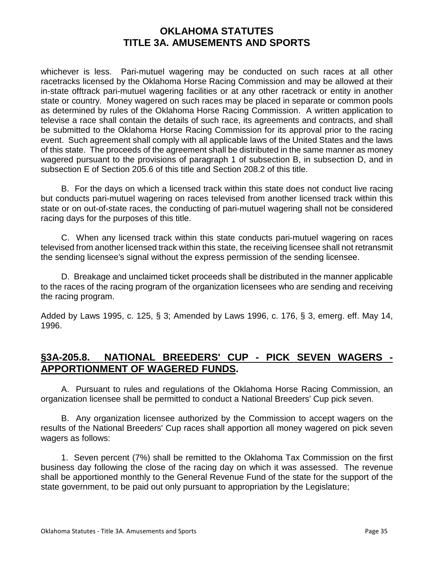whichever is less. Pari-mutuel wagering may be conducted on such races at all other racetracks licensed by the Oklahoma Horse Racing Commission and may be allowed at their in-state offtrack pari-mutuel wagering facilities or at any other racetrack or entity in another state or country. Money wagered on such races may be placed in separate or common pools as determined by rules of the Oklahoma Horse Racing Commission. A written application to televise a race shall contain the details of such race, its agreements and contracts, and shall be submitted to the Oklahoma Horse Racing Commission for its approval prior to the racing event. Such agreement shall comply with all applicable laws of the United States and the laws of this state. The proceeds of the agreement shall be distributed in the same manner as money wagered pursuant to the provisions of paragraph 1 of subsection B, in subsection D, and in subsection E of Section 205.6 of this title and Section 208.2 of this title.

B. For the days on which a licensed track within this state does not conduct live racing but conducts pari-mutuel wagering on races televised from another licensed track within this state or on out-of-state races, the conducting of pari-mutuel wagering shall not be considered racing days for the purposes of this title.

C. When any licensed track within this state conducts pari-mutuel wagering on races televised from another licensed track within this state, the receiving licensee shall not retransmit the sending licensee's signal without the express permission of the sending licensee.

D. Breakage and unclaimed ticket proceeds shall be distributed in the manner applicable to the races of the racing program of the organization licensees who are sending and receiving the racing program.

Added by Laws 1995, c. 125, § 3; Amended by Laws 1996, c. 176, § 3, emerg. eff. May 14, 1996.

# **§3A-205.8. NATIONAL BREEDERS' CUP - PICK SEVEN WAGERS - APPORTIONMENT OF WAGERED FUNDS.**

A. Pursuant to rules and regulations of the Oklahoma Horse Racing Commission, an organization licensee shall be permitted to conduct a National Breeders' Cup pick seven.

B. Any organization licensee authorized by the Commission to accept wagers on the results of the National Breeders' Cup races shall apportion all money wagered on pick seven wagers as follows:

1. Seven percent (7%) shall be remitted to the Oklahoma Tax Commission on the first business day following the close of the racing day on which it was assessed. The revenue shall be apportioned monthly to the General Revenue Fund of the state for the support of the state government, to be paid out only pursuant to appropriation by the Legislature;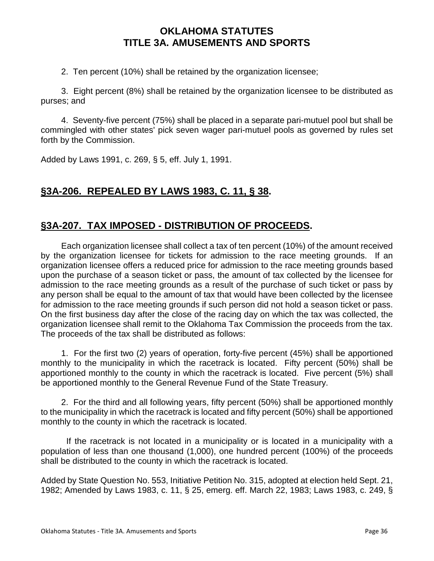2. Ten percent (10%) shall be retained by the organization licensee;

3. Eight percent (8%) shall be retained by the organization licensee to be distributed as purses; and

4. Seventy-five percent (75%) shall be placed in a separate pari-mutuel pool but shall be commingled with other states' pick seven wager pari-mutuel pools as governed by rules set forth by the Commission.

Added by Laws 1991, c. 269, § 5, eff. July 1, 1991.

# **§3A-206. REPEALED BY LAWS 1983, C. 11, § 38.**

# **§3A-207. TAX IMPOSED - DISTRIBUTION OF PROCEEDS.**

Each organization licensee shall collect a tax of ten percent (10%) of the amount received by the organization licensee for tickets for admission to the race meeting grounds. If an organization licensee offers a reduced price for admission to the race meeting grounds based upon the purchase of a season ticket or pass, the amount of tax collected by the licensee for admission to the race meeting grounds as a result of the purchase of such ticket or pass by any person shall be equal to the amount of tax that would have been collected by the licensee for admission to the race meeting grounds if such person did not hold a season ticket or pass. On the first business day after the close of the racing day on which the tax was collected, the organization licensee shall remit to the Oklahoma Tax Commission the proceeds from the tax. The proceeds of the tax shall be distributed as follows:

1. For the first two (2) years of operation, forty-five percent (45%) shall be apportioned monthly to the municipality in which the racetrack is located. Fifty percent (50%) shall be apportioned monthly to the county in which the racetrack is located. Five percent (5%) shall be apportioned monthly to the General Revenue Fund of the State Treasury.

2. For the third and all following years, fifty percent (50%) shall be apportioned monthly to the municipality in which the racetrack is located and fifty percent (50%) shall be apportioned monthly to the county in which the racetrack is located.

 If the racetrack is not located in a municipality or is located in a municipality with a population of less than one thousand (1,000), one hundred percent (100%) of the proceeds shall be distributed to the county in which the racetrack is located.

Added by State Question No. 553, Initiative Petition No. 315, adopted at election held Sept. 21, 1982; Amended by Laws 1983, c. 11, § 25, emerg. eff. March 22, 1983; Laws 1983, c. 249, §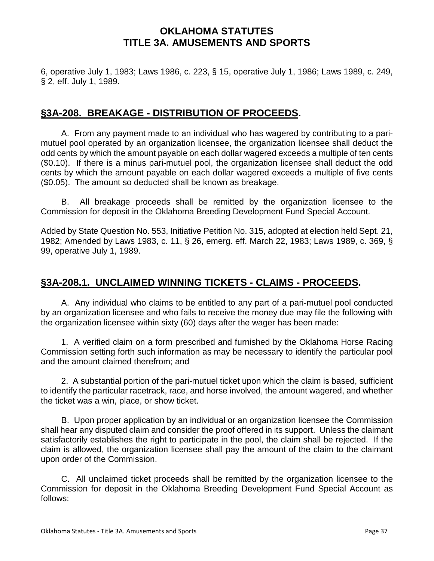6, operative July 1, 1983; Laws 1986, c. 223, § 15, operative July 1, 1986; Laws 1989, c. 249, § 2, eff. July 1, 1989.

# **§3A-208. BREAKAGE - DISTRIBUTION OF PROCEEDS.**

A. From any payment made to an individual who has wagered by contributing to a parimutuel pool operated by an organization licensee, the organization licensee shall deduct the odd cents by which the amount payable on each dollar wagered exceeds a multiple of ten cents (\$0.10). If there is a minus pari-mutuel pool, the organization licensee shall deduct the odd cents by which the amount payable on each dollar wagered exceeds a multiple of five cents (\$0.05). The amount so deducted shall be known as breakage.

B. All breakage proceeds shall be remitted by the organization licensee to the Commission for deposit in the Oklahoma Breeding Development Fund Special Account.

Added by State Question No. 553, Initiative Petition No. 315, adopted at election held Sept. 21, 1982; Amended by Laws 1983, c. 11, § 26, emerg. eff. March 22, 1983; Laws 1989, c. 369, § 99, operative July 1, 1989.

# **§3A-208.1. UNCLAIMED WINNING TICKETS - CLAIMS - PROCEEDS.**

A. Any individual who claims to be entitled to any part of a pari-mutuel pool conducted by an organization licensee and who fails to receive the money due may file the following with the organization licensee within sixty (60) days after the wager has been made:

1. A verified claim on a form prescribed and furnished by the Oklahoma Horse Racing Commission setting forth such information as may be necessary to identify the particular pool and the amount claimed therefrom; and

2. A substantial portion of the pari-mutuel ticket upon which the claim is based, sufficient to identify the particular racetrack, race, and horse involved, the amount wagered, and whether the ticket was a win, place, or show ticket.

B. Upon proper application by an individual or an organization licensee the Commission shall hear any disputed claim and consider the proof offered in its support. Unless the claimant satisfactorily establishes the right to participate in the pool, the claim shall be rejected. If the claim is allowed, the organization licensee shall pay the amount of the claim to the claimant upon order of the Commission.

C. All unclaimed ticket proceeds shall be remitted by the organization licensee to the Commission for deposit in the Oklahoma Breeding Development Fund Special Account as follows: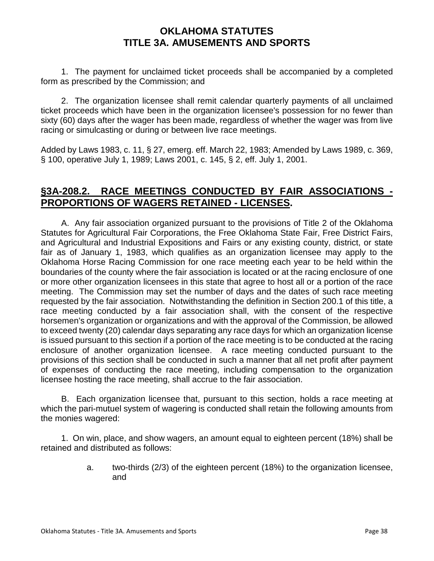1. The payment for unclaimed ticket proceeds shall be accompanied by a completed form as prescribed by the Commission; and

2. The organization licensee shall remit calendar quarterly payments of all unclaimed ticket proceeds which have been in the organization licensee's possession for no fewer than sixty (60) days after the wager has been made, regardless of whether the wager was from live racing or simulcasting or during or between live race meetings.

Added by Laws 1983, c. 11, § 27, emerg. eff. March 22, 1983; Amended by Laws 1989, c. 369, § 100, operative July 1, 1989; Laws 2001, c. 145, § 2, eff. July 1, 2001.

## **§3A-208.2. RACE MEETINGS CONDUCTED BY FAIR ASSOCIATIONS - PROPORTIONS OF WAGERS RETAINED - LICENSES.**

A. Any fair association organized pursuant to the provisions of Title 2 of the Oklahoma Statutes for Agricultural Fair Corporations, the Free Oklahoma State Fair, Free District Fairs, and Agricultural and Industrial Expositions and Fairs or any existing county, district, or state fair as of January 1, 1983, which qualifies as an organization licensee may apply to the Oklahoma Horse Racing Commission for one race meeting each year to be held within the boundaries of the county where the fair association is located or at the racing enclosure of one or more other organization licensees in this state that agree to host all or a portion of the race meeting. The Commission may set the number of days and the dates of such race meeting requested by the fair association. Notwithstanding the definition in Section 200.1 of this title, a race meeting conducted by a fair association shall, with the consent of the respective horsemen's organization or organizations and with the approval of the Commission, be allowed to exceed twenty (20) calendar days separating any race days for which an organization license is issued pursuant to this section if a portion of the race meeting is to be conducted at the racing enclosure of another organization licensee. A race meeting conducted pursuant to the provisions of this section shall be conducted in such a manner that all net profit after payment of expenses of conducting the race meeting, including compensation to the organization licensee hosting the race meeting, shall accrue to the fair association.

B. Each organization licensee that, pursuant to this section, holds a race meeting at which the pari-mutuel system of wagering is conducted shall retain the following amounts from the monies wagered:

1. On win, place, and show wagers, an amount equal to eighteen percent (18%) shall be retained and distributed as follows:

> a. two-thirds (2/3) of the eighteen percent (18%) to the organization licensee, and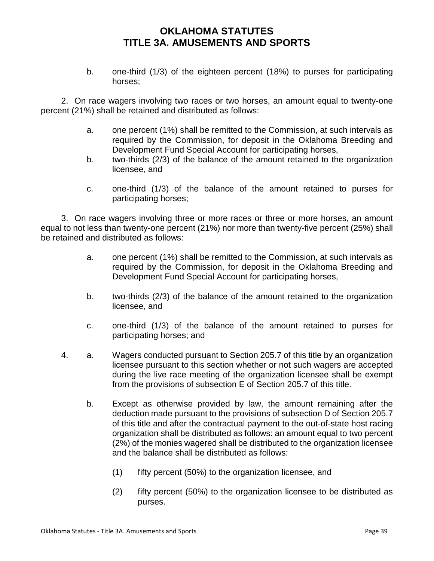b. one-third (1/3) of the eighteen percent (18%) to purses for participating horses;

2. On race wagers involving two races or two horses, an amount equal to twenty-one percent (21%) shall be retained and distributed as follows:

- a. one percent (1%) shall be remitted to the Commission, at such intervals as required by the Commission, for deposit in the Oklahoma Breeding and Development Fund Special Account for participating horses,
- b. two-thirds (2/3) of the balance of the amount retained to the organization licensee, and
- c. one-third (1/3) of the balance of the amount retained to purses for participating horses;

3. On race wagers involving three or more races or three or more horses, an amount equal to not less than twenty-one percent (21%) nor more than twenty-five percent (25%) shall be retained and distributed as follows:

- a. one percent (1%) shall be remitted to the Commission, at such intervals as required by the Commission, for deposit in the Oklahoma Breeding and Development Fund Special Account for participating horses,
- b. two-thirds (2/3) of the balance of the amount retained to the organization licensee, and
- c. one-third (1/3) of the balance of the amount retained to purses for participating horses; and
- 4. a. Wagers conducted pursuant to Section 205.7 of this title by an organization licensee pursuant to this section whether or not such wagers are accepted during the live race meeting of the organization licensee shall be exempt from the provisions of subsection E of Section 205.7 of this title.
	- b. Except as otherwise provided by law, the amount remaining after the deduction made pursuant to the provisions of subsection D of Section 205.7 of this title and after the contractual payment to the out-of-state host racing organization shall be distributed as follows: an amount equal to two percent (2%) of the monies wagered shall be distributed to the organization licensee and the balance shall be distributed as follows:
		- (1) fifty percent (50%) to the organization licensee, and
		- (2) fifty percent (50%) to the organization licensee to be distributed as purses.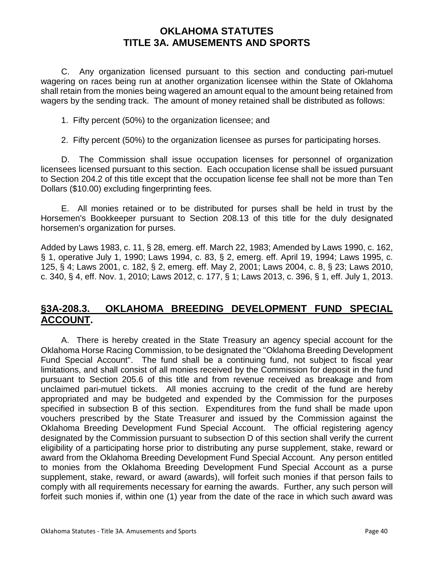C. Any organization licensed pursuant to this section and conducting pari-mutuel wagering on races being run at another organization licensee within the State of Oklahoma shall retain from the monies being wagered an amount equal to the amount being retained from wagers by the sending track. The amount of money retained shall be distributed as follows:

1. Fifty percent (50%) to the organization licensee; and

2. Fifty percent (50%) to the organization licensee as purses for participating horses.

D. The Commission shall issue occupation licenses for personnel of organization licensees licensed pursuant to this section. Each occupation license shall be issued pursuant to Section 204.2 of this title except that the occupation license fee shall not be more than Ten Dollars (\$10.00) excluding fingerprinting fees.

E. All monies retained or to be distributed for purses shall be held in trust by the Horsemen's Bookkeeper pursuant to Section 208.13 of this title for the duly designated horsemen's organization for purses.

Added by Laws 1983, c. 11, § 28, emerg. eff. March 22, 1983; Amended by Laws 1990, c. 162, § 1, operative July 1, 1990; Laws 1994, c. 83, § 2, emerg. eff. April 19, 1994; Laws 1995, c. 125, § 4; Laws 2001, c. 182, § 2, emerg. eff. May 2, 2001; Laws 2004, c. 8, § 23; Laws 2010, c. 340, § 4, eff. Nov. 1, 2010; Laws 2012, c. 177, § 1; Laws 2013, c. 396, § 1, eff. July 1, 2013.

## **§3A-208.3. OKLAHOMA BREEDING DEVELOPMENT FUND SPECIAL ACCOUNT.**

A. There is hereby created in the State Treasury an agency special account for the Oklahoma Horse Racing Commission, to be designated the "Oklahoma Breeding Development Fund Special Account". The fund shall be a continuing fund, not subject to fiscal year limitations, and shall consist of all monies received by the Commission for deposit in the fund pursuant to Section 205.6 of this title and from revenue received as breakage and from unclaimed pari-mutuel tickets. All monies accruing to the credit of the fund are hereby appropriated and may be budgeted and expended by the Commission for the purposes specified in subsection B of this section. Expenditures from the fund shall be made upon vouchers prescribed by the State Treasurer and issued by the Commission against the Oklahoma Breeding Development Fund Special Account. The official registering agency designated by the Commission pursuant to subsection D of this section shall verify the current eligibility of a participating horse prior to distributing any purse supplement, stake, reward or award from the Oklahoma Breeding Development Fund Special Account. Any person entitled to monies from the Oklahoma Breeding Development Fund Special Account as a purse supplement, stake, reward, or award (awards), will forfeit such monies if that person fails to comply with all requirements necessary for earning the awards. Further, any such person will forfeit such monies if, within one (1) year from the date of the race in which such award was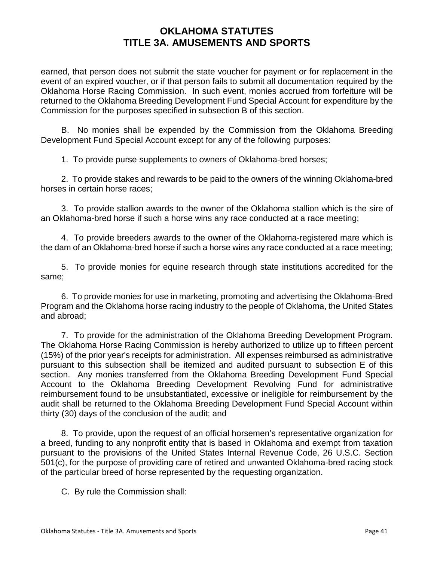earned, that person does not submit the state voucher for payment or for replacement in the event of an expired voucher, or if that person fails to submit all documentation required by the Oklahoma Horse Racing Commission. In such event, monies accrued from forfeiture will be returned to the Oklahoma Breeding Development Fund Special Account for expenditure by the Commission for the purposes specified in subsection B of this section.

B. No monies shall be expended by the Commission from the Oklahoma Breeding Development Fund Special Account except for any of the following purposes:

1. To provide purse supplements to owners of Oklahoma-bred horses;

2. To provide stakes and rewards to be paid to the owners of the winning Oklahoma-bred horses in certain horse races;

3. To provide stallion awards to the owner of the Oklahoma stallion which is the sire of an Oklahoma-bred horse if such a horse wins any race conducted at a race meeting;

4. To provide breeders awards to the owner of the Oklahoma-registered mare which is the dam of an Oklahoma-bred horse if such a horse wins any race conducted at a race meeting;

5. To provide monies for equine research through state institutions accredited for the same;

6. To provide monies for use in marketing, promoting and advertising the Oklahoma-Bred Program and the Oklahoma horse racing industry to the people of Oklahoma, the United States and abroad;

7. To provide for the administration of the Oklahoma Breeding Development Program. The Oklahoma Horse Racing Commission is hereby authorized to utilize up to fifteen percent (15%) of the prior year's receipts for administration. All expenses reimbursed as administrative pursuant to this subsection shall be itemized and audited pursuant to subsection E of this section. Any monies transferred from the Oklahoma Breeding Development Fund Special Account to the Oklahoma Breeding Development Revolving Fund for administrative reimbursement found to be unsubstantiated, excessive or ineligible for reimbursement by the audit shall be returned to the Oklahoma Breeding Development Fund Special Account within thirty (30) days of the conclusion of the audit; and

8. To provide, upon the request of an official horsemen's representative organization for a breed, funding to any nonprofit entity that is based in Oklahoma and exempt from taxation pursuant to the provisions of the United States Internal Revenue Code, 26 U.S.C. Section 501(c), for the purpose of providing care of retired and unwanted Oklahoma-bred racing stock of the particular breed of horse represented by the requesting organization.

C. By rule the Commission shall: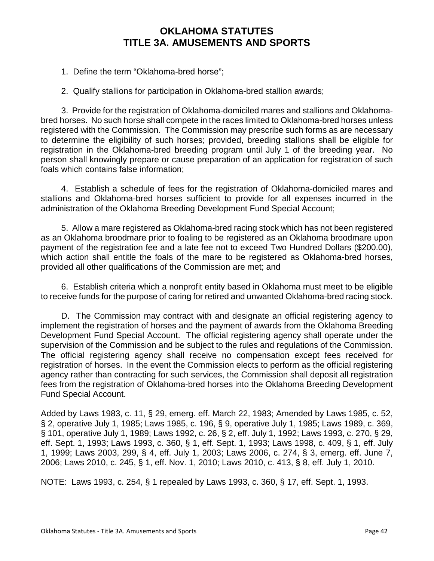1. Define the term "Oklahoma-bred horse";

2. Qualify stallions for participation in Oklahoma-bred stallion awards;

3. Provide for the registration of Oklahoma-domiciled mares and stallions and Oklahomabred horses. No such horse shall compete in the races limited to Oklahoma-bred horses unless registered with the Commission. The Commission may prescribe such forms as are necessary to determine the eligibility of such horses; provided, breeding stallions shall be eligible for registration in the Oklahoma-bred breeding program until July 1 of the breeding year. No person shall knowingly prepare or cause preparation of an application for registration of such foals which contains false information;

4. Establish a schedule of fees for the registration of Oklahoma-domiciled mares and stallions and Oklahoma-bred horses sufficient to provide for all expenses incurred in the administration of the Oklahoma Breeding Development Fund Special Account;

5. Allow a mare registered as Oklahoma-bred racing stock which has not been registered as an Oklahoma broodmare prior to foaling to be registered as an Oklahoma broodmare upon payment of the registration fee and a late fee not to exceed Two Hundred Dollars (\$200.00), which action shall entitle the foals of the mare to be registered as Oklahoma-bred horses, provided all other qualifications of the Commission are met; and

6. Establish criteria which a nonprofit entity based in Oklahoma must meet to be eligible to receive funds for the purpose of caring for retired and unwanted Oklahoma-bred racing stock.

D. The Commission may contract with and designate an official registering agency to implement the registration of horses and the payment of awards from the Oklahoma Breeding Development Fund Special Account. The official registering agency shall operate under the supervision of the Commission and be subject to the rules and regulations of the Commission. The official registering agency shall receive no compensation except fees received for registration of horses. In the event the Commission elects to perform as the official registering agency rather than contracting for such services, the Commission shall deposit all registration fees from the registration of Oklahoma-bred horses into the Oklahoma Breeding Development Fund Special Account.

Added by Laws 1983, c. 11, § 29, emerg. eff. March 22, 1983; Amended by Laws 1985, c. 52, § 2, operative July 1, 1985; Laws 1985, c. 196, § 9, operative July 1, 1985; Laws 1989, c. 369, § 101, operative July 1, 1989; Laws 1992, c. 26, § 2, eff. July 1, 1992; Laws 1993, c. 270, § 29, eff. Sept. 1, 1993; Laws 1993, c. 360, § 1, eff. Sept. 1, 1993; Laws 1998, c. 409, § 1, eff. July 1, 1999; Laws 2003, 299, § 4, eff. July 1, 2003; Laws 2006, c. 274, § 3, emerg. eff. June 7, 2006; Laws 2010, c. 245, § 1, eff. Nov. 1, 2010; Laws 2010, c. 413, § 8, eff. July 1, 2010.

NOTE: Laws 1993, c. 254, § 1 repealed by Laws 1993, c. 360, § 17, eff. Sept. 1, 1993.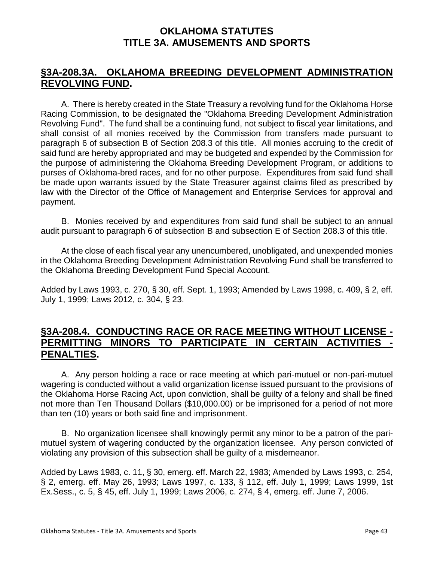## **§3A-208.3A. OKLAHOMA BREEDING DEVELOPMENT ADMINISTRATION REVOLVING FUND.**

A. There is hereby created in the State Treasury a revolving fund for the Oklahoma Horse Racing Commission, to be designated the "Oklahoma Breeding Development Administration Revolving Fund". The fund shall be a continuing fund, not subject to fiscal year limitations, and shall consist of all monies received by the Commission from transfers made pursuant to paragraph 6 of subsection B of Section 208.3 of this title. All monies accruing to the credit of said fund are hereby appropriated and may be budgeted and expended by the Commission for the purpose of administering the Oklahoma Breeding Development Program, or additions to purses of Oklahoma-bred races, and for no other purpose. Expenditures from said fund shall be made upon warrants issued by the State Treasurer against claims filed as prescribed by law with the Director of the Office of Management and Enterprise Services for approval and payment.

B. Monies received by and expenditures from said fund shall be subject to an annual audit pursuant to paragraph 6 of subsection B and subsection E of Section 208.3 of this title.

At the close of each fiscal year any unencumbered, unobligated, and unexpended monies in the Oklahoma Breeding Development Administration Revolving Fund shall be transferred to the Oklahoma Breeding Development Fund Special Account.

Added by Laws 1993, c. 270, § 30, eff. Sept. 1, 1993; Amended by Laws 1998, c. 409, § 2, eff. July 1, 1999; Laws 2012, c. 304, § 23.

## **§3A-208.4. CONDUCTING RACE OR RACE MEETING WITHOUT LICENSE - PERMITTING MINORS TO PARTICIPATE IN CERTAIN ACTIVITIES - PENALTIES.**

A. Any person holding a race or race meeting at which pari-mutuel or non-pari-mutuel wagering is conducted without a valid organization license issued pursuant to the provisions of the Oklahoma Horse Racing Act, upon conviction, shall be guilty of a felony and shall be fined not more than Ten Thousand Dollars (\$10,000.00) or be imprisoned for a period of not more than ten (10) years or both said fine and imprisonment.

B. No organization licensee shall knowingly permit any minor to be a patron of the parimutuel system of wagering conducted by the organization licensee. Any person convicted of violating any provision of this subsection shall be guilty of a misdemeanor.

Added by Laws 1983, c. 11, § 30, emerg. eff. March 22, 1983; Amended by Laws 1993, c. 254, § 2, emerg. eff. May 26, 1993; Laws 1997, c. 133, § 112, eff. July 1, 1999; Laws 1999, 1st Ex.Sess., c. 5, § 45, eff. July 1, 1999; Laws 2006, c. 274, § 4, emerg. eff. June 7, 2006.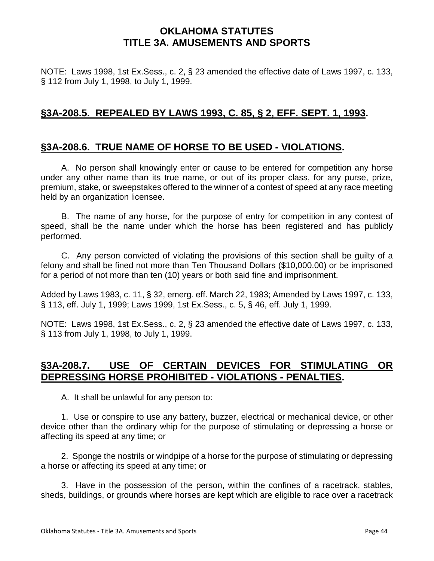NOTE: Laws 1998, 1st Ex.Sess., c. 2, § 23 amended the effective date of Laws 1997, c. 133, § 112 from July 1, 1998, to July 1, 1999.

## **§3A-208.5. REPEALED BY LAWS 1993, C. 85, § 2, EFF. SEPT. 1, 1993.**

## **§3A-208.6. TRUE NAME OF HORSE TO BE USED - VIOLATIONS.**

A. No person shall knowingly enter or cause to be entered for competition any horse under any other name than its true name, or out of its proper class, for any purse, prize, premium, stake, or sweepstakes offered to the winner of a contest of speed at any race meeting held by an organization licensee.

B. The name of any horse, for the purpose of entry for competition in any contest of speed, shall be the name under which the horse has been registered and has publicly performed.

C. Any person convicted of violating the provisions of this section shall be guilty of a felony and shall be fined not more than Ten Thousand Dollars (\$10,000.00) or be imprisoned for a period of not more than ten (10) years or both said fine and imprisonment.

Added by Laws 1983, c. 11, § 32, emerg. eff. March 22, 1983; Amended by Laws 1997, c. 133, § 113, eff. July 1, 1999; Laws 1999, 1st Ex.Sess., c. 5, § 46, eff. July 1, 1999.

NOTE: Laws 1998, 1st Ex.Sess., c. 2, § 23 amended the effective date of Laws 1997, c. 133, § 113 from July 1, 1998, to July 1, 1999.

## **§3A-208.7. USE OF CERTAIN DEVICES FOR STIMULATING OR DEPRESSING HORSE PROHIBITED - VIOLATIONS - PENALTIES.**

A. It shall be unlawful for any person to:

1. Use or conspire to use any battery, buzzer, electrical or mechanical device, or other device other than the ordinary whip for the purpose of stimulating or depressing a horse or affecting its speed at any time; or

2. Sponge the nostrils or windpipe of a horse for the purpose of stimulating or depressing a horse or affecting its speed at any time; or

3. Have in the possession of the person, within the confines of a racetrack, stables, sheds, buildings, or grounds where horses are kept which are eligible to race over a racetrack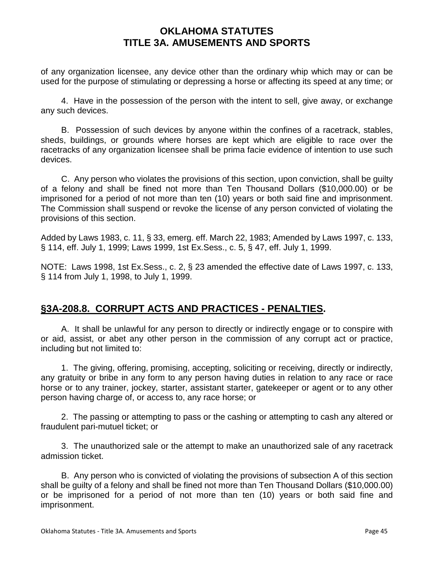of any organization licensee, any device other than the ordinary whip which may or can be used for the purpose of stimulating or depressing a horse or affecting its speed at any time; or

4. Have in the possession of the person with the intent to sell, give away, or exchange any such devices.

B. Possession of such devices by anyone within the confines of a racetrack, stables, sheds, buildings, or grounds where horses are kept which are eligible to race over the racetracks of any organization licensee shall be prima facie evidence of intention to use such devices.

C. Any person who violates the provisions of this section, upon conviction, shall be guilty of a felony and shall be fined not more than Ten Thousand Dollars (\$10,000.00) or be imprisoned for a period of not more than ten (10) years or both said fine and imprisonment. The Commission shall suspend or revoke the license of any person convicted of violating the provisions of this section.

Added by Laws 1983, c. 11, § 33, emerg. eff. March 22, 1983; Amended by Laws 1997, c. 133, § 114, eff. July 1, 1999; Laws 1999, 1st Ex.Sess., c. 5, § 47, eff. July 1, 1999.

NOTE: Laws 1998, 1st Ex.Sess., c. 2, § 23 amended the effective date of Laws 1997, c. 133, § 114 from July 1, 1998, to July 1, 1999.

# **§3A-208.8. CORRUPT ACTS AND PRACTICES - PENALTIES.**

A. It shall be unlawful for any person to directly or indirectly engage or to conspire with or aid, assist, or abet any other person in the commission of any corrupt act or practice, including but not limited to:

1. The giving, offering, promising, accepting, soliciting or receiving, directly or indirectly, any gratuity or bribe in any form to any person having duties in relation to any race or race horse or to any trainer, jockey, starter, assistant starter, gatekeeper or agent or to any other person having charge of, or access to, any race horse; or

2. The passing or attempting to pass or the cashing or attempting to cash any altered or fraudulent pari-mutuel ticket; or

3. The unauthorized sale or the attempt to make an unauthorized sale of any racetrack admission ticket.

B. Any person who is convicted of violating the provisions of subsection A of this section shall be guilty of a felony and shall be fined not more than Ten Thousand Dollars (\$10,000.00) or be imprisoned for a period of not more than ten (10) years or both said fine and imprisonment.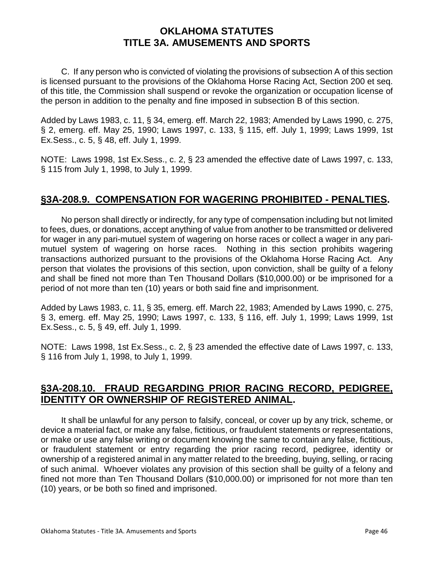C. If any person who is convicted of violating the provisions of subsection A of this section is licensed pursuant to the provisions of the Oklahoma Horse Racing Act, Section 200 et seq. of this title, the Commission shall suspend or revoke the organization or occupation license of the person in addition to the penalty and fine imposed in subsection B of this section.

Added by Laws 1983, c. 11, § 34, emerg. eff. March 22, 1983; Amended by Laws 1990, c. 275, § 2, emerg. eff. May 25, 1990; Laws 1997, c. 133, § 115, eff. July 1, 1999; Laws 1999, 1st Ex.Sess., c. 5, § 48, eff. July 1, 1999.

NOTE: Laws 1998, 1st Ex.Sess., c. 2, § 23 amended the effective date of Laws 1997, c. 133, § 115 from July 1, 1998, to July 1, 1999.

# **§3A-208.9. COMPENSATION FOR WAGERING PROHIBITED - PENALTIES.**

No person shall directly or indirectly, for any type of compensation including but not limited to fees, dues, or donations, accept anything of value from another to be transmitted or delivered for wager in any pari-mutuel system of wagering on horse races or collect a wager in any parimutuel system of wagering on horse races. Nothing in this section prohibits wagering transactions authorized pursuant to the provisions of the Oklahoma Horse Racing Act. Any person that violates the provisions of this section, upon conviction, shall be guilty of a felony and shall be fined not more than Ten Thousand Dollars (\$10,000.00) or be imprisoned for a period of not more than ten (10) years or both said fine and imprisonment.

Added by Laws 1983, c. 11, § 35, emerg. eff. March 22, 1983; Amended by Laws 1990, c. 275, § 3, emerg. eff. May 25, 1990; Laws 1997, c. 133, § 116, eff. July 1, 1999; Laws 1999, 1st Ex.Sess., c. 5, § 49, eff. July 1, 1999.

NOTE: Laws 1998, 1st Ex.Sess., c. 2, § 23 amended the effective date of Laws 1997, c. 133, § 116 from July 1, 1998, to July 1, 1999.

# **§3A-208.10. FRAUD REGARDING PRIOR RACING RECORD, PEDIGREE, IDENTITY OR OWNERSHIP OF REGISTERED ANIMAL.**

It shall be unlawful for any person to falsify, conceal, or cover up by any trick, scheme, or device a material fact, or make any false, fictitious, or fraudulent statements or representations, or make or use any false writing or document knowing the same to contain any false, fictitious, or fraudulent statement or entry regarding the prior racing record, pedigree, identity or ownership of a registered animal in any matter related to the breeding, buying, selling, or racing of such animal. Whoever violates any provision of this section shall be guilty of a felony and fined not more than Ten Thousand Dollars (\$10,000.00) or imprisoned for not more than ten (10) years, or be both so fined and imprisoned.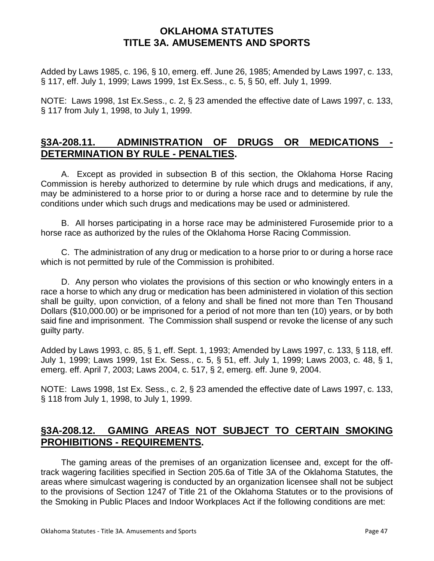Added by Laws 1985, c. 196, § 10, emerg. eff. June 26, 1985; Amended by Laws 1997, c. 133, § 117, eff. July 1, 1999; Laws 1999, 1st Ex.Sess., c. 5, § 50, eff. July 1, 1999.

NOTE: Laws 1998, 1st Ex.Sess., c. 2, § 23 amended the effective date of Laws 1997, c. 133, § 117 from July 1, 1998, to July 1, 1999.

# **§3A-208.11. ADMINISTRATION OF DRUGS OR MEDICATIONS - DETERMINATION BY RULE - PENALTIES.**

A. Except as provided in subsection B of this section, the Oklahoma Horse Racing Commission is hereby authorized to determine by rule which drugs and medications, if any, may be administered to a horse prior to or during a horse race and to determine by rule the conditions under which such drugs and medications may be used or administered.

B. All horses participating in a horse race may be administered Furosemide prior to a horse race as authorized by the rules of the Oklahoma Horse Racing Commission.

C. The administration of any drug or medication to a horse prior to or during a horse race which is not permitted by rule of the Commission is prohibited.

D. Any person who violates the provisions of this section or who knowingly enters in a race a horse to which any drug or medication has been administered in violation of this section shall be guilty, upon conviction, of a felony and shall be fined not more than Ten Thousand Dollars (\$10,000.00) or be imprisoned for a period of not more than ten (10) years, or by both said fine and imprisonment. The Commission shall suspend or revoke the license of any such guilty party.

Added by Laws 1993, c. 85, § 1, eff. Sept. 1, 1993; Amended by Laws 1997, c. 133, § 118, eff. July 1, 1999; Laws 1999, 1st Ex. Sess., c. 5, § 51, eff. July 1, 1999; Laws 2003, c. 48, § 1, emerg. eff. April 7, 2003; Laws 2004, c. 517, § 2, emerg. eff. June 9, 2004.

NOTE: Laws 1998, 1st Ex. Sess., c. 2, § 23 amended the effective date of Laws 1997, c. 133, § 118 from July 1, 1998, to July 1, 1999.

## **§3A-208.12. GAMING AREAS NOT SUBJECT TO CERTAIN SMOKING PROHIBITIONS - REQUIREMENTS.**

The gaming areas of the premises of an organization licensee and, except for the offtrack wagering facilities specified in Section 205.6a of Title 3A of the Oklahoma Statutes, the areas where simulcast wagering is conducted by an organization licensee shall not be subject to the provisions of Section 1247 of Title 21 of the Oklahoma Statutes or to the provisions of the Smoking in Public Places and Indoor Workplaces Act if the following conditions are met: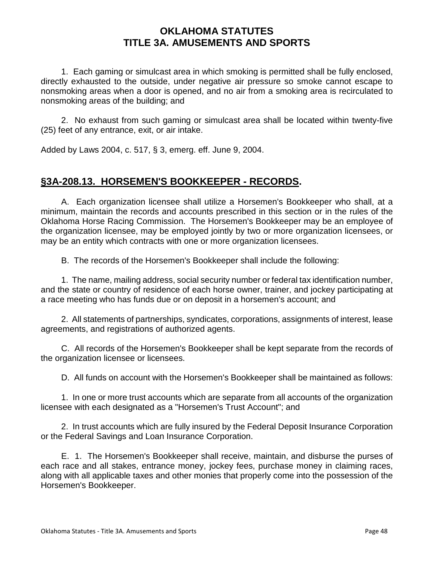1. Each gaming or simulcast area in which smoking is permitted shall be fully enclosed, directly exhausted to the outside, under negative air pressure so smoke cannot escape to nonsmoking areas when a door is opened, and no air from a smoking area is recirculated to nonsmoking areas of the building; and

2. No exhaust from such gaming or simulcast area shall be located within twenty-five (25) feet of any entrance, exit, or air intake.

Added by Laws 2004, c. 517, § 3, emerg. eff. June 9, 2004.

## **§3A-208.13. HORSEMEN'S BOOKKEEPER - RECORDS.**

A. Each organization licensee shall utilize a Horsemen's Bookkeeper who shall, at a minimum, maintain the records and accounts prescribed in this section or in the rules of the Oklahoma Horse Racing Commission. The Horsemen's Bookkeeper may be an employee of the organization licensee, may be employed jointly by two or more organization licensees, or may be an entity which contracts with one or more organization licensees.

B. The records of the Horsemen's Bookkeeper shall include the following:

1. The name, mailing address, social security number or federal tax identification number, and the state or country of residence of each horse owner, trainer, and jockey participating at a race meeting who has funds due or on deposit in a horsemen's account; and

2. All statements of partnerships, syndicates, corporations, assignments of interest, lease agreements, and registrations of authorized agents.

C. All records of the Horsemen's Bookkeeper shall be kept separate from the records of the organization licensee or licensees.

D. All funds on account with the Horsemen's Bookkeeper shall be maintained as follows:

1. In one or more trust accounts which are separate from all accounts of the organization licensee with each designated as a "Horsemen's Trust Account"; and

2. In trust accounts which are fully insured by the Federal Deposit Insurance Corporation or the Federal Savings and Loan Insurance Corporation.

E. 1. The Horsemen's Bookkeeper shall receive, maintain, and disburse the purses of each race and all stakes, entrance money, jockey fees, purchase money in claiming races, along with all applicable taxes and other monies that properly come into the possession of the Horsemen's Bookkeeper.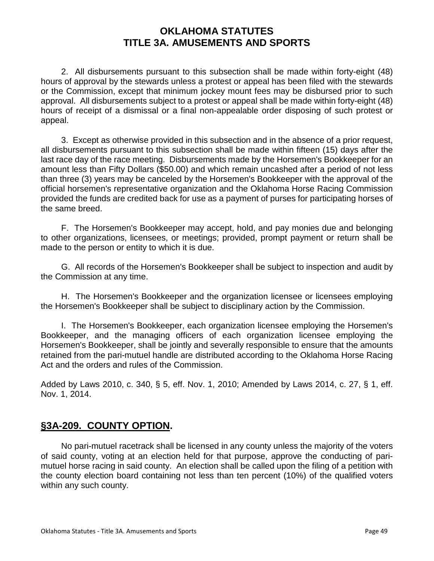2. All disbursements pursuant to this subsection shall be made within forty-eight (48) hours of approval by the stewards unless a protest or appeal has been filed with the stewards or the Commission, except that minimum jockey mount fees may be disbursed prior to such approval. All disbursements subject to a protest or appeal shall be made within forty-eight (48) hours of receipt of a dismissal or a final non-appealable order disposing of such protest or appeal.

3. Except as otherwise provided in this subsection and in the absence of a prior request, all disbursements pursuant to this subsection shall be made within fifteen (15) days after the last race day of the race meeting. Disbursements made by the Horsemen's Bookkeeper for an amount less than Fifty Dollars (\$50.00) and which remain uncashed after a period of not less than three (3) years may be canceled by the Horsemen's Bookkeeper with the approval of the official horsemen's representative organization and the Oklahoma Horse Racing Commission provided the funds are credited back for use as a payment of purses for participating horses of the same breed.

F. The Horsemen's Bookkeeper may accept, hold, and pay monies due and belonging to other organizations, licensees, or meetings; provided, prompt payment or return shall be made to the person or entity to which it is due.

G. All records of the Horsemen's Bookkeeper shall be subject to inspection and audit by the Commission at any time.

H. The Horsemen's Bookkeeper and the organization licensee or licensees employing the Horsemen's Bookkeeper shall be subject to disciplinary action by the Commission.

I. The Horsemen's Bookkeeper, each organization licensee employing the Horsemen's Bookkeeper, and the managing officers of each organization licensee employing the Horsemen's Bookkeeper, shall be jointly and severally responsible to ensure that the amounts retained from the pari-mutuel handle are distributed according to the Oklahoma Horse Racing Act and the orders and rules of the Commission.

Added by Laws 2010, c. 340, § 5, eff. Nov. 1, 2010; Amended by Laws 2014, c. 27, § 1, eff. Nov. 1, 2014.

# **§3A-209. COUNTY OPTION.**

No pari-mutuel racetrack shall be licensed in any county unless the majority of the voters of said county, voting at an election held for that purpose, approve the conducting of parimutuel horse racing in said county. An election shall be called upon the filing of a petition with the county election board containing not less than ten percent (10%) of the qualified voters within any such county.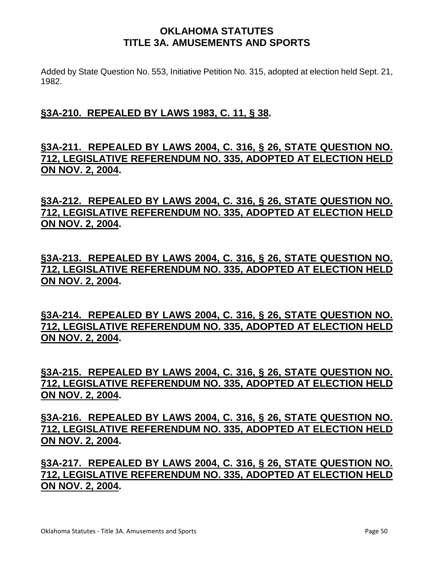Added by State Question No. 553, Initiative Petition No. 315, adopted at election held Sept. 21, 1982.

# **§3A-210. REPEALED BY LAWS 1983, C. 11, § 38.**

# **§3A-211. REPEALED BY LAWS 2004, C. 316, § 26, STATE QUESTION NO. 712, LEGISLATIVE REFERENDUM NO. 335, ADOPTED AT ELECTION HELD ON NOV. 2, 2004.**

**§3A-212. REPEALED BY LAWS 2004, C. 316, § 26, STATE QUESTION NO. 712, LEGISLATIVE REFERENDUM NO. 335, ADOPTED AT ELECTION HELD ON NOV. 2, 2004.** 

**§3A-213. REPEALED BY LAWS 2004, C. 316, § 26, STATE QUESTION NO. 712, LEGISLATIVE REFERENDUM NO. 335, ADOPTED AT ELECTION HELD ON NOV. 2, 2004.** 

**§3A-214. REPEALED BY LAWS 2004, C. 316, § 26, STATE QUESTION NO. 712, LEGISLATIVE REFERENDUM NO. 335, ADOPTED AT ELECTION HELD ON NOV. 2, 2004.** 

**§3A-215. REPEALED BY LAWS 2004, C. 316, § 26, STATE QUESTION NO. 712, LEGISLATIVE REFERENDUM NO. 335, ADOPTED AT ELECTION HELD ON NOV. 2, 2004.** 

**§3A-216. REPEALED BY LAWS 2004, C. 316, § 26, STATE QUESTION NO. 712, LEGISLATIVE REFERENDUM NO. 335, ADOPTED AT ELECTION HELD ON NOV. 2, 2004.** 

**§3A-217. REPEALED BY LAWS 2004, C. 316, § 26, STATE QUESTION NO. 712, LEGISLATIVE REFERENDUM NO. 335, ADOPTED AT ELECTION HELD ON NOV. 2, 2004.**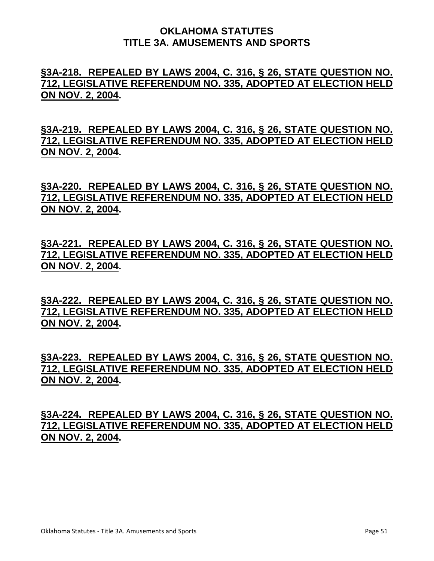## **§3A-218. REPEALED BY LAWS 2004, C. 316, § 26, STATE QUESTION NO. 712, LEGISLATIVE REFERENDUM NO. 335, ADOPTED AT ELECTION HELD ON NOV. 2, 2004.**

**§3A-219. REPEALED BY LAWS 2004, C. 316, § 26, STATE QUESTION NO. 712, LEGISLATIVE REFERENDUM NO. 335, ADOPTED AT ELECTION HELD ON NOV. 2, 2004.** 

**§3A-220. REPEALED BY LAWS 2004, C. 316, § 26, STATE QUESTION NO. 712, LEGISLATIVE REFERENDUM NO. 335, ADOPTED AT ELECTION HELD ON NOV. 2, 2004.** 

**§3A-221. REPEALED BY LAWS 2004, C. 316, § 26, STATE QUESTION NO. 712, LEGISLATIVE REFERENDUM NO. 335, ADOPTED AT ELECTION HELD ON NOV. 2, 2004.** 

**§3A-222. REPEALED BY LAWS 2004, C. 316, § 26, STATE QUESTION NO. 712, LEGISLATIVE REFERENDUM NO. 335, ADOPTED AT ELECTION HELD ON NOV. 2, 2004.** 

**§3A-223. REPEALED BY LAWS 2004, C. 316, § 26, STATE QUESTION NO. 712, LEGISLATIVE REFERENDUM NO. 335, ADOPTED AT ELECTION HELD ON NOV. 2, 2004.** 

**§3A-224. REPEALED BY LAWS 2004, C. 316, § 26, STATE QUESTION NO. 712, LEGISLATIVE REFERENDUM NO. 335, ADOPTED AT ELECTION HELD ON NOV. 2, 2004.**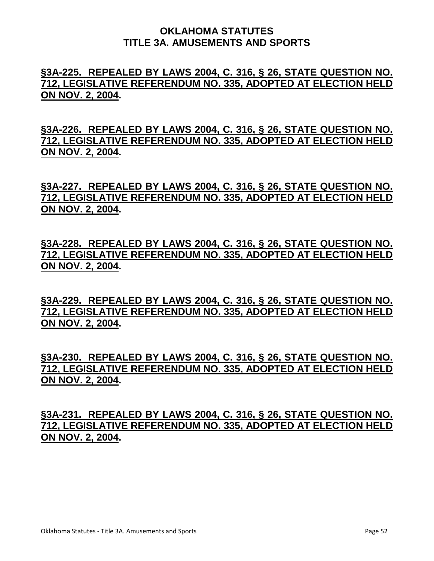## **§3A-225. REPEALED BY LAWS 2004, C. 316, § 26, STATE QUESTION NO. 712, LEGISLATIVE REFERENDUM NO. 335, ADOPTED AT ELECTION HELD ON NOV. 2, 2004.**

**§3A-226. REPEALED BY LAWS 2004, C. 316, § 26, STATE QUESTION NO. 712, LEGISLATIVE REFERENDUM NO. 335, ADOPTED AT ELECTION HELD ON NOV. 2, 2004.** 

**§3A-227. REPEALED BY LAWS 2004, C. 316, § 26, STATE QUESTION NO. 712, LEGISLATIVE REFERENDUM NO. 335, ADOPTED AT ELECTION HELD ON NOV. 2, 2004.** 

**§3A-228. REPEALED BY LAWS 2004, C. 316, § 26, STATE QUESTION NO. 712, LEGISLATIVE REFERENDUM NO. 335, ADOPTED AT ELECTION HELD ON NOV. 2, 2004.** 

**§3A-229. REPEALED BY LAWS 2004, C. 316, § 26, STATE QUESTION NO. 712, LEGISLATIVE REFERENDUM NO. 335, ADOPTED AT ELECTION HELD ON NOV. 2, 2004.** 

**§3A-230. REPEALED BY LAWS 2004, C. 316, § 26, STATE QUESTION NO. 712, LEGISLATIVE REFERENDUM NO. 335, ADOPTED AT ELECTION HELD ON NOV. 2, 2004.** 

**§3A-231. REPEALED BY LAWS 2004, C. 316, § 26, STATE QUESTION NO. 712, LEGISLATIVE REFERENDUM NO. 335, ADOPTED AT ELECTION HELD ON NOV. 2, 2004.**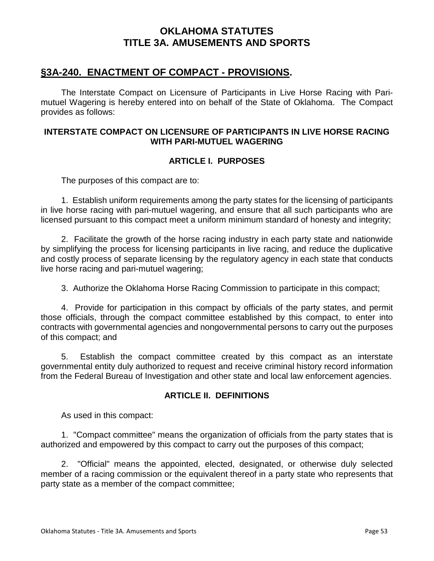## **§3A-240. ENACTMENT OF COMPACT - PROVISIONS.**

The Interstate Compact on Licensure of Participants in Live Horse Racing with Parimutuel Wagering is hereby entered into on behalf of the State of Oklahoma. The Compact provides as follows:

#### **INTERSTATE COMPACT ON LICENSURE OF PARTICIPANTS IN LIVE HORSE RACING WITH PARI-MUTUEL WAGERING**

### **ARTICLE I. PURPOSES**

The purposes of this compact are to:

1. Establish uniform requirements among the party states for the licensing of participants in live horse racing with pari-mutuel wagering, and ensure that all such participants who are licensed pursuant to this compact meet a uniform minimum standard of honesty and integrity;

2. Facilitate the growth of the horse racing industry in each party state and nationwide by simplifying the process for licensing participants in live racing, and reduce the duplicative and costly process of separate licensing by the regulatory agency in each state that conducts live horse racing and pari-mutuel wagering;

3. Authorize the Oklahoma Horse Racing Commission to participate in this compact;

4. Provide for participation in this compact by officials of the party states, and permit those officials, through the compact committee established by this compact, to enter into contracts with governmental agencies and nongovernmental persons to carry out the purposes of this compact; and

5. Establish the compact committee created by this compact as an interstate governmental entity duly authorized to request and receive criminal history record information from the Federal Bureau of Investigation and other state and local law enforcement agencies.

#### **ARTICLE II. DEFINITIONS**

As used in this compact:

1. "Compact committee" means the organization of officials from the party states that is authorized and empowered by this compact to carry out the purposes of this compact;

2. "Official" means the appointed, elected, designated, or otherwise duly selected member of a racing commission or the equivalent thereof in a party state who represents that party state as a member of the compact committee;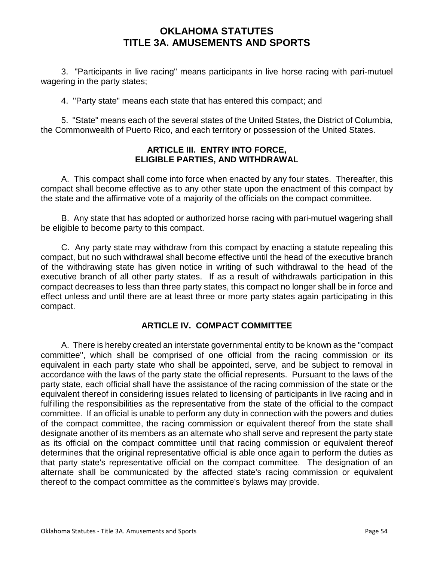3. "Participants in live racing" means participants in live horse racing with pari-mutuel wagering in the party states;

4. "Party state" means each state that has entered this compact; and

5. "State" means each of the several states of the United States, the District of Columbia, the Commonwealth of Puerto Rico, and each territory or possession of the United States.

#### **ARTICLE III. ENTRY INTO FORCE, ELIGIBLE PARTIES, AND WITHDRAWAL**

A. This compact shall come into force when enacted by any four states. Thereafter, this compact shall become effective as to any other state upon the enactment of this compact by the state and the affirmative vote of a majority of the officials on the compact committee.

B. Any state that has adopted or authorized horse racing with pari-mutuel wagering shall be eligible to become party to this compact.

C. Any party state may withdraw from this compact by enacting a statute repealing this compact, but no such withdrawal shall become effective until the head of the executive branch of the withdrawing state has given notice in writing of such withdrawal to the head of the executive branch of all other party states. If as a result of withdrawals participation in this compact decreases to less than three party states, this compact no longer shall be in force and effect unless and until there are at least three or more party states again participating in this compact.

#### **ARTICLE IV. COMPACT COMMITTEE**

A. There is hereby created an interstate governmental entity to be known as the "compact committee", which shall be comprised of one official from the racing commission or its equivalent in each party state who shall be appointed, serve, and be subject to removal in accordance with the laws of the party state the official represents. Pursuant to the laws of the party state, each official shall have the assistance of the racing commission of the state or the equivalent thereof in considering issues related to licensing of participants in live racing and in fulfilling the responsibilities as the representative from the state of the official to the compact committee. If an official is unable to perform any duty in connection with the powers and duties of the compact committee, the racing commission or equivalent thereof from the state shall designate another of its members as an alternate who shall serve and represent the party state as its official on the compact committee until that racing commission or equivalent thereof determines that the original representative official is able once again to perform the duties as that party state's representative official on the compact committee. The designation of an alternate shall be communicated by the affected state's racing commission or equivalent thereof to the compact committee as the committee's bylaws may provide.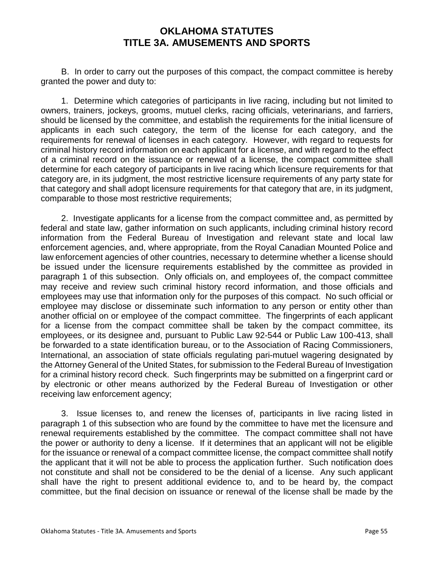B. In order to carry out the purposes of this compact, the compact committee is hereby granted the power and duty to:

1. Determine which categories of participants in live racing, including but not limited to owners, trainers, jockeys, grooms, mutuel clerks, racing officials, veterinarians, and farriers, should be licensed by the committee, and establish the requirements for the initial licensure of applicants in each such category, the term of the license for each category, and the requirements for renewal of licenses in each category. However, with regard to requests for criminal history record information on each applicant for a license, and with regard to the effect of a criminal record on the issuance or renewal of a license, the compact committee shall determine for each category of participants in live racing which licensure requirements for that category are, in its judgment, the most restrictive licensure requirements of any party state for that category and shall adopt licensure requirements for that category that are, in its judgment, comparable to those most restrictive requirements;

2. Investigate applicants for a license from the compact committee and, as permitted by federal and state law, gather information on such applicants, including criminal history record information from the Federal Bureau of Investigation and relevant state and local law enforcement agencies, and, where appropriate, from the Royal Canadian Mounted Police and law enforcement agencies of other countries, necessary to determine whether a license should be issued under the licensure requirements established by the committee as provided in paragraph 1 of this subsection. Only officials on, and employees of, the compact committee may receive and review such criminal history record information, and those officials and employees may use that information only for the purposes of this compact. No such official or employee may disclose or disseminate such information to any person or entity other than another official on or employee of the compact committee. The fingerprints of each applicant for a license from the compact committee shall be taken by the compact committee, its employees, or its designee and, pursuant to Public Law 92-544 or Public Law 100-413, shall be forwarded to a state identification bureau, or to the Association of Racing Commissioners, International, an association of state officials regulating pari-mutuel wagering designated by the Attorney General of the United States, for submission to the Federal Bureau of Investigation for a criminal history record check. Such fingerprints may be submitted on a fingerprint card or by electronic or other means authorized by the Federal Bureau of Investigation or other receiving law enforcement agency;

3. Issue licenses to, and renew the licenses of, participants in live racing listed in paragraph 1 of this subsection who are found by the committee to have met the licensure and renewal requirements established by the committee. The compact committee shall not have the power or authority to deny a license. If it determines that an applicant will not be eligible for the issuance or renewal of a compact committee license, the compact committee shall notify the applicant that it will not be able to process the application further. Such notification does not constitute and shall not be considered to be the denial of a license. Any such applicant shall have the right to present additional evidence to, and to be heard by, the compact committee, but the final decision on issuance or renewal of the license shall be made by the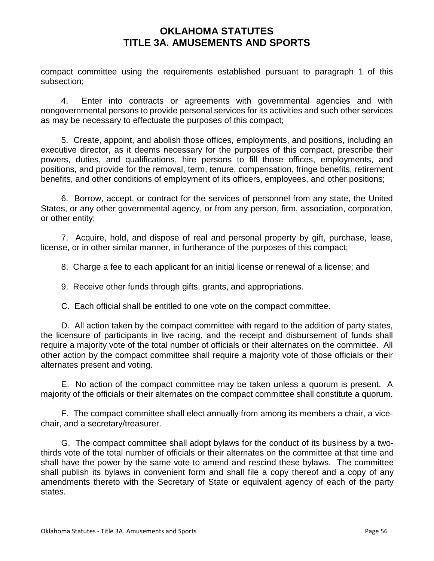compact committee using the requirements established pursuant to paragraph 1 of this subsection;

4. Enter into contracts or agreements with governmental agencies and with nongovernmental persons to provide personal services for its activities and such other services as may be necessary to effectuate the purposes of this compact;

5. Create, appoint, and abolish those offices, employments, and positions, including an executive director, as it deems necessary for the purposes of this compact, prescribe their powers, duties, and qualifications, hire persons to fill those offices, employments, and positions, and provide for the removal, term, tenure, compensation, fringe benefits, retirement benefits, and other conditions of employment of its officers, employees, and other positions;

6. Borrow, accept, or contract for the services of personnel from any state, the United States, or any other governmental agency, or from any person, firm, association, corporation, or other entity;

7. Acquire, hold, and dispose of real and personal property by gift, purchase, lease, license, or in other similar manner, in furtherance of the purposes of this compact;

8. Charge a fee to each applicant for an initial license or renewal of a license; and

9. Receive other funds through gifts, grants, and appropriations.

C. Each official shall be entitled to one vote on the compact committee.

D. All action taken by the compact committee with regard to the addition of party states, the licensure of participants in live racing, and the receipt and disbursement of funds shall require a majority vote of the total number of officials or their alternates on the committee. All other action by the compact committee shall require a majority vote of those officials or their alternates present and voting.

E. No action of the compact committee may be taken unless a quorum is present. A majority of the officials or their alternates on the compact committee shall constitute a quorum.

F. The compact committee shall elect annually from among its members a chair, a vicechair, and a secretary/treasurer.

G. The compact committee shall adopt bylaws for the conduct of its business by a twothirds vote of the total number of officials or their alternates on the committee at that time and shall have the power by the same vote to amend and rescind these bylaws. The committee shall publish its bylaws in convenient form and shall file a copy thereof and a copy of any amendments thereto with the Secretary of State or equivalent agency of each of the party states.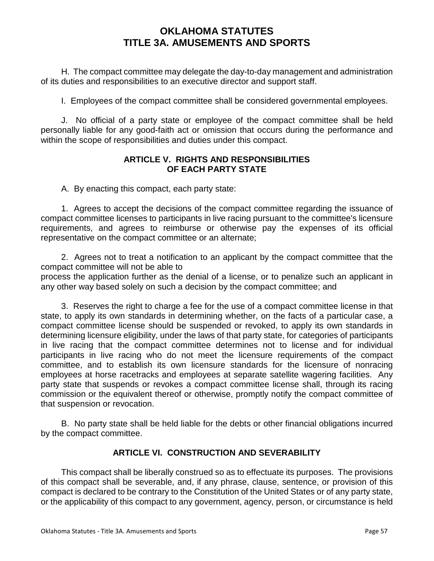H. The compact committee may delegate the day-to-day management and administration of its duties and responsibilities to an executive director and support staff.

I. Employees of the compact committee shall be considered governmental employees.

J. No official of a party state or employee of the compact committee shall be held personally liable for any good-faith act or omission that occurs during the performance and within the scope of responsibilities and duties under this compact.

#### **ARTICLE V. RIGHTS AND RESPONSIBILITIES OF EACH PARTY STATE**

A. By enacting this compact, each party state:

1. Agrees to accept the decisions of the compact committee regarding the issuance of compact committee licenses to participants in live racing pursuant to the committee's licensure requirements, and agrees to reimburse or otherwise pay the expenses of its official representative on the compact committee or an alternate;

2. Agrees not to treat a notification to an applicant by the compact committee that the compact committee will not be able to

process the application further as the denial of a license, or to penalize such an applicant in any other way based solely on such a decision by the compact committee; and

3. Reserves the right to charge a fee for the use of a compact committee license in that state, to apply its own standards in determining whether, on the facts of a particular case, a compact committee license should be suspended or revoked, to apply its own standards in determining licensure eligibility, under the laws of that party state, for categories of participants in live racing that the compact committee determines not to license and for individual participants in live racing who do not meet the licensure requirements of the compact committee, and to establish its own licensure standards for the licensure of nonracing employees at horse racetracks and employees at separate satellite wagering facilities. Any party state that suspends or revokes a compact committee license shall, through its racing commission or the equivalent thereof or otherwise, promptly notify the compact committee of that suspension or revocation.

B. No party state shall be held liable for the debts or other financial obligations incurred by the compact committee.

## **ARTICLE VI. CONSTRUCTION AND SEVERABILITY**

This compact shall be liberally construed so as to effectuate its purposes. The provisions of this compact shall be severable, and, if any phrase, clause, sentence, or provision of this compact is declared to be contrary to the Constitution of the United States or of any party state, or the applicability of this compact to any government, agency, person, or circumstance is held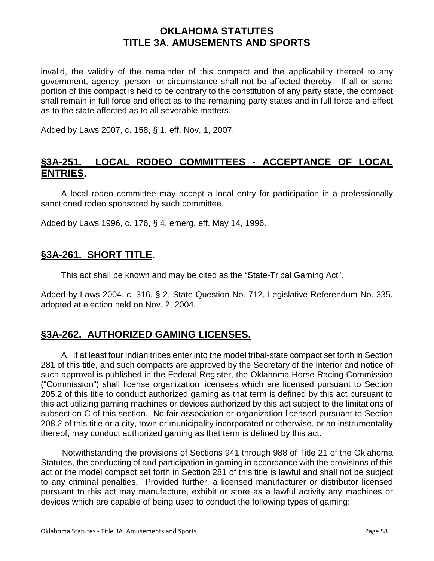invalid, the validity of the remainder of this compact and the applicability thereof to any government, agency, person, or circumstance shall not be affected thereby. If all or some portion of this compact is held to be contrary to the constitution of any party state, the compact shall remain in full force and effect as to the remaining party states and in full force and effect as to the state affected as to all severable matters.

Added by Laws 2007, c. 158, § 1, eff. Nov. 1, 2007.

## **§3A-251. LOCAL RODEO COMMITTEES - ACCEPTANCE OF LOCAL ENTRIES.**

A local rodeo committee may accept a local entry for participation in a professionally sanctioned rodeo sponsored by such committee.

Added by Laws 1996, c. 176, § 4, emerg. eff. May 14, 1996.

## **§3A-261. SHORT TITLE.**

This act shall be known and may be cited as the "State-Tribal Gaming Act".

Added by Laws 2004, c. 316, § 2, State Question No. 712, Legislative Referendum No. 335, adopted at election held on Nov. 2, 2004.

# **§3A-262. AUTHORIZED GAMING LICENSES.**

A. If at least four Indian tribes enter into the model tribal-state compact set forth in Section 281 of this title, and such compacts are approved by the Secretary of the Interior and notice of such approval is published in the Federal Register, the Oklahoma Horse Racing Commission ("Commission") shall license organization licensees which are licensed pursuant to Section 205.2 of this title to conduct authorized gaming as that term is defined by this act pursuant to this act utilizing gaming machines or devices authorized by this act subject to the limitations of subsection C of this section. No fair association or organization licensed pursuant to Section 208.2 of this title or a city, town or municipality incorporated or otherwise, or an instrumentality thereof, may conduct authorized gaming as that term is defined by this act.

Notwithstanding the provisions of Sections 941 through 988 of Title 21 of the Oklahoma Statutes, the conducting of and participation in gaming in accordance with the provisions of this act or the model compact set forth in Section 281 of this title is lawful and shall not be subject to any criminal penalties. Provided further, a licensed manufacturer or distributor licensed pursuant to this act may manufacture, exhibit or store as a lawful activity any machines or devices which are capable of being used to conduct the following types of gaming: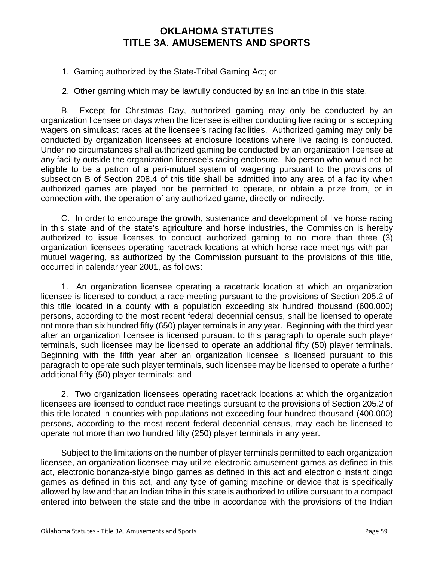1. Gaming authorized by the State-Tribal Gaming Act; or

2. Other gaming which may be lawfully conducted by an Indian tribe in this state.

B. Except for Christmas Day, authorized gaming may only be conducted by an organization licensee on days when the licensee is either conducting live racing or is accepting wagers on simulcast races at the licensee's racing facilities. Authorized gaming may only be conducted by organization licensees at enclosure locations where live racing is conducted. Under no circumstances shall authorized gaming be conducted by an organization licensee at any facility outside the organization licensee's racing enclosure. No person who would not be eligible to be a patron of a pari-mutuel system of wagering pursuant to the provisions of subsection B of Section 208.4 of this title shall be admitted into any area of a facility when authorized games are played nor be permitted to operate, or obtain a prize from, or in connection with, the operation of any authorized game, directly or indirectly.

C. In order to encourage the growth, sustenance and development of live horse racing in this state and of the state's agriculture and horse industries, the Commission is hereby authorized to issue licenses to conduct authorized gaming to no more than three (3) organization licensees operating racetrack locations at which horse race meetings with parimutuel wagering, as authorized by the Commission pursuant to the provisions of this title, occurred in calendar year 2001, as follows:

1. An organization licensee operating a racetrack location at which an organization licensee is licensed to conduct a race meeting pursuant to the provisions of Section 205.2 of this title located in a county with a population exceeding six hundred thousand (600,000) persons, according to the most recent federal decennial census, shall be licensed to operate not more than six hundred fifty (650) player terminals in any year. Beginning with the third year after an organization licensee is licensed pursuant to this paragraph to operate such player terminals, such licensee may be licensed to operate an additional fifty (50) player terminals. Beginning with the fifth year after an organization licensee is licensed pursuant to this paragraph to operate such player terminals, such licensee may be licensed to operate a further additional fifty (50) player terminals; and

2. Two organization licensees operating racetrack locations at which the organization licensees are licensed to conduct race meetings pursuant to the provisions of Section 205.2 of this title located in counties with populations not exceeding four hundred thousand (400,000) persons, according to the most recent federal decennial census, may each be licensed to operate not more than two hundred fifty (250) player terminals in any year.

Subject to the limitations on the number of player terminals permitted to each organization licensee, an organization licensee may utilize electronic amusement games as defined in this act, electronic bonanza-style bingo games as defined in this act and electronic instant bingo games as defined in this act, and any type of gaming machine or device that is specifically allowed by law and that an Indian tribe in this state is authorized to utilize pursuant to a compact entered into between the state and the tribe in accordance with the provisions of the Indian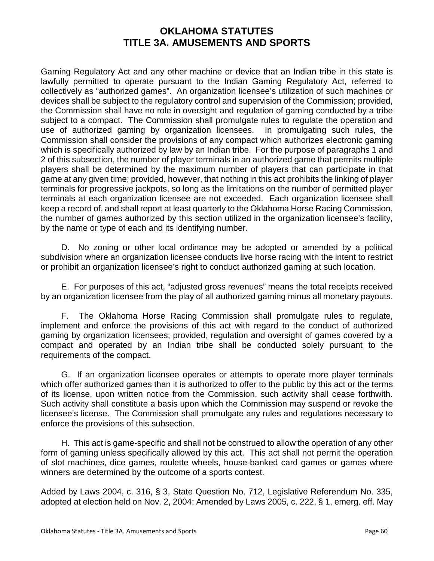Gaming Regulatory Act and any other machine or device that an Indian tribe in this state is lawfully permitted to operate pursuant to the Indian Gaming Regulatory Act, referred to collectively as "authorized games". An organization licensee's utilization of such machines or devices shall be subject to the regulatory control and supervision of the Commission; provided, the Commission shall have no role in oversight and regulation of gaming conducted by a tribe subject to a compact. The Commission shall promulgate rules to regulate the operation and use of authorized gaming by organization licensees. In promulgating such rules, the Commission shall consider the provisions of any compact which authorizes electronic gaming which is specifically authorized by law by an Indian tribe. For the purpose of paragraphs 1 and 2 of this subsection, the number of player terminals in an authorized game that permits multiple players shall be determined by the maximum number of players that can participate in that game at any given time; provided, however, that nothing in this act prohibits the linking of player terminals for progressive jackpots, so long as the limitations on the number of permitted player terminals at each organization licensee are not exceeded. Each organization licensee shall keep a record of, and shall report at least quarterly to the Oklahoma Horse Racing Commission, the number of games authorized by this section utilized in the organization licensee's facility, by the name or type of each and its identifying number.

D. No zoning or other local ordinance may be adopted or amended by a political subdivision where an organization licensee conducts live horse racing with the intent to restrict or prohibit an organization licensee's right to conduct authorized gaming at such location.

E. For purposes of this act, "adjusted gross revenues" means the total receipts received by an organization licensee from the play of all authorized gaming minus all monetary payouts.

F. The Oklahoma Horse Racing Commission shall promulgate rules to regulate, implement and enforce the provisions of this act with regard to the conduct of authorized gaming by organization licensees; provided, regulation and oversight of games covered by a compact and operated by an Indian tribe shall be conducted solely pursuant to the requirements of the compact.

G. If an organization licensee operates or attempts to operate more player terminals which offer authorized games than it is authorized to offer to the public by this act or the terms of its license, upon written notice from the Commission, such activity shall cease forthwith. Such activity shall constitute a basis upon which the Commission may suspend or revoke the licensee's license. The Commission shall promulgate any rules and regulations necessary to enforce the provisions of this subsection.

H. This act is game-specific and shall not be construed to allow the operation of any other form of gaming unless specifically allowed by this act. This act shall not permit the operation of slot machines, dice games, roulette wheels, house-banked card games or games where winners are determined by the outcome of a sports contest.

Added by Laws 2004, c. 316, § 3, State Question No. 712, Legislative Referendum No. 335, adopted at election held on Nov. 2, 2004; Amended by Laws 2005, c. 222, § 1, emerg. eff. May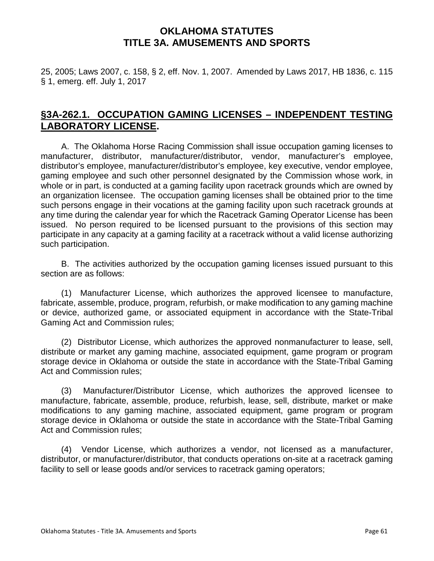25, 2005; Laws 2007, c. 158, § 2, eff. Nov. 1, 2007. Amended by Laws 2017, HB 1836, c. 115 § 1, emerg. eff. July 1, 2017

# **§3A-262.1. OCCUPATION GAMING LICENSES – INDEPENDENT TESTING LABORATORY LICENSE.**

A. The Oklahoma Horse Racing Commission shall issue occupation gaming licenses to manufacturer, distributor, manufacturer/distributor, vendor, manufacturer's employee, distributor's employee, manufacturer/distributor's employee, key executive, vendor employee, gaming employee and such other personnel designated by the Commission whose work, in whole or in part, is conducted at a gaming facility upon racetrack grounds which are owned by an organization licensee. The occupation gaming licenses shall be obtained prior to the time such persons engage in their vocations at the gaming facility upon such racetrack grounds at any time during the calendar year for which the Racetrack Gaming Operator License has been issued. No person required to be licensed pursuant to the provisions of this section may participate in any capacity at a gaming facility at a racetrack without a valid license authorizing such participation.

B. The activities authorized by the occupation gaming licenses issued pursuant to this section are as follows:

(1) Manufacturer License, which authorizes the approved licensee to manufacture, fabricate, assemble, produce, program, refurbish, or make modification to any gaming machine or device, authorized game, or associated equipment in accordance with the State-Tribal Gaming Act and Commission rules;

(2) Distributor License, which authorizes the approved nonmanufacturer to lease, sell, distribute or market any gaming machine, associated equipment, game program or program storage device in Oklahoma or outside the state in accordance with the State-Tribal Gaming Act and Commission rules;

(3) Manufacturer/Distributor License, which authorizes the approved licensee to manufacture, fabricate, assemble, produce, refurbish, lease, sell, distribute, market or make modifications to any gaming machine, associated equipment, game program or program storage device in Oklahoma or outside the state in accordance with the State-Tribal Gaming Act and Commission rules;

(4) Vendor License, which authorizes a vendor, not licensed as a manufacturer, distributor, or manufacturer/distributor, that conducts operations on-site at a racetrack gaming facility to sell or lease goods and/or services to racetrack gaming operators;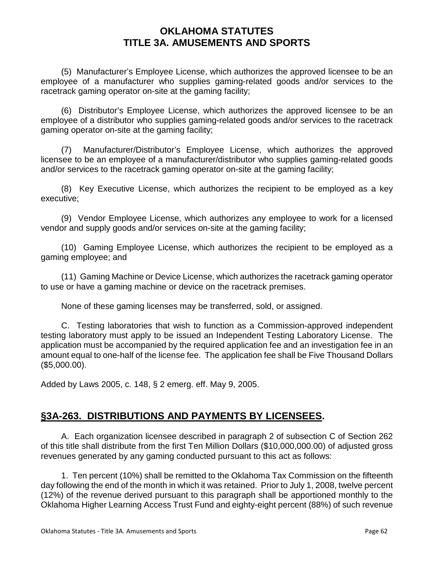(5) Manufacturer's Employee License, which authorizes the approved licensee to be an employee of a manufacturer who supplies gaming-related goods and/or services to the racetrack gaming operator on-site at the gaming facility;

(6) Distributor's Employee License, which authorizes the approved licensee to be an employee of a distributor who supplies gaming-related goods and/or services to the racetrack gaming operator on-site at the gaming facility;

(7) Manufacturer/Distributor's Employee License, which authorizes the approved licensee to be an employee of a manufacturer/distributor who supplies gaming-related goods and/or services to the racetrack gaming operator on-site at the gaming facility;

(8) Key Executive License, which authorizes the recipient to be employed as a key executive;

(9) Vendor Employee License, which authorizes any employee to work for a licensed vendor and supply goods and/or services on-site at the gaming facility;

(10) Gaming Employee License, which authorizes the recipient to be employed as a gaming employee; and

(11) Gaming Machine or Device License, which authorizes the racetrack gaming operator to use or have a gaming machine or device on the racetrack premises.

None of these gaming licenses may be transferred, sold, or assigned.

C. Testing laboratories that wish to function as a Commission-approved independent testing laboratory must apply to be issued an Independent Testing Laboratory License. The application must be accompanied by the required application fee and an investigation fee in an amount equal to one-half of the license fee. The application fee shall be Five Thousand Dollars (\$5,000.00).

Added by Laws 2005, c. 148, § 2 emerg. eff. May 9, 2005.

# **§3A-263. DISTRIBUTIONS AND PAYMENTS BY LICENSEES.**

A. Each organization licensee described in paragraph 2 of subsection C of Section 262 of this title shall distribute from the first Ten Million Dollars (\$10,000,000.00) of adjusted gross revenues generated by any gaming conducted pursuant to this act as follows:

1. Ten percent (10%) shall be remitted to the Oklahoma Tax Commission on the fifteenth day following the end of the month in which it was retained. Prior to July 1, 2008, twelve percent (12%) of the revenue derived pursuant to this paragraph shall be apportioned monthly to the Oklahoma Higher Learning Access Trust Fund and eighty-eight percent (88%) of such revenue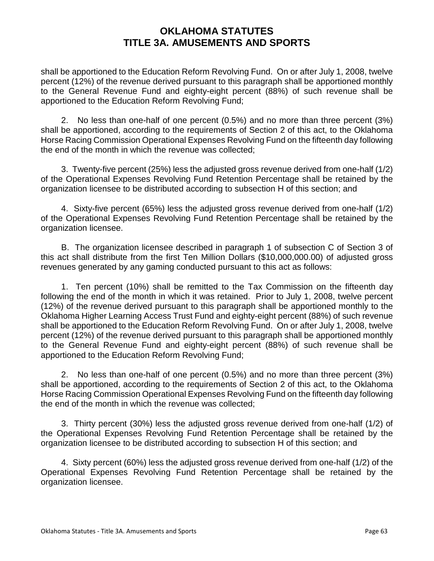shall be apportioned to the Education Reform Revolving Fund. On or after July 1, 2008, twelve percent (12%) of the revenue derived pursuant to this paragraph shall be apportioned monthly to the General Revenue Fund and eighty-eight percent (88%) of such revenue shall be apportioned to the Education Reform Revolving Fund;

2. No less than one-half of one percent (0.5%) and no more than three percent (3%) shall be apportioned, according to the requirements of Section 2 of this act, to the Oklahoma Horse Racing Commission Operational Expenses Revolving Fund on the fifteenth day following the end of the month in which the revenue was collected;

3. Twenty-five percent (25%) less the adjusted gross revenue derived from one-half (1/2) of the Operational Expenses Revolving Fund Retention Percentage shall be retained by the organization licensee to be distributed according to subsection H of this section; and

4. Sixty-five percent (65%) less the adjusted gross revenue derived from one-half (1/2) of the Operational Expenses Revolving Fund Retention Percentage shall be retained by the organization licensee.

B. The organization licensee described in paragraph 1 of subsection C of Section 3 of this act shall distribute from the first Ten Million Dollars (\$10,000,000.00) of adjusted gross revenues generated by any gaming conducted pursuant to this act as follows:

1. Ten percent (10%) shall be remitted to the Tax Commission on the fifteenth day following the end of the month in which it was retained. Prior to July 1, 2008, twelve percent (12%) of the revenue derived pursuant to this paragraph shall be apportioned monthly to the Oklahoma Higher Learning Access Trust Fund and eighty-eight percent (88%) of such revenue shall be apportioned to the Education Reform Revolving Fund. On or after July 1, 2008, twelve percent (12%) of the revenue derived pursuant to this paragraph shall be apportioned monthly to the General Revenue Fund and eighty-eight percent (88%) of such revenue shall be apportioned to the Education Reform Revolving Fund;

2. No less than one-half of one percent (0.5%) and no more than three percent (3%) shall be apportioned, according to the requirements of Section 2 of this act, to the Oklahoma Horse Racing Commission Operational Expenses Revolving Fund on the fifteenth day following the end of the month in which the revenue was collected;

3. Thirty percent (30%) less the adjusted gross revenue derived from one-half (1/2) of the Operational Expenses Revolving Fund Retention Percentage shall be retained by the organization licensee to be distributed according to subsection H of this section; and

4. Sixty percent (60%) less the adjusted gross revenue derived from one-half (1/2) of the Operational Expenses Revolving Fund Retention Percentage shall be retained by the organization licensee.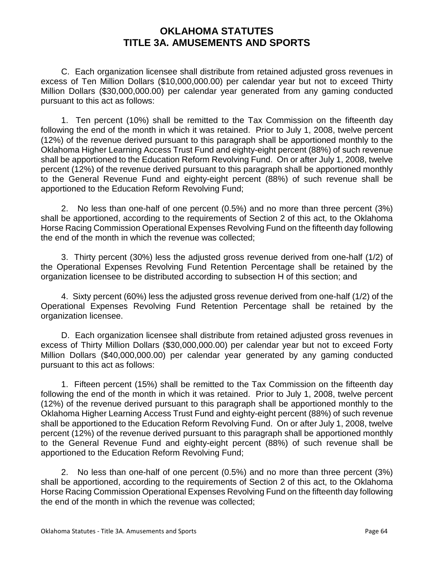C. Each organization licensee shall distribute from retained adjusted gross revenues in excess of Ten Million Dollars (\$10,000,000.00) per calendar year but not to exceed Thirty Million Dollars (\$30,000,000.00) per calendar year generated from any gaming conducted pursuant to this act as follows:

1. Ten percent (10%) shall be remitted to the Tax Commission on the fifteenth day following the end of the month in which it was retained. Prior to July 1, 2008, twelve percent (12%) of the revenue derived pursuant to this paragraph shall be apportioned monthly to the Oklahoma Higher Learning Access Trust Fund and eighty-eight percent (88%) of such revenue shall be apportioned to the Education Reform Revolving Fund. On or after July 1, 2008, twelve percent (12%) of the revenue derived pursuant to this paragraph shall be apportioned monthly to the General Revenue Fund and eighty-eight percent (88%) of such revenue shall be apportioned to the Education Reform Revolving Fund;

2. No less than one-half of one percent (0.5%) and no more than three percent (3%) shall be apportioned, according to the requirements of Section 2 of this act, to the Oklahoma Horse Racing Commission Operational Expenses Revolving Fund on the fifteenth day following the end of the month in which the revenue was collected;

3. Thirty percent (30%) less the adjusted gross revenue derived from one-half (1/2) of the Operational Expenses Revolving Fund Retention Percentage shall be retained by the organization licensee to be distributed according to subsection H of this section; and

4. Sixty percent (60%) less the adjusted gross revenue derived from one-half (1/2) of the Operational Expenses Revolving Fund Retention Percentage shall be retained by the organization licensee.

D. Each organization licensee shall distribute from retained adjusted gross revenues in excess of Thirty Million Dollars (\$30,000,000.00) per calendar year but not to exceed Forty Million Dollars (\$40,000,000.00) per calendar year generated by any gaming conducted pursuant to this act as follows:

1. Fifteen percent (15%) shall be remitted to the Tax Commission on the fifteenth day following the end of the month in which it was retained. Prior to July 1, 2008, twelve percent (12%) of the revenue derived pursuant to this paragraph shall be apportioned monthly to the Oklahoma Higher Learning Access Trust Fund and eighty-eight percent (88%) of such revenue shall be apportioned to the Education Reform Revolving Fund. On or after July 1, 2008, twelve percent (12%) of the revenue derived pursuant to this paragraph shall be apportioned monthly to the General Revenue Fund and eighty-eight percent (88%) of such revenue shall be apportioned to the Education Reform Revolving Fund;

2. No less than one-half of one percent (0.5%) and no more than three percent (3%) shall be apportioned, according to the requirements of Section 2 of this act, to the Oklahoma Horse Racing Commission Operational Expenses Revolving Fund on the fifteenth day following the end of the month in which the revenue was collected;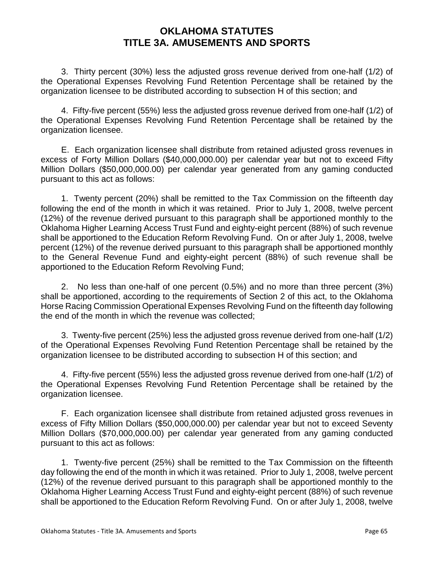3. Thirty percent (30%) less the adjusted gross revenue derived from one-half (1/2) of the Operational Expenses Revolving Fund Retention Percentage shall be retained by the organization licensee to be distributed according to subsection H of this section; and

4. Fifty-five percent (55%) less the adjusted gross revenue derived from one-half (1/2) of the Operational Expenses Revolving Fund Retention Percentage shall be retained by the organization licensee.

E. Each organization licensee shall distribute from retained adjusted gross revenues in excess of Forty Million Dollars (\$40,000,000.00) per calendar year but not to exceed Fifty Million Dollars (\$50,000,000.00) per calendar year generated from any gaming conducted pursuant to this act as follows:

1. Twenty percent (20%) shall be remitted to the Tax Commission on the fifteenth day following the end of the month in which it was retained. Prior to July 1, 2008, twelve percent (12%) of the revenue derived pursuant to this paragraph shall be apportioned monthly to the Oklahoma Higher Learning Access Trust Fund and eighty-eight percent (88%) of such revenue shall be apportioned to the Education Reform Revolving Fund. On or after July 1, 2008, twelve percent (12%) of the revenue derived pursuant to this paragraph shall be apportioned monthly to the General Revenue Fund and eighty-eight percent (88%) of such revenue shall be apportioned to the Education Reform Revolving Fund;

2. No less than one-half of one percent (0.5%) and no more than three percent (3%) shall be apportioned, according to the requirements of Section 2 of this act, to the Oklahoma Horse Racing Commission Operational Expenses Revolving Fund on the fifteenth day following the end of the month in which the revenue was collected;

3. Twenty-five percent (25%) less the adjusted gross revenue derived from one-half (1/2) of the Operational Expenses Revolving Fund Retention Percentage shall be retained by the organization licensee to be distributed according to subsection H of this section; and

4. Fifty-five percent (55%) less the adjusted gross revenue derived from one-half (1/2) of the Operational Expenses Revolving Fund Retention Percentage shall be retained by the organization licensee.

F. Each organization licensee shall distribute from retained adjusted gross revenues in excess of Fifty Million Dollars (\$50,000,000.00) per calendar year but not to exceed Seventy Million Dollars (\$70,000,000.00) per calendar year generated from any gaming conducted pursuant to this act as follows:

1. Twenty-five percent (25%) shall be remitted to the Tax Commission on the fifteenth day following the end of the month in which it was retained. Prior to July 1, 2008, twelve percent (12%) of the revenue derived pursuant to this paragraph shall be apportioned monthly to the Oklahoma Higher Learning Access Trust Fund and eighty-eight percent (88%) of such revenue shall be apportioned to the Education Reform Revolving Fund. On or after July 1, 2008, twelve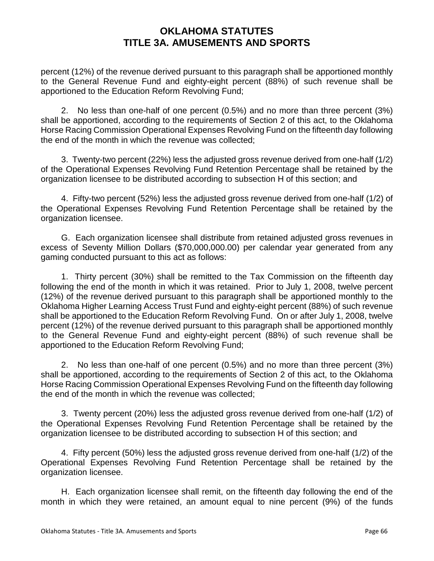percent (12%) of the revenue derived pursuant to this paragraph shall be apportioned monthly to the General Revenue Fund and eighty-eight percent (88%) of such revenue shall be apportioned to the Education Reform Revolving Fund;

2. No less than one-half of one percent (0.5%) and no more than three percent (3%) shall be apportioned, according to the requirements of Section 2 of this act, to the Oklahoma Horse Racing Commission Operational Expenses Revolving Fund on the fifteenth day following the end of the month in which the revenue was collected;

3. Twenty-two percent (22%) less the adjusted gross revenue derived from one-half (1/2) of the Operational Expenses Revolving Fund Retention Percentage shall be retained by the organization licensee to be distributed according to subsection H of this section; and

4. Fifty-two percent (52%) less the adjusted gross revenue derived from one-half (1/2) of the Operational Expenses Revolving Fund Retention Percentage shall be retained by the organization licensee.

G. Each organization licensee shall distribute from retained adjusted gross revenues in excess of Seventy Million Dollars (\$70,000,000.00) per calendar year generated from any gaming conducted pursuant to this act as follows:

1. Thirty percent (30%) shall be remitted to the Tax Commission on the fifteenth day following the end of the month in which it was retained. Prior to July 1, 2008, twelve percent (12%) of the revenue derived pursuant to this paragraph shall be apportioned monthly to the Oklahoma Higher Learning Access Trust Fund and eighty-eight percent (88%) of such revenue shall be apportioned to the Education Reform Revolving Fund. On or after July 1, 2008, twelve percent (12%) of the revenue derived pursuant to this paragraph shall be apportioned monthly to the General Revenue Fund and eighty-eight percent (88%) of such revenue shall be apportioned to the Education Reform Revolving Fund;

2. No less than one-half of one percent (0.5%) and no more than three percent (3%) shall be apportioned, according to the requirements of Section 2 of this act, to the Oklahoma Horse Racing Commission Operational Expenses Revolving Fund on the fifteenth day following the end of the month in which the revenue was collected;

3. Twenty percent (20%) less the adjusted gross revenue derived from one-half (1/2) of the Operational Expenses Revolving Fund Retention Percentage shall be retained by the organization licensee to be distributed according to subsection H of this section; and

4. Fifty percent (50%) less the adjusted gross revenue derived from one-half (1/2) of the Operational Expenses Revolving Fund Retention Percentage shall be retained by the organization licensee.

H. Each organization licensee shall remit, on the fifteenth day following the end of the month in which they were retained, an amount equal to nine percent (9%) of the funds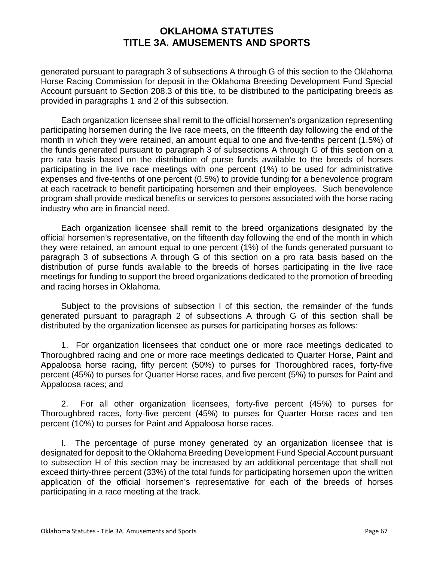generated pursuant to paragraph 3 of subsections A through G of this section to the Oklahoma Horse Racing Commission for deposit in the Oklahoma Breeding Development Fund Special Account pursuant to Section 208.3 of this title, to be distributed to the participating breeds as provided in paragraphs 1 and 2 of this subsection.

Each organization licensee shall remit to the official horsemen's organization representing participating horsemen during the live race meets, on the fifteenth day following the end of the month in which they were retained, an amount equal to one and five-tenths percent (1.5%) of the funds generated pursuant to paragraph 3 of subsections A through G of this section on a pro rata basis based on the distribution of purse funds available to the breeds of horses participating in the live race meetings with one percent (1%) to be used for administrative expenses and five-tenths of one percent (0.5%) to provide funding for a benevolence program at each racetrack to benefit participating horsemen and their employees. Such benevolence program shall provide medical benefits or services to persons associated with the horse racing industry who are in financial need.

Each organization licensee shall remit to the breed organizations designated by the official horsemen's representative, on the fifteenth day following the end of the month in which they were retained, an amount equal to one percent (1%) of the funds generated pursuant to paragraph 3 of subsections A through G of this section on a pro rata basis based on the distribution of purse funds available to the breeds of horses participating in the live race meetings for funding to support the breed organizations dedicated to the promotion of breeding and racing horses in Oklahoma.

Subject to the provisions of subsection I of this section, the remainder of the funds generated pursuant to paragraph 2 of subsections A through G of this section shall be distributed by the organization licensee as purses for participating horses as follows:

1. For organization licensees that conduct one or more race meetings dedicated to Thoroughbred racing and one or more race meetings dedicated to Quarter Horse, Paint and Appaloosa horse racing, fifty percent (50%) to purses for Thoroughbred races, forty-five percent (45%) to purses for Quarter Horse races, and five percent (5%) to purses for Paint and Appaloosa races; and

2. For all other organization licensees, forty-five percent (45%) to purses for Thoroughbred races, forty-five percent (45%) to purses for Quarter Horse races and ten percent (10%) to purses for Paint and Appaloosa horse races.

I. The percentage of purse money generated by an organization licensee that is designated for deposit to the Oklahoma Breeding Development Fund Special Account pursuant to subsection H of this section may be increased by an additional percentage that shall not exceed thirty-three percent (33%) of the total funds for participating horsemen upon the written application of the official horsemen's representative for each of the breeds of horses participating in a race meeting at the track.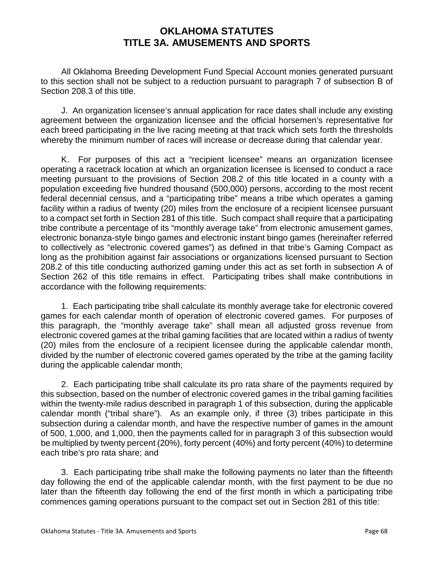All Oklahoma Breeding Development Fund Special Account monies generated pursuant to this section shall not be subject to a reduction pursuant to paragraph 7 of subsection B of Section 208.3 of this title.

J. An organization licensee's annual application for race dates shall include any existing agreement between the organization licensee and the official horsemen's representative for each breed participating in the live racing meeting at that track which sets forth the thresholds whereby the minimum number of races will increase or decrease during that calendar year.

K. For purposes of this act a "recipient licensee" means an organization licensee operating a racetrack location at which an organization licensee is licensed to conduct a race meeting pursuant to the provisions of Section 208.2 of this title located in a county with a population exceeding five hundred thousand (500,000) persons, according to the most recent federal decennial census, and a "participating tribe" means a tribe which operates a gaming facility within a radius of twenty (20) miles from the enclosure of a recipient licensee pursuant to a compact set forth in Section 281 of this title. Such compact shall require that a participating tribe contribute a percentage of its "monthly average take" from electronic amusement games, electronic bonanza-style bingo games and electronic instant bingo games (hereinafter referred to collectively as "electronic covered games") as defined in that tribe's Gaming Compact as long as the prohibition against fair associations or organizations licensed pursuant to Section 208.2 of this title conducting authorized gaming under this act as set forth in subsection A of Section 262 of this title remains in effect. Participating tribes shall make contributions in accordance with the following requirements:

1. Each participating tribe shall calculate its monthly average take for electronic covered games for each calendar month of operation of electronic covered games. For purposes of this paragraph, the "monthly average take" shall mean all adjusted gross revenue from electronic covered games at the tribal gaming facilities that are located within a radius of twenty (20) miles from the enclosure of a recipient licensee during the applicable calendar month, divided by the number of electronic covered games operated by the tribe at the gaming facility during the applicable calendar month;

2. Each participating tribe shall calculate its pro rata share of the payments required by this subsection, based on the number of electronic covered games in the tribal gaming facilities within the twenty-mile radius described in paragraph 1 of this subsection, during the applicable calendar month ("tribal share"). As an example only, if three (3) tribes participate in this subsection during a calendar month, and have the respective number of games in the amount of 500, 1,000, and 1,000, then the payments called for in paragraph 3 of this subsection would be multiplied by twenty percent (20%), forty percent (40%) and forty percent (40%) to determine each tribe's pro rata share; and

3. Each participating tribe shall make the following payments no later than the fifteenth day following the end of the applicable calendar month, with the first payment to be due no later than the fifteenth day following the end of the first month in which a participating tribe commences gaming operations pursuant to the compact set out in Section 281 of this title: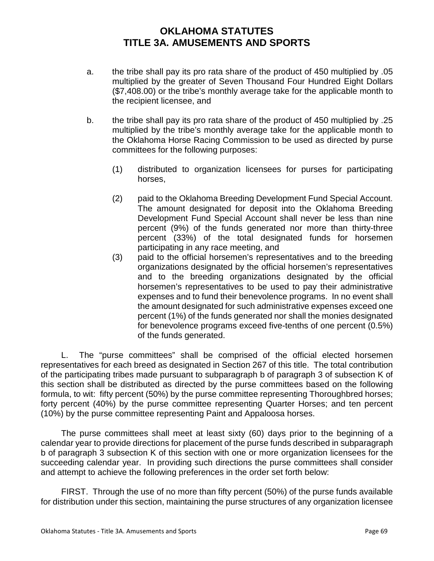- a. the tribe shall pay its pro rata share of the product of 450 multiplied by .05 multiplied by the greater of Seven Thousand Four Hundred Eight Dollars (\$7,408.00) or the tribe's monthly average take for the applicable month to the recipient licensee, and
- b. the tribe shall pay its pro rata share of the product of 450 multiplied by .25 multiplied by the tribe's monthly average take for the applicable month to the Oklahoma Horse Racing Commission to be used as directed by purse committees for the following purposes:
	- (1) distributed to organization licensees for purses for participating horses,
	- (2) paid to the Oklahoma Breeding Development Fund Special Account. The amount designated for deposit into the Oklahoma Breeding Development Fund Special Account shall never be less than nine percent (9%) of the funds generated nor more than thirty-three percent (33%) of the total designated funds for horsemen participating in any race meeting, and
	- (3) paid to the official horsemen's representatives and to the breeding organizations designated by the official horsemen's representatives and to the breeding organizations designated by the official horsemen's representatives to be used to pay their administrative expenses and to fund their benevolence programs. In no event shall the amount designated for such administrative expenses exceed one percent (1%) of the funds generated nor shall the monies designated for benevolence programs exceed five-tenths of one percent (0.5%) of the funds generated.

L. The "purse committees" shall be comprised of the official elected horsemen representatives for each breed as designated in Section 267 of this title. The total contribution of the participating tribes made pursuant to subparagraph b of paragraph 3 of subsection K of this section shall be distributed as directed by the purse committees based on the following formula, to wit: fifty percent (50%) by the purse committee representing Thoroughbred horses; forty percent (40%) by the purse committee representing Quarter Horses; and ten percent (10%) by the purse committee representing Paint and Appaloosa horses.

The purse committees shall meet at least sixty (60) days prior to the beginning of a calendar year to provide directions for placement of the purse funds described in subparagraph b of paragraph 3 subsection K of this section with one or more organization licensees for the succeeding calendar year. In providing such directions the purse committees shall consider and attempt to achieve the following preferences in the order set forth below:

FIRST. Through the use of no more than fifty percent (50%) of the purse funds available for distribution under this section, maintaining the purse structures of any organization licensee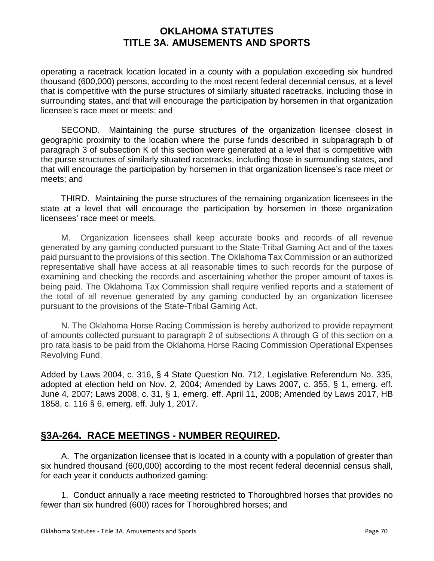operating a racetrack location located in a county with a population exceeding six hundred thousand (600,000) persons, according to the most recent federal decennial census, at a level that is competitive with the purse structures of similarly situated racetracks, including those in surrounding states, and that will encourage the participation by horsemen in that organization licensee's race meet or meets; and

SECOND. Maintaining the purse structures of the organization licensee closest in geographic proximity to the location where the purse funds described in subparagraph b of paragraph 3 of subsection K of this section were generated at a level that is competitive with the purse structures of similarly situated racetracks, including those in surrounding states, and that will encourage the participation by horsemen in that organization licensee's race meet or meets; and

THIRD. Maintaining the purse structures of the remaining organization licensees in the state at a level that will encourage the participation by horsemen in those organization licensees' race meet or meets.

M. Organization licensees shall keep accurate books and records of all revenue generated by any gaming conducted pursuant to the State-Tribal Gaming Act and of the taxes paid pursuant to the provisions of this section. The Oklahoma Tax Commission or an authorized representative shall have access at all reasonable times to such records for the purpose of examining and checking the records and ascertaining whether the proper amount of taxes is being paid. The Oklahoma Tax Commission shall require verified reports and a statement of the total of all revenue generated by any gaming conducted by an organization licensee pursuant to the provisions of the State-Tribal Gaming Act.

N. The Oklahoma Horse Racing Commission is hereby authorized to provide repayment of amounts collected pursuant to paragraph 2 of subsections A through G of this section on a pro rata basis to be paid from the Oklahoma Horse Racing Commission Operational Expenses Revolving Fund.

Added by Laws 2004, c. 316, § 4 State Question No. 712, Legislative Referendum No. 335, adopted at election held on Nov. 2, 2004; Amended by Laws 2007, c. 355, § 1, emerg. eff. June 4, 2007; Laws 2008, c. 31, § 1, emerg. eff. April 11, 2008; Amended by Laws 2017, HB 1858, c. 116 § 6, emerg. eff. July 1, 2017.

# **§3A-264. RACE MEETINGS - NUMBER REQUIRED.**

A. The organization licensee that is located in a county with a population of greater than six hundred thousand (600,000) according to the most recent federal decennial census shall, for each year it conducts authorized gaming:

1. Conduct annually a race meeting restricted to Thoroughbred horses that provides no fewer than six hundred (600) races for Thoroughbred horses; and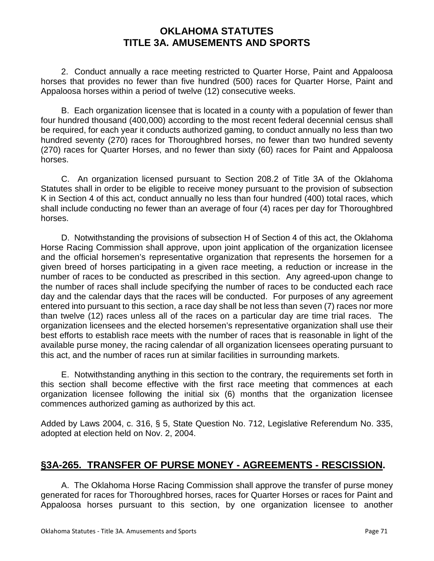2. Conduct annually a race meeting restricted to Quarter Horse, Paint and Appaloosa horses that provides no fewer than five hundred (500) races for Quarter Horse, Paint and Appaloosa horses within a period of twelve (12) consecutive weeks.

B. Each organization licensee that is located in a county with a population of fewer than four hundred thousand (400,000) according to the most recent federal decennial census shall be required, for each year it conducts authorized gaming, to conduct annually no less than two hundred seventy (270) races for Thoroughbred horses, no fewer than two hundred seventy (270) races for Quarter Horses, and no fewer than sixty (60) races for Paint and Appaloosa horses.

C. An organization licensed pursuant to Section 208.2 of Title 3A of the Oklahoma Statutes shall in order to be eligible to receive money pursuant to the provision of subsection K in Section 4 of this act, conduct annually no less than four hundred (400) total races, which shall include conducting no fewer than an average of four (4) races per day for Thoroughbred horses.

D. Notwithstanding the provisions of subsection H of Section 4 of this act, the Oklahoma Horse Racing Commission shall approve, upon joint application of the organization licensee and the official horsemen's representative organization that represents the horsemen for a given breed of horses participating in a given race meeting, a reduction or increase in the number of races to be conducted as prescribed in this section. Any agreed-upon change to the number of races shall include specifying the number of races to be conducted each race day and the calendar days that the races will be conducted. For purposes of any agreement entered into pursuant to this section, a race day shall be not less than seven (7) races nor more than twelve (12) races unless all of the races on a particular day are time trial races. The organization licensees and the elected horsemen's representative organization shall use their best efforts to establish race meets with the number of races that is reasonable in light of the available purse money, the racing calendar of all organization licensees operating pursuant to this act, and the number of races run at similar facilities in surrounding markets.

E. Notwithstanding anything in this section to the contrary, the requirements set forth in this section shall become effective with the first race meeting that commences at each organization licensee following the initial six (6) months that the organization licensee commences authorized gaming as authorized by this act.

Added by Laws 2004, c. 316, § 5, State Question No. 712, Legislative Referendum No. 335, adopted at election held on Nov. 2, 2004.

# **§3A-265. TRANSFER OF PURSE MONEY - AGREEMENTS - RESCISSION.**

A. The Oklahoma Horse Racing Commission shall approve the transfer of purse money generated for races for Thoroughbred horses, races for Quarter Horses or races for Paint and Appaloosa horses pursuant to this section, by one organization licensee to another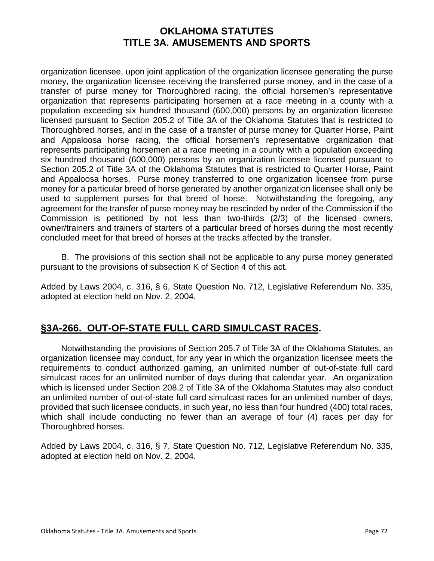organization licensee, upon joint application of the organization licensee generating the purse money, the organization licensee receiving the transferred purse money, and in the case of a transfer of purse money for Thoroughbred racing, the official horsemen's representative organization that represents participating horsemen at a race meeting in a county with a population exceeding six hundred thousand (600,000) persons by an organization licensee licensed pursuant to Section 205.2 of Title 3A of the Oklahoma Statutes that is restricted to Thoroughbred horses, and in the case of a transfer of purse money for Quarter Horse, Paint and Appaloosa horse racing, the official horsemen's representative organization that represents participating horsemen at a race meeting in a county with a population exceeding six hundred thousand (600,000) persons by an organization licensee licensed pursuant to Section 205.2 of Title 3A of the Oklahoma Statutes that is restricted to Quarter Horse, Paint and Appaloosa horses. Purse money transferred to one organization licensee from purse money for a particular breed of horse generated by another organization licensee shall only be used to supplement purses for that breed of horse. Notwithstanding the foregoing, any agreement for the transfer of purse money may be rescinded by order of the Commission if the Commission is petitioned by not less than two-thirds (2/3) of the licensed owners, owner/trainers and trainers of starters of a particular breed of horses during the most recently concluded meet for that breed of horses at the tracks affected by the transfer.

B. The provisions of this section shall not be applicable to any purse money generated pursuant to the provisions of subsection K of Section 4 of this act.

Added by Laws 2004, c. 316, § 6, State Question No. 712, Legislative Referendum No. 335, adopted at election held on Nov. 2, 2004.

# **§3A-266. OUT-OF-STATE FULL CARD SIMULCAST RACES.**

Notwithstanding the provisions of Section 205.7 of Title 3A of the Oklahoma Statutes, an organization licensee may conduct, for any year in which the organization licensee meets the requirements to conduct authorized gaming, an unlimited number of out-of-state full card simulcast races for an unlimited number of days during that calendar year. An organization which is licensed under Section 208.2 of Title 3A of the Oklahoma Statutes may also conduct an unlimited number of out-of-state full card simulcast races for an unlimited number of days, provided that such licensee conducts, in such year, no less than four hundred (400) total races, which shall include conducting no fewer than an average of four (4) races per day for Thoroughbred horses.

Added by Laws 2004, c. 316, § 7, State Question No. 712, Legislative Referendum No. 335, adopted at election held on Nov. 2, 2004.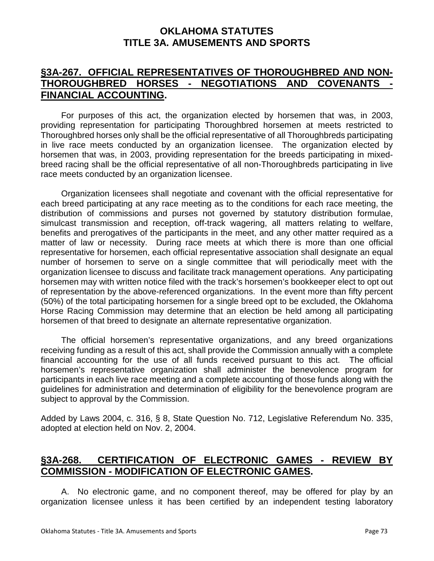#### **§3A-267. OFFICIAL REPRESENTATIVES OF THOROUGHBRED AND NON-THOROUGHBRED HORSES - NEGOTIATIONS AND COVENANTS - FINANCIAL ACCOUNTING.**

For purposes of this act, the organization elected by horsemen that was, in 2003, providing representation for participating Thoroughbred horsemen at meets restricted to Thoroughbred horses only shall be the official representative of all Thoroughbreds participating in live race meets conducted by an organization licensee. The organization elected by horsemen that was, in 2003, providing representation for the breeds participating in mixedbreed racing shall be the official representative of all non-Thoroughbreds participating in live race meets conducted by an organization licensee.

Organization licensees shall negotiate and covenant with the official representative for each breed participating at any race meeting as to the conditions for each race meeting, the distribution of commissions and purses not governed by statutory distribution formulae, simulcast transmission and reception, off-track wagering, all matters relating to welfare, benefits and prerogatives of the participants in the meet, and any other matter required as a matter of law or necessity. During race meets at which there is more than one official representative for horsemen, each official representative association shall designate an equal number of horsemen to serve on a single committee that will periodically meet with the organization licensee to discuss and facilitate track management operations. Any participating horsemen may with written notice filed with the track's horsemen's bookkeeper elect to opt out of representation by the above-referenced organizations. In the event more than fifty percent (50%) of the total participating horsemen for a single breed opt to be excluded, the Oklahoma Horse Racing Commission may determine that an election be held among all participating horsemen of that breed to designate an alternate representative organization.

The official horsemen's representative organizations, and any breed organizations receiving funding as a result of this act, shall provide the Commission annually with a complete financial accounting for the use of all funds received pursuant to this act. The official horsemen's representative organization shall administer the benevolence program for participants in each live race meeting and a complete accounting of those funds along with the guidelines for administration and determination of eligibility for the benevolence program are subject to approval by the Commission.

Added by Laws 2004, c. 316, § 8, State Question No. 712, Legislative Referendum No. 335, adopted at election held on Nov. 2, 2004.

# **§3A-268. CERTIFICATION OF ELECTRONIC GAMES - REVIEW BY COMMISSION - MODIFICATION OF ELECTRONIC GAMES.**

A. No electronic game, and no component thereof, may be offered for play by an organization licensee unless it has been certified by an independent testing laboratory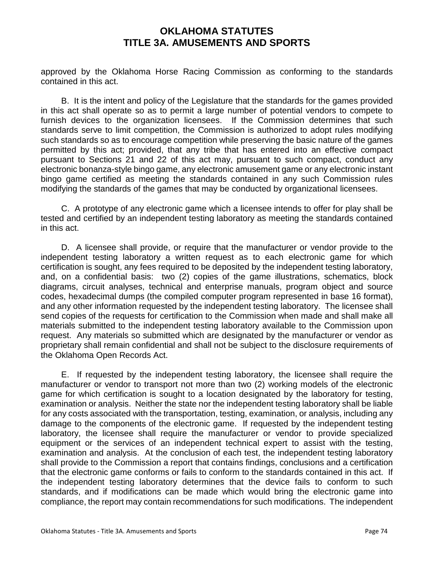approved by the Oklahoma Horse Racing Commission as conforming to the standards contained in this act.

B. It is the intent and policy of the Legislature that the standards for the games provided in this act shall operate so as to permit a large number of potential vendors to compete to furnish devices to the organization licensees. If the Commission determines that such standards serve to limit competition, the Commission is authorized to adopt rules modifying such standards so as to encourage competition while preserving the basic nature of the games permitted by this act; provided, that any tribe that has entered into an effective compact pursuant to Sections 21 and 22 of this act may, pursuant to such compact, conduct any electronic bonanza-style bingo game, any electronic amusement game or any electronic instant bingo game certified as meeting the standards contained in any such Commission rules modifying the standards of the games that may be conducted by organizational licensees.

C. A prototype of any electronic game which a licensee intends to offer for play shall be tested and certified by an independent testing laboratory as meeting the standards contained in this act.

D. A licensee shall provide, or require that the manufacturer or vendor provide to the independent testing laboratory a written request as to each electronic game for which certification is sought, any fees required to be deposited by the independent testing laboratory, and, on a confidential basis: two (2) copies of the game illustrations, schematics, block diagrams, circuit analyses, technical and enterprise manuals, program object and source codes, hexadecimal dumps (the compiled computer program represented in base 16 format), and any other information requested by the independent testing laboratory. The licensee shall send copies of the requests for certification to the Commission when made and shall make all materials submitted to the independent testing laboratory available to the Commission upon request. Any materials so submitted which are designated by the manufacturer or vendor as proprietary shall remain confidential and shall not be subject to the disclosure requirements of the Oklahoma Open Records Act.

E. If requested by the independent testing laboratory, the licensee shall require the manufacturer or vendor to transport not more than two (2) working models of the electronic game for which certification is sought to a location designated by the laboratory for testing, examination or analysis. Neither the state nor the independent testing laboratory shall be liable for any costs associated with the transportation, testing, examination, or analysis, including any damage to the components of the electronic game. If requested by the independent testing laboratory, the licensee shall require the manufacturer or vendor to provide specialized equipment or the services of an independent technical expert to assist with the testing, examination and analysis. At the conclusion of each test, the independent testing laboratory shall provide to the Commission a report that contains findings, conclusions and a certification that the electronic game conforms or fails to conform to the standards contained in this act. If the independent testing laboratory determines that the device fails to conform to such standards, and if modifications can be made which would bring the electronic game into compliance, the report may contain recommendations for such modifications. The independent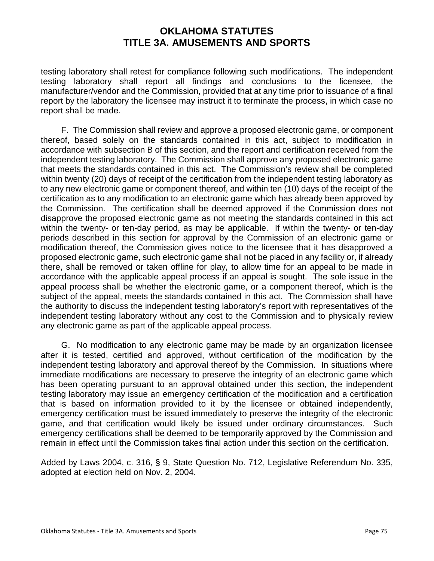testing laboratory shall retest for compliance following such modifications. The independent testing laboratory shall report all findings and conclusions to the licensee, the manufacturer/vendor and the Commission, provided that at any time prior to issuance of a final report by the laboratory the licensee may instruct it to terminate the process, in which case no report shall be made.

F. The Commission shall review and approve a proposed electronic game, or component thereof, based solely on the standards contained in this act, subject to modification in accordance with subsection B of this section, and the report and certification received from the independent testing laboratory. The Commission shall approve any proposed electronic game that meets the standards contained in this act. The Commission's review shall be completed within twenty (20) days of receipt of the certification from the independent testing laboratory as to any new electronic game or component thereof, and within ten (10) days of the receipt of the certification as to any modification to an electronic game which has already been approved by the Commission. The certification shall be deemed approved if the Commission does not disapprove the proposed electronic game as not meeting the standards contained in this act within the twenty- or ten-day period, as may be applicable. If within the twenty- or ten-day periods described in this section for approval by the Commission of an electronic game or modification thereof, the Commission gives notice to the licensee that it has disapproved a proposed electronic game, such electronic game shall not be placed in any facility or, if already there, shall be removed or taken offline for play, to allow time for an appeal to be made in accordance with the applicable appeal process if an appeal is sought. The sole issue in the appeal process shall be whether the electronic game, or a component thereof, which is the subject of the appeal, meets the standards contained in this act. The Commission shall have the authority to discuss the independent testing laboratory's report with representatives of the independent testing laboratory without any cost to the Commission and to physically review any electronic game as part of the applicable appeal process.

G. No modification to any electronic game may be made by an organization licensee after it is tested, certified and approved, without certification of the modification by the independent testing laboratory and approval thereof by the Commission. In situations where immediate modifications are necessary to preserve the integrity of an electronic game which has been operating pursuant to an approval obtained under this section, the independent testing laboratory may issue an emergency certification of the modification and a certification that is based on information provided to it by the licensee or obtained independently, emergency certification must be issued immediately to preserve the integrity of the electronic game, and that certification would likely be issued under ordinary circumstances. Such emergency certifications shall be deemed to be temporarily approved by the Commission and remain in effect until the Commission takes final action under this section on the certification.

Added by Laws 2004, c. 316, § 9, State Question No. 712, Legislative Referendum No. 335, adopted at election held on Nov. 2, 2004.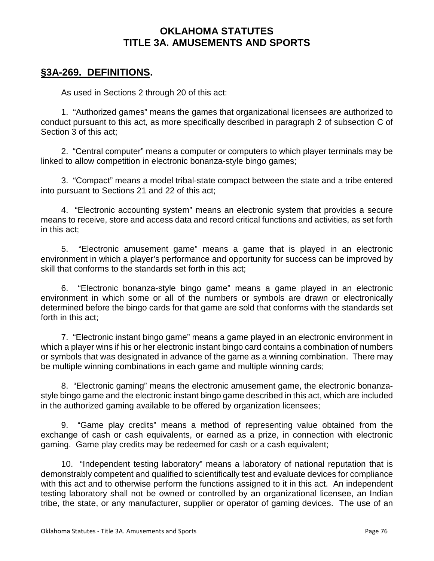#### **§3A-269. DEFINITIONS.**

As used in Sections 2 through 20 of this act:

1. "Authorized games" means the games that organizational licensees are authorized to conduct pursuant to this act, as more specifically described in paragraph 2 of subsection C of Section 3 of this act;

2. "Central computer" means a computer or computers to which player terminals may be linked to allow competition in electronic bonanza-style bingo games;

3. "Compact" means a model tribal-state compact between the state and a tribe entered into pursuant to Sections 21 and 22 of this act;

4. "Electronic accounting system" means an electronic system that provides a secure means to receive, store and access data and record critical functions and activities, as set forth in this act;

5. "Electronic amusement game" means a game that is played in an electronic environment in which a player's performance and opportunity for success can be improved by skill that conforms to the standards set forth in this act;

6. "Electronic bonanza-style bingo game" means a game played in an electronic environment in which some or all of the numbers or symbols are drawn or electronically determined before the bingo cards for that game are sold that conforms with the standards set forth in this act;

7. "Electronic instant bingo game" means a game played in an electronic environment in which a player wins if his or her electronic instant bingo card contains a combination of numbers or symbols that was designated in advance of the game as a winning combination. There may be multiple winning combinations in each game and multiple winning cards;

8. "Electronic gaming" means the electronic amusement game, the electronic bonanzastyle bingo game and the electronic instant bingo game described in this act, which are included in the authorized gaming available to be offered by organization licensees;

9. "Game play credits" means a method of representing value obtained from the exchange of cash or cash equivalents, or earned as a prize, in connection with electronic gaming. Game play credits may be redeemed for cash or a cash equivalent;

10. "Independent testing laboratory" means a laboratory of national reputation that is demonstrably competent and qualified to scientifically test and evaluate devices for compliance with this act and to otherwise perform the functions assigned to it in this act. An independent testing laboratory shall not be owned or controlled by an organizational licensee, an Indian tribe, the state, or any manufacturer, supplier or operator of gaming devices. The use of an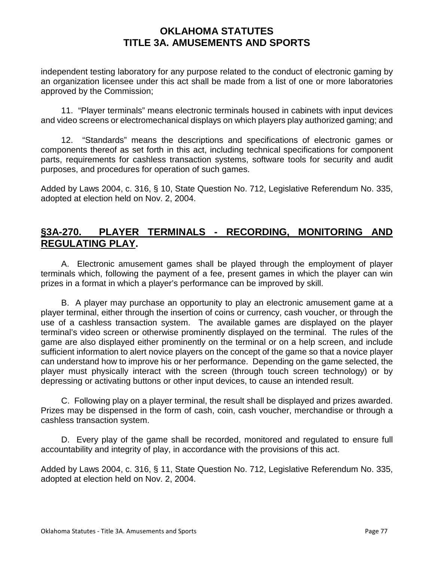independent testing laboratory for any purpose related to the conduct of electronic gaming by an organization licensee under this act shall be made from a list of one or more laboratories approved by the Commission;

11. "Player terminals" means electronic terminals housed in cabinets with input devices and video screens or electromechanical displays on which players play authorized gaming; and

12. "Standards" means the descriptions and specifications of electronic games or components thereof as set forth in this act, including technical specifications for component parts, requirements for cashless transaction systems, software tools for security and audit purposes, and procedures for operation of such games.

Added by Laws 2004, c. 316, § 10, State Question No. 712, Legislative Referendum No. 335, adopted at election held on Nov. 2, 2004.

#### **§3A-270. PLAYER TERMINALS - RECORDING, MONITORING AND REGULATING PLAY.**

A. Electronic amusement games shall be played through the employment of player terminals which, following the payment of a fee, present games in which the player can win prizes in a format in which a player's performance can be improved by skill.

B. A player may purchase an opportunity to play an electronic amusement game at a player terminal, either through the insertion of coins or currency, cash voucher, or through the use of a cashless transaction system. The available games are displayed on the player terminal's video screen or otherwise prominently displayed on the terminal. The rules of the game are also displayed either prominently on the terminal or on a help screen, and include sufficient information to alert novice players on the concept of the game so that a novice player can understand how to improve his or her performance. Depending on the game selected, the player must physically interact with the screen (through touch screen technology) or by depressing or activating buttons or other input devices, to cause an intended result.

C. Following play on a player terminal, the result shall be displayed and prizes awarded. Prizes may be dispensed in the form of cash, coin, cash voucher, merchandise or through a cashless transaction system.

D. Every play of the game shall be recorded, monitored and regulated to ensure full accountability and integrity of play, in accordance with the provisions of this act.

Added by Laws 2004, c. 316, § 11, State Question No. 712, Legislative Referendum No. 335, adopted at election held on Nov. 2, 2004.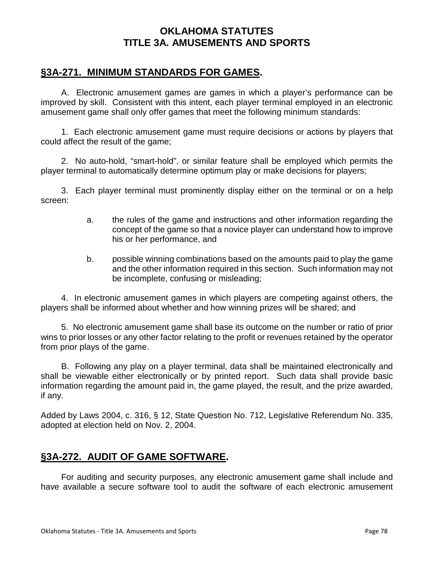#### **§3A-271. MINIMUM STANDARDS FOR GAMES.**

A. Electronic amusement games are games in which a player's performance can be improved by skill. Consistent with this intent, each player terminal employed in an electronic amusement game shall only offer games that meet the following minimum standards:

1. Each electronic amusement game must require decisions or actions by players that could affect the result of the game;

2. No auto-hold, "smart-hold", or similar feature shall be employed which permits the player terminal to automatically determine optimum play or make decisions for players;

3. Each player terminal must prominently display either on the terminal or on a help screen:

- a. the rules of the game and instructions and other information regarding the concept of the game so that a novice player can understand how to improve his or her performance, and
- b. possible winning combinations based on the amounts paid to play the game and the other information required in this section. Such information may not be incomplete, confusing or misleading;

4. In electronic amusement games in which players are competing against others, the players shall be informed about whether and how winning prizes will be shared; and

5. No electronic amusement game shall base its outcome on the number or ratio of prior wins to prior losses or any other factor relating to the profit or revenues retained by the operator from prior plays of the game.

B. Following any play on a player terminal, data shall be maintained electronically and shall be viewable either electronically or by printed report. Such data shall provide basic information regarding the amount paid in, the game played, the result, and the prize awarded, if any.

Added by Laws 2004, c. 316, § 12, State Question No. 712, Legislative Referendum No. 335, adopted at election held on Nov. 2, 2004.

# **§3A-272. AUDIT OF GAME SOFTWARE.**

For auditing and security purposes, any electronic amusement game shall include and have available a secure software tool to audit the software of each electronic amusement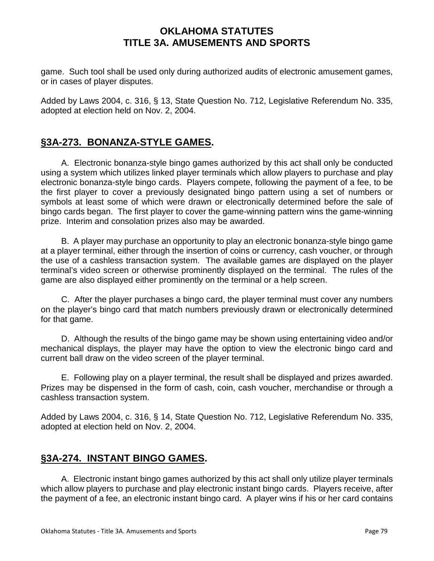game. Such tool shall be used only during authorized audits of electronic amusement games, or in cases of player disputes.

Added by Laws 2004, c. 316, § 13, State Question No. 712, Legislative Referendum No. 335, adopted at election held on Nov. 2, 2004.

# **§3A-273. BONANZA-STYLE GAMES.**

A. Electronic bonanza-style bingo games authorized by this act shall only be conducted using a system which utilizes linked player terminals which allow players to purchase and play electronic bonanza-style bingo cards. Players compete, following the payment of a fee, to be the first player to cover a previously designated bingo pattern using a set of numbers or symbols at least some of which were drawn or electronically determined before the sale of bingo cards began. The first player to cover the game-winning pattern wins the game-winning prize. Interim and consolation prizes also may be awarded.

B. A player may purchase an opportunity to play an electronic bonanza-style bingo game at a player terminal, either through the insertion of coins or currency, cash voucher, or through the use of a cashless transaction system. The available games are displayed on the player terminal's video screen or otherwise prominently displayed on the terminal. The rules of the game are also displayed either prominently on the terminal or a help screen.

C. After the player purchases a bingo card, the player terminal must cover any numbers on the player's bingo card that match numbers previously drawn or electronically determined for that game.

D. Although the results of the bingo game may be shown using entertaining video and/or mechanical displays, the player may have the option to view the electronic bingo card and current ball draw on the video screen of the player terminal.

E. Following play on a player terminal, the result shall be displayed and prizes awarded. Prizes may be dispensed in the form of cash, coin, cash voucher, merchandise or through a cashless transaction system.

Added by Laws 2004, c. 316, § 14, State Question No. 712, Legislative Referendum No. 335, adopted at election held on Nov. 2, 2004.

# **§3A-274. INSTANT BINGO GAMES.**

A. Electronic instant bingo games authorized by this act shall only utilize player terminals which allow players to purchase and play electronic instant bingo cards. Players receive, after the payment of a fee, an electronic instant bingo card. A player wins if his or her card contains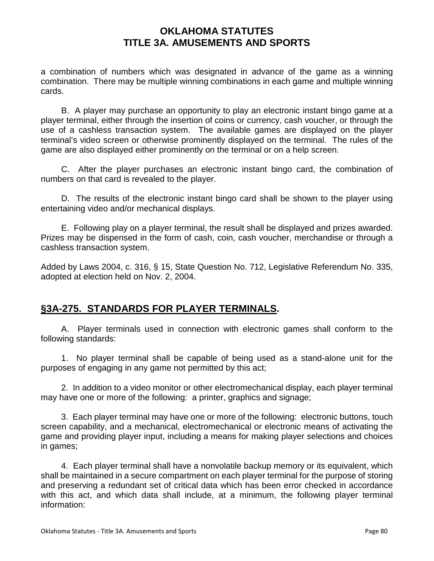a combination of numbers which was designated in advance of the game as a winning combination. There may be multiple winning combinations in each game and multiple winning cards.

B. A player may purchase an opportunity to play an electronic instant bingo game at a player terminal, either through the insertion of coins or currency, cash voucher, or through the use of a cashless transaction system. The available games are displayed on the player terminal's video screen or otherwise prominently displayed on the terminal. The rules of the game are also displayed either prominently on the terminal or on a help screen.

C. After the player purchases an electronic instant bingo card, the combination of numbers on that card is revealed to the player.

D. The results of the electronic instant bingo card shall be shown to the player using entertaining video and/or mechanical displays.

E. Following play on a player terminal, the result shall be displayed and prizes awarded. Prizes may be dispensed in the form of cash, coin, cash voucher, merchandise or through a cashless transaction system.

Added by Laws 2004, c. 316, § 15, State Question No. 712, Legislative Referendum No. 335, adopted at election held on Nov. 2, 2004.

# **§3A-275. STANDARDS FOR PLAYER TERMINALS.**

A. Player terminals used in connection with electronic games shall conform to the following standards:

1. No player terminal shall be capable of being used as a stand-alone unit for the purposes of engaging in any game not permitted by this act;

2. In addition to a video monitor or other electromechanical display, each player terminal may have one or more of the following: a printer, graphics and signage;

3. Each player terminal may have one or more of the following: electronic buttons, touch screen capability, and a mechanical, electromechanical or electronic means of activating the game and providing player input, including a means for making player selections and choices in games;

4. Each player terminal shall have a nonvolatile backup memory or its equivalent, which shall be maintained in a secure compartment on each player terminal for the purpose of storing and preserving a redundant set of critical data which has been error checked in accordance with this act, and which data shall include, at a minimum, the following player terminal information: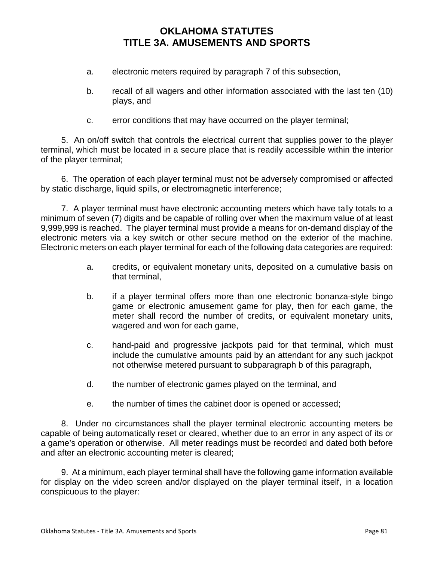- a. electronic meters required by paragraph 7 of this subsection,
- b. recall of all wagers and other information associated with the last ten (10) plays, and
- c. error conditions that may have occurred on the player terminal;

5. An on/off switch that controls the electrical current that supplies power to the player terminal, which must be located in a secure place that is readily accessible within the interior of the player terminal;

6. The operation of each player terminal must not be adversely compromised or affected by static discharge, liquid spills, or electromagnetic interference;

7. A player terminal must have electronic accounting meters which have tally totals to a minimum of seven (7) digits and be capable of rolling over when the maximum value of at least 9,999,999 is reached. The player terminal must provide a means for on-demand display of the electronic meters via a key switch or other secure method on the exterior of the machine. Electronic meters on each player terminal for each of the following data categories are required:

- a. credits, or equivalent monetary units, deposited on a cumulative basis on that terminal,
- b. if a player terminal offers more than one electronic bonanza-style bingo game or electronic amusement game for play, then for each game, the meter shall record the number of credits, or equivalent monetary units, wagered and won for each game,
- c. hand-paid and progressive jackpots paid for that terminal, which must include the cumulative amounts paid by an attendant for any such jackpot not otherwise metered pursuant to subparagraph b of this paragraph,
- d. the number of electronic games played on the terminal, and
- e. the number of times the cabinet door is opened or accessed;

8. Under no circumstances shall the player terminal electronic accounting meters be capable of being automatically reset or cleared, whether due to an error in any aspect of its or a game's operation or otherwise. All meter readings must be recorded and dated both before and after an electronic accounting meter is cleared;

9. At a minimum, each player terminal shall have the following game information available for display on the video screen and/or displayed on the player terminal itself, in a location conspicuous to the player: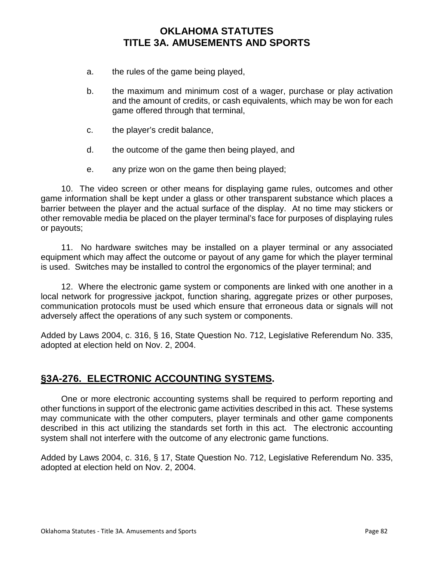- a. the rules of the game being played,
- b. the maximum and minimum cost of a wager, purchase or play activation and the amount of credits, or cash equivalents, which may be won for each game offered through that terminal,
- c. the player's credit balance,
- d. the outcome of the game then being played, and
- e. any prize won on the game then being played;

10. The video screen or other means for displaying game rules, outcomes and other game information shall be kept under a glass or other transparent substance which places a barrier between the player and the actual surface of the display. At no time may stickers or other removable media be placed on the player terminal's face for purposes of displaying rules or payouts;

11. No hardware switches may be installed on a player terminal or any associated equipment which may affect the outcome or payout of any game for which the player terminal is used. Switches may be installed to control the ergonomics of the player terminal; and

12. Where the electronic game system or components are linked with one another in a local network for progressive jackpot, function sharing, aggregate prizes or other purposes, communication protocols must be used which ensure that erroneous data or signals will not adversely affect the operations of any such system or components.

Added by Laws 2004, c. 316, § 16, State Question No. 712, Legislative Referendum No. 335, adopted at election held on Nov. 2, 2004.

# **§3A-276. ELECTRONIC ACCOUNTING SYSTEMS.**

One or more electronic accounting systems shall be required to perform reporting and other functions in support of the electronic game activities described in this act. These systems may communicate with the other computers, player terminals and other game components described in this act utilizing the standards set forth in this act. The electronic accounting system shall not interfere with the outcome of any electronic game functions.

Added by Laws 2004, c. 316, § 17, State Question No. 712, Legislative Referendum No. 335, adopted at election held on Nov. 2, 2004.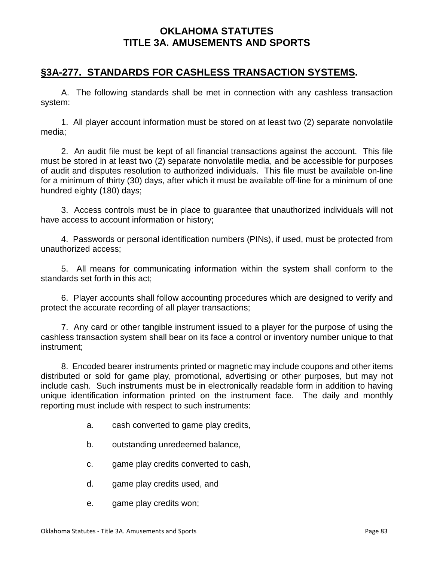### **§3A-277. STANDARDS FOR CASHLESS TRANSACTION SYSTEMS.**

A. The following standards shall be met in connection with any cashless transaction system:

1. All player account information must be stored on at least two (2) separate nonvolatile media;

2. An audit file must be kept of all financial transactions against the account. This file must be stored in at least two (2) separate nonvolatile media, and be accessible for purposes of audit and disputes resolution to authorized individuals. This file must be available on-line for a minimum of thirty (30) days, after which it must be available off-line for a minimum of one hundred eighty (180) days;

3. Access controls must be in place to guarantee that unauthorized individuals will not have access to account information or history;

4. Passwords or personal identification numbers (PINs), if used, must be protected from unauthorized access;

5. All means for communicating information within the system shall conform to the standards set forth in this act;

6. Player accounts shall follow accounting procedures which are designed to verify and protect the accurate recording of all player transactions;

7. Any card or other tangible instrument issued to a player for the purpose of using the cashless transaction system shall bear on its face a control or inventory number unique to that instrument;

8. Encoded bearer instruments printed or magnetic may include coupons and other items distributed or sold for game play, promotional, advertising or other purposes, but may not include cash. Such instruments must be in electronically readable form in addition to having unique identification information printed on the instrument face. The daily and monthly reporting must include with respect to such instruments:

- a. cash converted to game play credits,
- b. outstanding unredeemed balance,
- c. game play credits converted to cash,
- d. game play credits used, and
- e. game play credits won;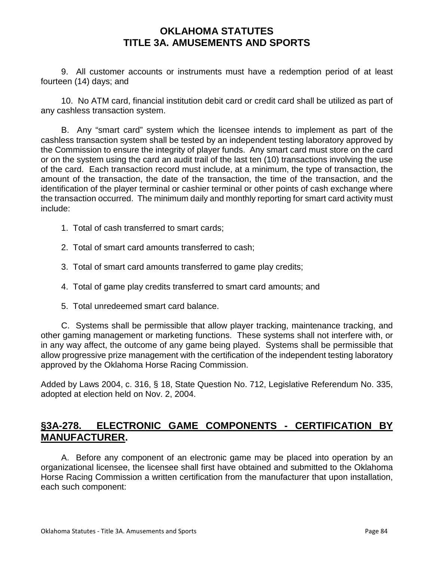9. All customer accounts or instruments must have a redemption period of at least fourteen (14) days; and

10. No ATM card, financial institution debit card or credit card shall be utilized as part of any cashless transaction system.

B. Any "smart card" system which the licensee intends to implement as part of the cashless transaction system shall be tested by an independent testing laboratory approved by the Commission to ensure the integrity of player funds. Any smart card must store on the card or on the system using the card an audit trail of the last ten (10) transactions involving the use of the card. Each transaction record must include, at a minimum, the type of transaction, the amount of the transaction, the date of the transaction, the time of the transaction, and the identification of the player terminal or cashier terminal or other points of cash exchange where the transaction occurred. The minimum daily and monthly reporting for smart card activity must include:

- 1. Total of cash transferred to smart cards;
- 2. Total of smart card amounts transferred to cash;
- 3. Total of smart card amounts transferred to game play credits;
- 4. Total of game play credits transferred to smart card amounts; and
- 5. Total unredeemed smart card balance.

C. Systems shall be permissible that allow player tracking, maintenance tracking, and other gaming management or marketing functions. These systems shall not interfere with, or in any way affect, the outcome of any game being played. Systems shall be permissible that allow progressive prize management with the certification of the independent testing laboratory approved by the Oklahoma Horse Racing Commission.

Added by Laws 2004, c. 316, § 18, State Question No. 712, Legislative Referendum No. 335, adopted at election held on Nov. 2, 2004.

# **§3A-278. ELECTRONIC GAME COMPONENTS - CERTIFICATION BY MANUFACTURER.**

A. Before any component of an electronic game may be placed into operation by an organizational licensee, the licensee shall first have obtained and submitted to the Oklahoma Horse Racing Commission a written certification from the manufacturer that upon installation, each such component: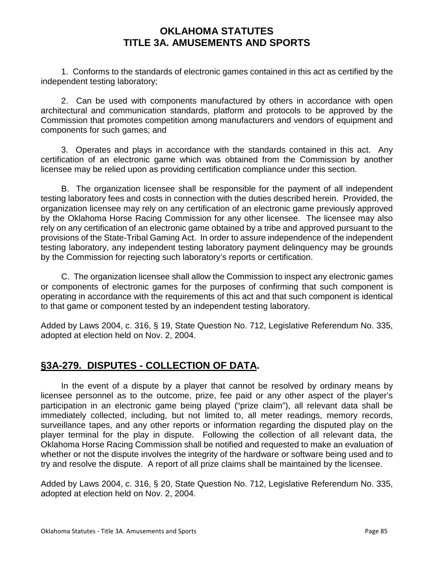1. Conforms to the standards of electronic games contained in this act as certified by the independent testing laboratory;

2. Can be used with components manufactured by others in accordance with open architectural and communication standards, platform and protocols to be approved by the Commission that promotes competition among manufacturers and vendors of equipment and components for such games; and

3. Operates and plays in accordance with the standards contained in this act. Any certification of an electronic game which was obtained from the Commission by another licensee may be relied upon as providing certification compliance under this section.

B. The organization licensee shall be responsible for the payment of all independent testing laboratory fees and costs in connection with the duties described herein. Provided, the organization licensee may rely on any certification of an electronic game previously approved by the Oklahoma Horse Racing Commission for any other licensee. The licensee may also rely on any certification of an electronic game obtained by a tribe and approved pursuant to the provisions of the State-Tribal Gaming Act. In order to assure independence of the independent testing laboratory, any independent testing laboratory payment delinquency may be grounds by the Commission for rejecting such laboratory's reports or certification.

C. The organization licensee shall allow the Commission to inspect any electronic games or components of electronic games for the purposes of confirming that such component is operating in accordance with the requirements of this act and that such component is identical to that game or component tested by an independent testing laboratory.

Added by Laws 2004, c. 316, § 19, State Question No. 712, Legislative Referendum No. 335, adopted at election held on Nov. 2, 2004.

# **§3A-279. DISPUTES - COLLECTION OF DATA.**

In the event of a dispute by a player that cannot be resolved by ordinary means by licensee personnel as to the outcome, prize, fee paid or any other aspect of the player's participation in an electronic game being played ("prize claim"), all relevant data shall be immediately collected, including, but not limited to, all meter readings, memory records, surveillance tapes, and any other reports or information regarding the disputed play on the player terminal for the play in dispute. Following the collection of all relevant data, the Oklahoma Horse Racing Commission shall be notified and requested to make an evaluation of whether or not the dispute involves the integrity of the hardware or software being used and to try and resolve the dispute. A report of all prize claims shall be maintained by the licensee.

Added by Laws 2004, c. 316, § 20, State Question No. 712, Legislative Referendum No. 335, adopted at election held on Nov. 2, 2004.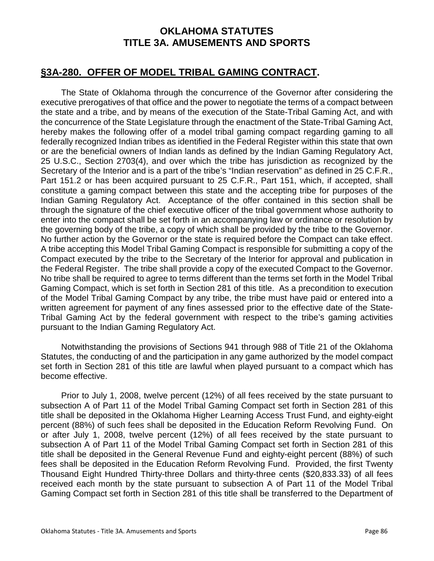#### **§3A-280. OFFER OF MODEL TRIBAL GAMING CONTRACT.**

The State of Oklahoma through the concurrence of the Governor after considering the executive prerogatives of that office and the power to negotiate the terms of a compact between the state and a tribe, and by means of the execution of the State-Tribal Gaming Act, and with the concurrence of the State Legislature through the enactment of the State-Tribal Gaming Act, hereby makes the following offer of a model tribal gaming compact regarding gaming to all federally recognized Indian tribes as identified in the Federal Register within this state that own or are the beneficial owners of Indian lands as defined by the Indian Gaming Regulatory Act, 25 U.S.C., Section 2703(4), and over which the tribe has jurisdiction as recognized by the Secretary of the Interior and is a part of the tribe's "Indian reservation" as defined in 25 C.F.R., Part 151.2 or has been acquired pursuant to 25 C.F.R., Part 151, which, if accepted, shall constitute a gaming compact between this state and the accepting tribe for purposes of the Indian Gaming Regulatory Act. Acceptance of the offer contained in this section shall be through the signature of the chief executive officer of the tribal government whose authority to enter into the compact shall be set forth in an accompanying law or ordinance or resolution by the governing body of the tribe, a copy of which shall be provided by the tribe to the Governor. No further action by the Governor or the state is required before the Compact can take effect. A tribe accepting this Model Tribal Gaming Compact is responsible for submitting a copy of the Compact executed by the tribe to the Secretary of the Interior for approval and publication in the Federal Register. The tribe shall provide a copy of the executed Compact to the Governor. No tribe shall be required to agree to terms different than the terms set forth in the Model Tribal Gaming Compact, which is set forth in Section 281 of this title. As a precondition to execution of the Model Tribal Gaming Compact by any tribe, the tribe must have paid or entered into a written agreement for payment of any fines assessed prior to the effective date of the State-Tribal Gaming Act by the federal government with respect to the tribe's gaming activities pursuant to the Indian Gaming Regulatory Act.

Notwithstanding the provisions of Sections 941 through 988 of Title 21 of the Oklahoma Statutes, the conducting of and the participation in any game authorized by the model compact set forth in Section 281 of this title are lawful when played pursuant to a compact which has become effective.

Prior to July 1, 2008, twelve percent (12%) of all fees received by the state pursuant to subsection A of Part 11 of the Model Tribal Gaming Compact set forth in Section 281 of this title shall be deposited in the Oklahoma Higher Learning Access Trust Fund, and eighty-eight percent (88%) of such fees shall be deposited in the Education Reform Revolving Fund. On or after July 1, 2008, twelve percent (12%) of all fees received by the state pursuant to subsection A of Part 11 of the Model Tribal Gaming Compact set forth in Section 281 of this title shall be deposited in the General Revenue Fund and eighty-eight percent (88%) of such fees shall be deposited in the Education Reform Revolving Fund. Provided, the first Twenty Thousand Eight Hundred Thirty-three Dollars and thirty-three cents (\$20,833.33) of all fees received each month by the state pursuant to subsection A of Part 11 of the Model Tribal Gaming Compact set forth in Section 281 of this title shall be transferred to the Department of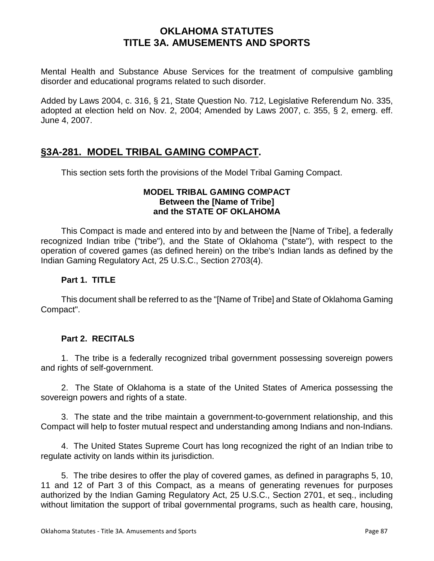Mental Health and Substance Abuse Services for the treatment of compulsive gambling disorder and educational programs related to such disorder.

Added by Laws 2004, c. 316, § 21, State Question No. 712, Legislative Referendum No. 335, adopted at election held on Nov. 2, 2004; Amended by Laws 2007, c. 355, § 2, emerg. eff. June 4, 2007.

### **§3A-281. MODEL TRIBAL GAMING COMPACT.**

This section sets forth the provisions of the Model Tribal Gaming Compact.

#### **MODEL TRIBAL GAMING COMPACT Between the [Name of Tribe] and the STATE OF OKLAHOMA**

This Compact is made and entered into by and between the [Name of Tribe], a federally recognized Indian tribe ("tribe"), and the State of Oklahoma ("state"), with respect to the operation of covered games (as defined herein) on the tribe's Indian lands as defined by the Indian Gaming Regulatory Act, 25 U.S.C., Section 2703(4).

#### **Part 1. TITLE**

This document shall be referred to as the "[Name of Tribe] and State of Oklahoma Gaming Compact".

#### **Part 2. RECITALS**

1. The tribe is a federally recognized tribal government possessing sovereign powers and rights of self-government.

2. The State of Oklahoma is a state of the United States of America possessing the sovereign powers and rights of a state.

3. The state and the tribe maintain a government-to-government relationship, and this Compact will help to foster mutual respect and understanding among Indians and non-Indians.

4. The United States Supreme Court has long recognized the right of an Indian tribe to regulate activity on lands within its jurisdiction.

5. The tribe desires to offer the play of covered games, as defined in paragraphs 5, 10, 11 and 12 of Part 3 of this Compact, as a means of generating revenues for purposes authorized by the Indian Gaming Regulatory Act, 25 U.S.C., Section 2701, et seq., including without limitation the support of tribal governmental programs, such as health care, housing,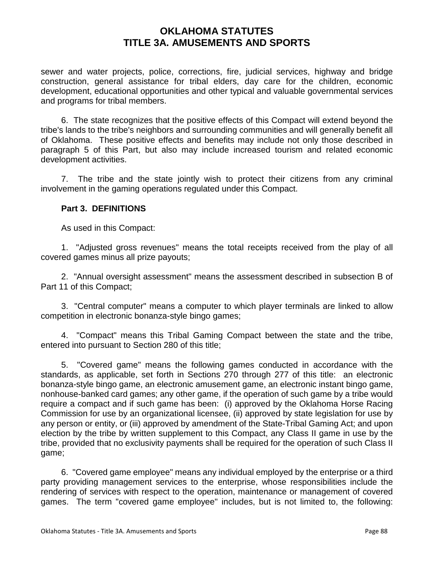sewer and water projects, police, corrections, fire, judicial services, highway and bridge construction, general assistance for tribal elders, day care for the children, economic development, educational opportunities and other typical and valuable governmental services and programs for tribal members.

6. The state recognizes that the positive effects of this Compact will extend beyond the tribe's lands to the tribe's neighbors and surrounding communities and will generally benefit all of Oklahoma. These positive effects and benefits may include not only those described in paragraph 5 of this Part, but also may include increased tourism and related economic development activities.

7. The tribe and the state jointly wish to protect their citizens from any criminal involvement in the gaming operations regulated under this Compact.

#### **Part 3. DEFINITIONS**

As used in this Compact:

1. "Adjusted gross revenues" means the total receipts received from the play of all covered games minus all prize payouts;

2. "Annual oversight assessment" means the assessment described in subsection B of Part 11 of this Compact;

3. "Central computer" means a computer to which player terminals are linked to allow competition in electronic bonanza-style bingo games;

4. "Compact" means this Tribal Gaming Compact between the state and the tribe, entered into pursuant to Section 280 of this title;

5. "Covered game" means the following games conducted in accordance with the standards, as applicable, set forth in Sections 270 through 277 of this title: an electronic bonanza-style bingo game, an electronic amusement game, an electronic instant bingo game, nonhouse-banked card games; any other game, if the operation of such game by a tribe would require a compact and if such game has been: (i) approved by the Oklahoma Horse Racing Commission for use by an organizational licensee, (ii) approved by state legislation for use by any person or entity, or (iii) approved by amendment of the State-Tribal Gaming Act; and upon election by the tribe by written supplement to this Compact, any Class II game in use by the tribe, provided that no exclusivity payments shall be required for the operation of such Class II game;

6. "Covered game employee" means any individual employed by the enterprise or a third party providing management services to the enterprise, whose responsibilities include the rendering of services with respect to the operation, maintenance or management of covered games. The term "covered game employee" includes, but is not limited to, the following: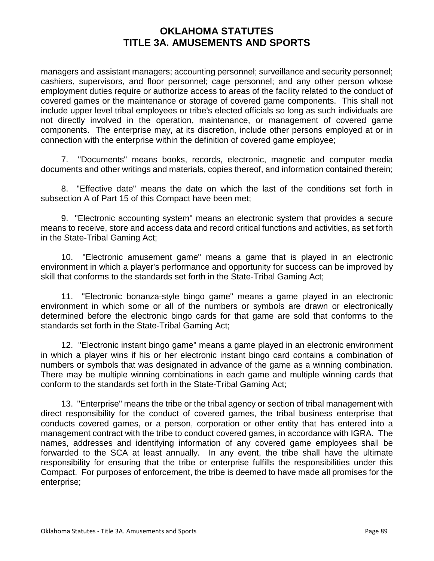managers and assistant managers; accounting personnel; surveillance and security personnel; cashiers, supervisors, and floor personnel; cage personnel; and any other person whose employment duties require or authorize access to areas of the facility related to the conduct of covered games or the maintenance or storage of covered game components. This shall not include upper level tribal employees or tribe's elected officials so long as such individuals are not directly involved in the operation, maintenance, or management of covered game components. The enterprise may, at its discretion, include other persons employed at or in connection with the enterprise within the definition of covered game employee;

7. "Documents" means books, records, electronic, magnetic and computer media documents and other writings and materials, copies thereof, and information contained therein;

8. "Effective date" means the date on which the last of the conditions set forth in subsection A of Part 15 of this Compact have been met;

9. "Electronic accounting system" means an electronic system that provides a secure means to receive, store and access data and record critical functions and activities, as set forth in the State-Tribal Gaming Act;

10. "Electronic amusement game" means a game that is played in an electronic environment in which a player's performance and opportunity for success can be improved by skill that conforms to the standards set forth in the State-Tribal Gaming Act;

11. "Electronic bonanza-style bingo game" means a game played in an electronic environment in which some or all of the numbers or symbols are drawn or electronically determined before the electronic bingo cards for that game are sold that conforms to the standards set forth in the State-Tribal Gaming Act;

12. "Electronic instant bingo game" means a game played in an electronic environment in which a player wins if his or her electronic instant bingo card contains a combination of numbers or symbols that was designated in advance of the game as a winning combination. There may be multiple winning combinations in each game and multiple winning cards that conform to the standards set forth in the State-Tribal Gaming Act;

13. "Enterprise" means the tribe or the tribal agency or section of tribal management with direct responsibility for the conduct of covered games, the tribal business enterprise that conducts covered games, or a person, corporation or other entity that has entered into a management contract with the tribe to conduct covered games, in accordance with IGRA. The names, addresses and identifying information of any covered game employees shall be forwarded to the SCA at least annually. In any event, the tribe shall have the ultimate responsibility for ensuring that the tribe or enterprise fulfills the responsibilities under this Compact. For purposes of enforcement, the tribe is deemed to have made all promises for the enterprise;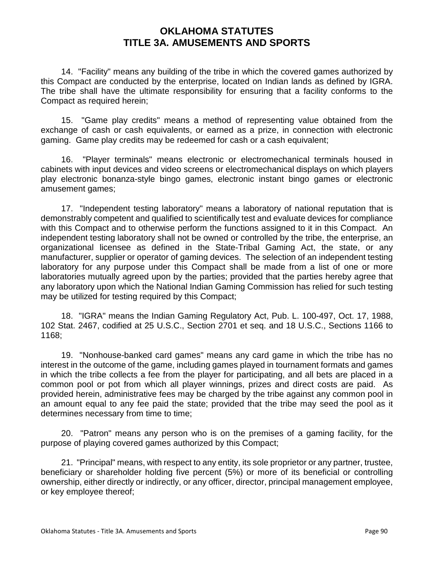14. "Facility" means any building of the tribe in which the covered games authorized by this Compact are conducted by the enterprise, located on Indian lands as defined by IGRA. The tribe shall have the ultimate responsibility for ensuring that a facility conforms to the Compact as required herein;

15. "Game play credits" means a method of representing value obtained from the exchange of cash or cash equivalents, or earned as a prize, in connection with electronic gaming. Game play credits may be redeemed for cash or a cash equivalent;

16. "Player terminals" means electronic or electromechanical terminals housed in cabinets with input devices and video screens or electromechanical displays on which players play electronic bonanza-style bingo games, electronic instant bingo games or electronic amusement games;

17. "Independent testing laboratory" means a laboratory of national reputation that is demonstrably competent and qualified to scientifically test and evaluate devices for compliance with this Compact and to otherwise perform the functions assigned to it in this Compact. An independent testing laboratory shall not be owned or controlled by the tribe, the enterprise, an organizational licensee as defined in the State-Tribal Gaming Act, the state, or any manufacturer, supplier or operator of gaming devices. The selection of an independent testing laboratory for any purpose under this Compact shall be made from a list of one or more laboratories mutually agreed upon by the parties; provided that the parties hereby agree that any laboratory upon which the National Indian Gaming Commission has relied for such testing may be utilized for testing required by this Compact;

18. "IGRA" means the Indian Gaming Regulatory Act, Pub. L. 100-497, Oct. 17, 1988, 102 Stat. 2467, codified at 25 U.S.C., Section 2701 et seq. and 18 U.S.C., Sections 1166 to 1168;

19. "Nonhouse-banked card games" means any card game in which the tribe has no interest in the outcome of the game, including games played in tournament formats and games in which the tribe collects a fee from the player for participating, and all bets are placed in a common pool or pot from which all player winnings, prizes and direct costs are paid. As provided herein, administrative fees may be charged by the tribe against any common pool in an amount equal to any fee paid the state; provided that the tribe may seed the pool as it determines necessary from time to time;

20. "Patron" means any person who is on the premises of a gaming facility, for the purpose of playing covered games authorized by this Compact;

21. "Principal" means, with respect to any entity, its sole proprietor or any partner, trustee, beneficiary or shareholder holding five percent (5%) or more of its beneficial or controlling ownership, either directly or indirectly, or any officer, director, principal management employee, or key employee thereof;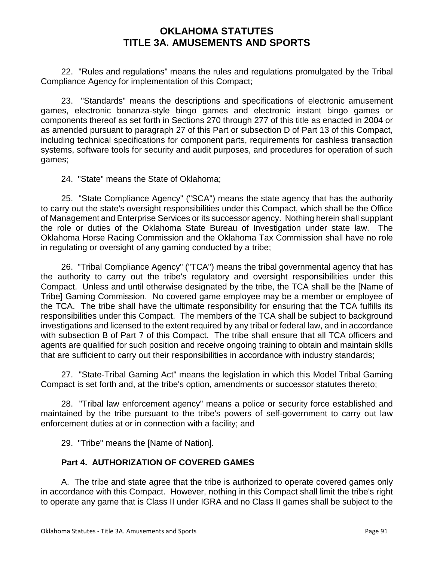22. "Rules and regulations" means the rules and regulations promulgated by the Tribal Compliance Agency for implementation of this Compact;

23. "Standards" means the descriptions and specifications of electronic amusement games, electronic bonanza-style bingo games and electronic instant bingo games or components thereof as set forth in Sections 270 through 277 of this title as enacted in 2004 or as amended pursuant to paragraph 27 of this Part or subsection D of Part 13 of this Compact, including technical specifications for component parts, requirements for cashless transaction systems, software tools for security and audit purposes, and procedures for operation of such games;

24. "State" means the State of Oklahoma;

25. "State Compliance Agency" ("SCA") means the state agency that has the authority to carry out the state's oversight responsibilities under this Compact, which shall be the Office of Management and Enterprise Services or its successor agency. Nothing herein shall supplant the role or duties of the Oklahoma State Bureau of Investigation under state law. The Oklahoma Horse Racing Commission and the Oklahoma Tax Commission shall have no role in regulating or oversight of any gaming conducted by a tribe;

26. "Tribal Compliance Agency" ("TCA") means the tribal governmental agency that has the authority to carry out the tribe's regulatory and oversight responsibilities under this Compact. Unless and until otherwise designated by the tribe, the TCA shall be the [Name of Tribe] Gaming Commission. No covered game employee may be a member or employee of the TCA. The tribe shall have the ultimate responsibility for ensuring that the TCA fulfills its responsibilities under this Compact. The members of the TCA shall be subject to background investigations and licensed to the extent required by any tribal or federal law, and in accordance with subsection B of Part 7 of this Compact. The tribe shall ensure that all TCA officers and agents are qualified for such position and receive ongoing training to obtain and maintain skills that are sufficient to carry out their responsibilities in accordance with industry standards;

27. "State-Tribal Gaming Act" means the legislation in which this Model Tribal Gaming Compact is set forth and, at the tribe's option, amendments or successor statutes thereto;

28. "Tribal law enforcement agency" means a police or security force established and maintained by the tribe pursuant to the tribe's powers of self-government to carry out law enforcement duties at or in connection with a facility; and

29. "Tribe" means the [Name of Nation].

#### **Part 4. AUTHORIZATION OF COVERED GAMES**

A. The tribe and state agree that the tribe is authorized to operate covered games only in accordance with this Compact. However, nothing in this Compact shall limit the tribe's right to operate any game that is Class II under IGRA and no Class II games shall be subject to the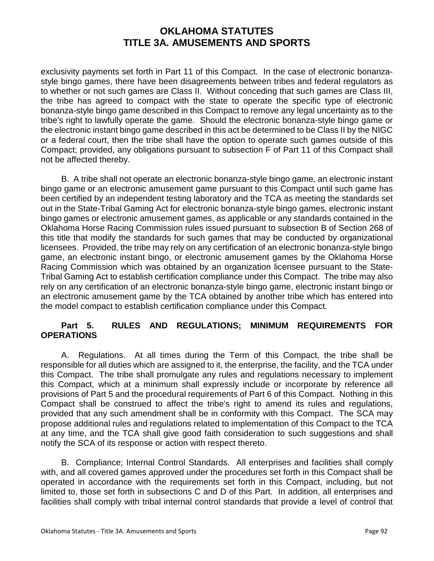exclusivity payments set forth in Part 11 of this Compact. In the case of electronic bonanzastyle bingo games, there have been disagreements between tribes and federal regulators as to whether or not such games are Class II. Without conceding that such games are Class III, the tribe has agreed to compact with the state to operate the specific type of electronic bonanza-style bingo game described in this Compact to remove any legal uncertainty as to the tribe's right to lawfully operate the game. Should the electronic bonanza-style bingo game or the electronic instant bingo game described in this act be determined to be Class II by the NIGC or a federal court, then the tribe shall have the option to operate such games outside of this Compact; provided, any obligations pursuant to subsection F of Part 11 of this Compact shall not be affected thereby.

B. A tribe shall not operate an electronic bonanza-style bingo game, an electronic instant bingo game or an electronic amusement game pursuant to this Compact until such game has been certified by an independent testing laboratory and the TCA as meeting the standards set out in the State-Tribal Gaming Act for electronic bonanza-style bingo games, electronic instant bingo games or electronic amusement games, as applicable or any standards contained in the Oklahoma Horse Racing Commission rules issued pursuant to subsection B of Section 268 of this title that modify the standards for such games that may be conducted by organizational licensees. Provided, the tribe may rely on any certification of an electronic bonanza-style bingo game, an electronic instant bingo, or electronic amusement games by the Oklahoma Horse Racing Commission which was obtained by an organization licensee pursuant to the State-Tribal Gaming Act to establish certification compliance under this Compact. The tribe may also rely on any certification of an electronic bonanza-style bingo game, electronic instant bingo or an electronic amusement game by the TCA obtained by another tribe which has entered into the model compact to establish certification compliance under this Compact.

#### **Part 5. RULES AND REGULATIONS; MINIMUM REQUIREMENTS FOR OPERATIONS**

A. Regulations. At all times during the Term of this Compact, the tribe shall be responsible for all duties which are assigned to it, the enterprise, the facility, and the TCA under this Compact. The tribe shall promulgate any rules and regulations necessary to implement this Compact, which at a minimum shall expressly include or incorporate by reference all provisions of Part 5 and the procedural requirements of Part 6 of this Compact. Nothing in this Compact shall be construed to affect the tribe's right to amend its rules and regulations, provided that any such amendment shall be in conformity with this Compact. The SCA may propose additional rules and regulations related to implementation of this Compact to the TCA at any time, and the TCA shall give good faith consideration to such suggestions and shall notify the SCA of its response or action with respect thereto.

B. Compliance; Internal Control Standards. All enterprises and facilities shall comply with, and all covered games approved under the procedures set forth in this Compact shall be operated in accordance with the requirements set forth in this Compact, including, but not limited to, those set forth in subsections C and D of this Part. In addition, all enterprises and facilities shall comply with tribal internal control standards that provide a level of control that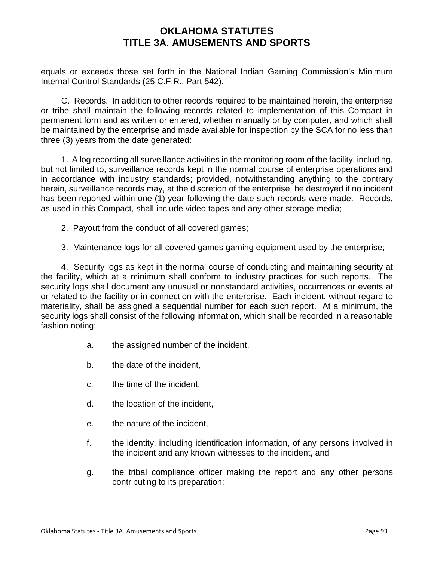equals or exceeds those set forth in the National Indian Gaming Commission's Minimum Internal Control Standards (25 C.F.R., Part 542).

C. Records. In addition to other records required to be maintained herein, the enterprise or tribe shall maintain the following records related to implementation of this Compact in permanent form and as written or entered, whether manually or by computer, and which shall be maintained by the enterprise and made available for inspection by the SCA for no less than three (3) years from the date generated:

1. A log recording all surveillance activities in the monitoring room of the facility, including, but not limited to, surveillance records kept in the normal course of enterprise operations and in accordance with industry standards; provided, notwithstanding anything to the contrary herein, surveillance records may, at the discretion of the enterprise, be destroyed if no incident has been reported within one (1) year following the date such records were made. Records, as used in this Compact, shall include video tapes and any other storage media;

- 2. Payout from the conduct of all covered games;
- 3. Maintenance logs for all covered games gaming equipment used by the enterprise;

4. Security logs as kept in the normal course of conducting and maintaining security at the facility, which at a minimum shall conform to industry practices for such reports. The security logs shall document any unusual or nonstandard activities, occurrences or events at or related to the facility or in connection with the enterprise. Each incident, without regard to materiality, shall be assigned a sequential number for each such report. At a minimum, the security logs shall consist of the following information, which shall be recorded in a reasonable fashion noting:

- a. the assigned number of the incident,
- b. the date of the incident,
- c. the time of the incident,
- d. the location of the incident,
- e. the nature of the incident,
- f. the identity, including identification information, of any persons involved in the incident and any known witnesses to the incident, and
- g. the tribal compliance officer making the report and any other persons contributing to its preparation;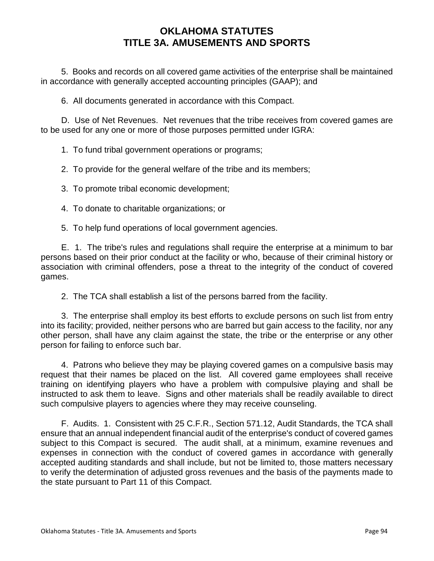5. Books and records on all covered game activities of the enterprise shall be maintained in accordance with generally accepted accounting principles (GAAP); and

6. All documents generated in accordance with this Compact.

D. Use of Net Revenues. Net revenues that the tribe receives from covered games are to be used for any one or more of those purposes permitted under IGRA:

1. To fund tribal government operations or programs;

2. To provide for the general welfare of the tribe and its members;

3. To promote tribal economic development;

4. To donate to charitable organizations; or

5. To help fund operations of local government agencies.

E. 1. The tribe's rules and regulations shall require the enterprise at a minimum to bar persons based on their prior conduct at the facility or who, because of their criminal history or association with criminal offenders, pose a threat to the integrity of the conduct of covered games.

2. The TCA shall establish a list of the persons barred from the facility.

3. The enterprise shall employ its best efforts to exclude persons on such list from entry into its facility; provided, neither persons who are barred but gain access to the facility, nor any other person, shall have any claim against the state, the tribe or the enterprise or any other person for failing to enforce such bar.

4. Patrons who believe they may be playing covered games on a compulsive basis may request that their names be placed on the list. All covered game employees shall receive training on identifying players who have a problem with compulsive playing and shall be instructed to ask them to leave. Signs and other materials shall be readily available to direct such compulsive players to agencies where they may receive counseling.

F. Audits. 1. Consistent with 25 C.F.R., Section 571.12, Audit Standards, the TCA shall ensure that an annual independent financial audit of the enterprise's conduct of covered games subject to this Compact is secured. The audit shall, at a minimum, examine revenues and expenses in connection with the conduct of covered games in accordance with generally accepted auditing standards and shall include, but not be limited to, those matters necessary to verify the determination of adjusted gross revenues and the basis of the payments made to the state pursuant to Part 11 of this Compact.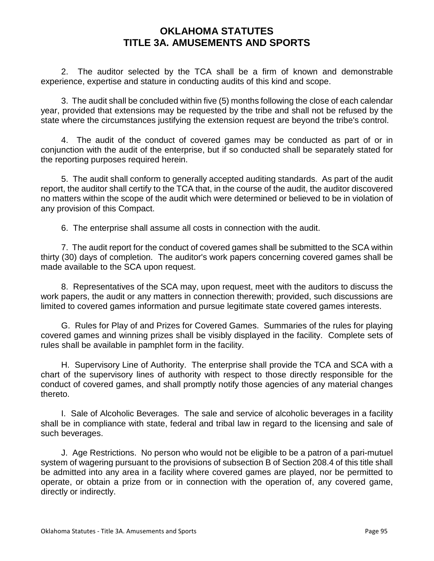2. The auditor selected by the TCA shall be a firm of known and demonstrable experience, expertise and stature in conducting audits of this kind and scope.

3. The audit shall be concluded within five (5) months following the close of each calendar year, provided that extensions may be requested by the tribe and shall not be refused by the state where the circumstances justifying the extension request are beyond the tribe's control.

4. The audit of the conduct of covered games may be conducted as part of or in conjunction with the audit of the enterprise, but if so conducted shall be separately stated for the reporting purposes required herein.

5. The audit shall conform to generally accepted auditing standards. As part of the audit report, the auditor shall certify to the TCA that, in the course of the audit, the auditor discovered no matters within the scope of the audit which were determined or believed to be in violation of any provision of this Compact.

6. The enterprise shall assume all costs in connection with the audit.

7. The audit report for the conduct of covered games shall be submitted to the SCA within thirty (30) days of completion. The auditor's work papers concerning covered games shall be made available to the SCA upon request.

8. Representatives of the SCA may, upon request, meet with the auditors to discuss the work papers, the audit or any matters in connection therewith; provided, such discussions are limited to covered games information and pursue legitimate state covered games interests.

G. Rules for Play of and Prizes for Covered Games. Summaries of the rules for playing covered games and winning prizes shall be visibly displayed in the facility. Complete sets of rules shall be available in pamphlet form in the facility.

H. Supervisory Line of Authority. The enterprise shall provide the TCA and SCA with a chart of the supervisory lines of authority with respect to those directly responsible for the conduct of covered games, and shall promptly notify those agencies of any material changes thereto.

I. Sale of Alcoholic Beverages. The sale and service of alcoholic beverages in a facility shall be in compliance with state, federal and tribal law in regard to the licensing and sale of such beverages.

J. Age Restrictions. No person who would not be eligible to be a patron of a pari-mutuel system of wagering pursuant to the provisions of subsection B of Section 208.4 of this title shall be admitted into any area in a facility where covered games are played, nor be permitted to operate, or obtain a prize from or in connection with the operation of, any covered game, directly or indirectly.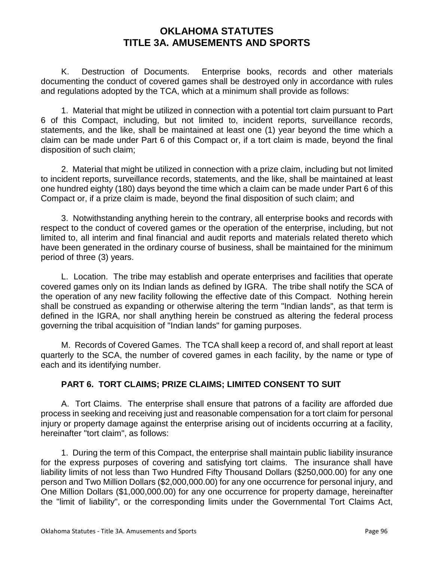K. Destruction of Documents. Enterprise books, records and other materials documenting the conduct of covered games shall be destroyed only in accordance with rules and regulations adopted by the TCA, which at a minimum shall provide as follows:

1. Material that might be utilized in connection with a potential tort claim pursuant to Part 6 of this Compact, including, but not limited to, incident reports, surveillance records, statements, and the like, shall be maintained at least one (1) year beyond the time which a claim can be made under Part 6 of this Compact or, if a tort claim is made, beyond the final disposition of such claim;

2. Material that might be utilized in connection with a prize claim, including but not limited to incident reports, surveillance records, statements, and the like, shall be maintained at least one hundred eighty (180) days beyond the time which a claim can be made under Part 6 of this Compact or, if a prize claim is made, beyond the final disposition of such claim; and

3. Notwithstanding anything herein to the contrary, all enterprise books and records with respect to the conduct of covered games or the operation of the enterprise, including, but not limited to, all interim and final financial and audit reports and materials related thereto which have been generated in the ordinary course of business, shall be maintained for the minimum period of three (3) years.

L. Location. The tribe may establish and operate enterprises and facilities that operate covered games only on its Indian lands as defined by IGRA. The tribe shall notify the SCA of the operation of any new facility following the effective date of this Compact. Nothing herein shall be construed as expanding or otherwise altering the term "Indian lands", as that term is defined in the IGRA, nor shall anything herein be construed as altering the federal process governing the tribal acquisition of "Indian lands" for gaming purposes.

M. Records of Covered Games. The TCA shall keep a record of, and shall report at least quarterly to the SCA, the number of covered games in each facility, by the name or type of each and its identifying number.

#### **PART 6. TORT CLAIMS; PRIZE CLAIMS; LIMITED CONSENT TO SUIT**

A. Tort Claims. The enterprise shall ensure that patrons of a facility are afforded due process in seeking and receiving just and reasonable compensation for a tort claim for personal injury or property damage against the enterprise arising out of incidents occurring at a facility, hereinafter "tort claim", as follows:

1. During the term of this Compact, the enterprise shall maintain public liability insurance for the express purposes of covering and satisfying tort claims. The insurance shall have liability limits of not less than Two Hundred Fifty Thousand Dollars (\$250,000.00) for any one person and Two Million Dollars (\$2,000,000.00) for any one occurrence for personal injury, and One Million Dollars (\$1,000,000.00) for any one occurrence for property damage, hereinafter the "limit of liability", or the corresponding limits under the Governmental Tort Claims Act,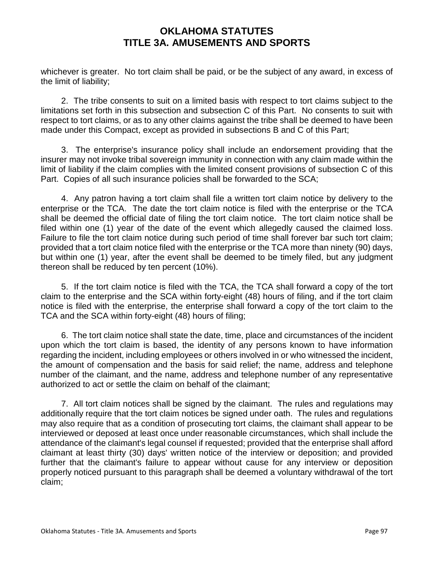whichever is greater. No tort claim shall be paid, or be the subject of any award, in excess of the limit of liability;

2. The tribe consents to suit on a limited basis with respect to tort claims subject to the limitations set forth in this subsection and subsection C of this Part. No consents to suit with respect to tort claims, or as to any other claims against the tribe shall be deemed to have been made under this Compact, except as provided in subsections B and C of this Part;

3. The enterprise's insurance policy shall include an endorsement providing that the insurer may not invoke tribal sovereign immunity in connection with any claim made within the limit of liability if the claim complies with the limited consent provisions of subsection C of this Part. Copies of all such insurance policies shall be forwarded to the SCA;

4. Any patron having a tort claim shall file a written tort claim notice by delivery to the enterprise or the TCA. The date the tort claim notice is filed with the enterprise or the TCA shall be deemed the official date of filing the tort claim notice. The tort claim notice shall be filed within one (1) year of the date of the event which allegedly caused the claimed loss. Failure to file the tort claim notice during such period of time shall forever bar such tort claim; provided that a tort claim notice filed with the enterprise or the TCA more than ninety (90) days, but within one (1) year, after the event shall be deemed to be timely filed, but any judgment thereon shall be reduced by ten percent (10%).

5. If the tort claim notice is filed with the TCA, the TCA shall forward a copy of the tort claim to the enterprise and the SCA within forty-eight (48) hours of filing, and if the tort claim notice is filed with the enterprise, the enterprise shall forward a copy of the tort claim to the TCA and the SCA within forty-eight (48) hours of filing;

6. The tort claim notice shall state the date, time, place and circumstances of the incident upon which the tort claim is based, the identity of any persons known to have information regarding the incident, including employees or others involved in or who witnessed the incident, the amount of compensation and the basis for said relief; the name, address and telephone number of the claimant, and the name, address and telephone number of any representative authorized to act or settle the claim on behalf of the claimant;

7. All tort claim notices shall be signed by the claimant. The rules and regulations may additionally require that the tort claim notices be signed under oath. The rules and regulations may also require that as a condition of prosecuting tort claims, the claimant shall appear to be interviewed or deposed at least once under reasonable circumstances, which shall include the attendance of the claimant's legal counsel if requested; provided that the enterprise shall afford claimant at least thirty (30) days' written notice of the interview or deposition; and provided further that the claimant's failure to appear without cause for any interview or deposition properly noticed pursuant to this paragraph shall be deemed a voluntary withdrawal of the tort claim;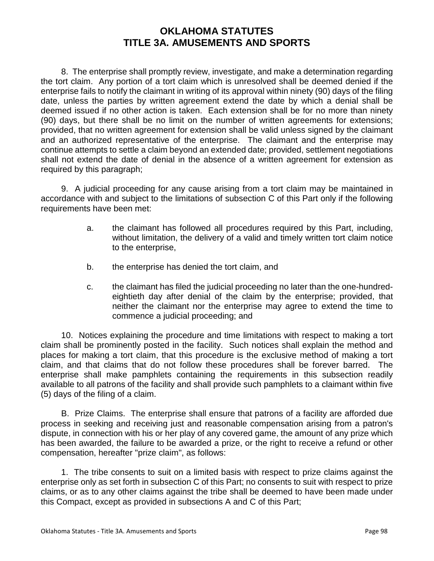8. The enterprise shall promptly review, investigate, and make a determination regarding the tort claim. Any portion of a tort claim which is unresolved shall be deemed denied if the enterprise fails to notify the claimant in writing of its approval within ninety (90) days of the filing date, unless the parties by written agreement extend the date by which a denial shall be deemed issued if no other action is taken. Each extension shall be for no more than ninety (90) days, but there shall be no limit on the number of written agreements for extensions; provided, that no written agreement for extension shall be valid unless signed by the claimant and an authorized representative of the enterprise. The claimant and the enterprise may continue attempts to settle a claim beyond an extended date; provided, settlement negotiations shall not extend the date of denial in the absence of a written agreement for extension as required by this paragraph;

9. A judicial proceeding for any cause arising from a tort claim may be maintained in accordance with and subject to the limitations of subsection C of this Part only if the following requirements have been met:

- a. the claimant has followed all procedures required by this Part, including, without limitation, the delivery of a valid and timely written tort claim notice to the enterprise,
- b. the enterprise has denied the tort claim, and
- c. the claimant has filed the judicial proceeding no later than the one-hundredeightieth day after denial of the claim by the enterprise; provided, that neither the claimant nor the enterprise may agree to extend the time to commence a judicial proceeding; and

10. Notices explaining the procedure and time limitations with respect to making a tort claim shall be prominently posted in the facility. Such notices shall explain the method and places for making a tort claim, that this procedure is the exclusive method of making a tort claim, and that claims that do not follow these procedures shall be forever barred. The enterprise shall make pamphlets containing the requirements in this subsection readily available to all patrons of the facility and shall provide such pamphlets to a claimant within five (5) days of the filing of a claim.

B. Prize Claims. The enterprise shall ensure that patrons of a facility are afforded due process in seeking and receiving just and reasonable compensation arising from a patron's dispute, in connection with his or her play of any covered game, the amount of any prize which has been awarded, the failure to be awarded a prize, or the right to receive a refund or other compensation, hereafter "prize claim", as follows:

1. The tribe consents to suit on a limited basis with respect to prize claims against the enterprise only as set forth in subsection C of this Part; no consents to suit with respect to prize claims, or as to any other claims against the tribe shall be deemed to have been made under this Compact, except as provided in subsections A and C of this Part;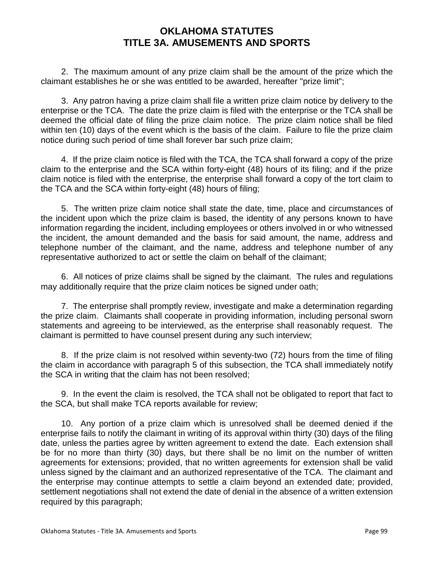2. The maximum amount of any prize claim shall be the amount of the prize which the claimant establishes he or she was entitled to be awarded, hereafter "prize limit";

3. Any patron having a prize claim shall file a written prize claim notice by delivery to the enterprise or the TCA. The date the prize claim is filed with the enterprise or the TCA shall be deemed the official date of filing the prize claim notice. The prize claim notice shall be filed within ten (10) days of the event which is the basis of the claim. Failure to file the prize claim notice during such period of time shall forever bar such prize claim;

4. If the prize claim notice is filed with the TCA, the TCA shall forward a copy of the prize claim to the enterprise and the SCA within forty-eight (48) hours of its filing; and if the prize claim notice is filed with the enterprise, the enterprise shall forward a copy of the tort claim to the TCA and the SCA within forty-eight (48) hours of filing;

5. The written prize claim notice shall state the date, time, place and circumstances of the incident upon which the prize claim is based, the identity of any persons known to have information regarding the incident, including employees or others involved in or who witnessed the incident, the amount demanded and the basis for said amount, the name, address and telephone number of the claimant, and the name, address and telephone number of any representative authorized to act or settle the claim on behalf of the claimant;

6. All notices of prize claims shall be signed by the claimant. The rules and regulations may additionally require that the prize claim notices be signed under oath;

7. The enterprise shall promptly review, investigate and make a determination regarding the prize claim. Claimants shall cooperate in providing information, including personal sworn statements and agreeing to be interviewed, as the enterprise shall reasonably request. The claimant is permitted to have counsel present during any such interview;

8. If the prize claim is not resolved within seventy-two (72) hours from the time of filing the claim in accordance with paragraph 5 of this subsection, the TCA shall immediately notify the SCA in writing that the claim has not been resolved;

9. In the event the claim is resolved, the TCA shall not be obligated to report that fact to the SCA, but shall make TCA reports available for review;

10. Any portion of a prize claim which is unresolved shall be deemed denied if the enterprise fails to notify the claimant in writing of its approval within thirty (30) days of the filing date, unless the parties agree by written agreement to extend the date. Each extension shall be for no more than thirty (30) days, but there shall be no limit on the number of written agreements for extensions; provided, that no written agreements for extension shall be valid unless signed by the claimant and an authorized representative of the TCA. The claimant and the enterprise may continue attempts to settle a claim beyond an extended date; provided, settlement negotiations shall not extend the date of denial in the absence of a written extension required by this paragraph;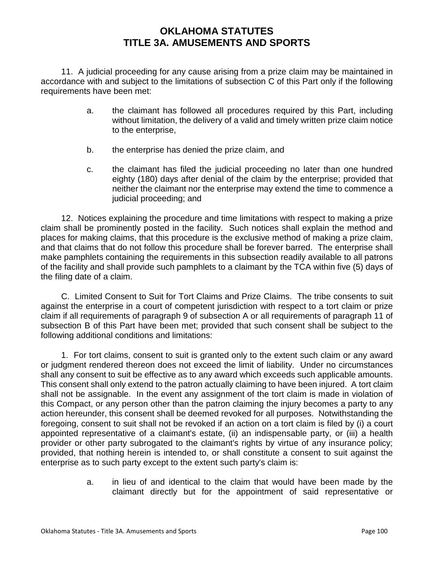11. A judicial proceeding for any cause arising from a prize claim may be maintained in accordance with and subject to the limitations of subsection C of this Part only if the following requirements have been met:

- a. the claimant has followed all procedures required by this Part, including without limitation, the delivery of a valid and timely written prize claim notice to the enterprise,
- b. the enterprise has denied the prize claim, and
- c. the claimant has filed the judicial proceeding no later than one hundred eighty (180) days after denial of the claim by the enterprise; provided that neither the claimant nor the enterprise may extend the time to commence a judicial proceeding; and

12. Notices explaining the procedure and time limitations with respect to making a prize claim shall be prominently posted in the facility. Such notices shall explain the method and places for making claims, that this procedure is the exclusive method of making a prize claim, and that claims that do not follow this procedure shall be forever barred. The enterprise shall make pamphlets containing the requirements in this subsection readily available to all patrons of the facility and shall provide such pamphlets to a claimant by the TCA within five (5) days of the filing date of a claim.

C. Limited Consent to Suit for Tort Claims and Prize Claims. The tribe consents to suit against the enterprise in a court of competent jurisdiction with respect to a tort claim or prize claim if all requirements of paragraph 9 of subsection A or all requirements of paragraph 11 of subsection B of this Part have been met; provided that such consent shall be subject to the following additional conditions and limitations:

1. For tort claims, consent to suit is granted only to the extent such claim or any award or judgment rendered thereon does not exceed the limit of liability. Under no circumstances shall any consent to suit be effective as to any award which exceeds such applicable amounts. This consent shall only extend to the patron actually claiming to have been injured. A tort claim shall not be assignable. In the event any assignment of the tort claim is made in violation of this Compact, or any person other than the patron claiming the injury becomes a party to any action hereunder, this consent shall be deemed revoked for all purposes. Notwithstanding the foregoing, consent to suit shall not be revoked if an action on a tort claim is filed by (i) a court appointed representative of a claimant's estate, (ii) an indispensable party, or (iii) a health provider or other party subrogated to the claimant's rights by virtue of any insurance policy; provided, that nothing herein is intended to, or shall constitute a consent to suit against the enterprise as to such party except to the extent such party's claim is:

> a. in lieu of and identical to the claim that would have been made by the claimant directly but for the appointment of said representative or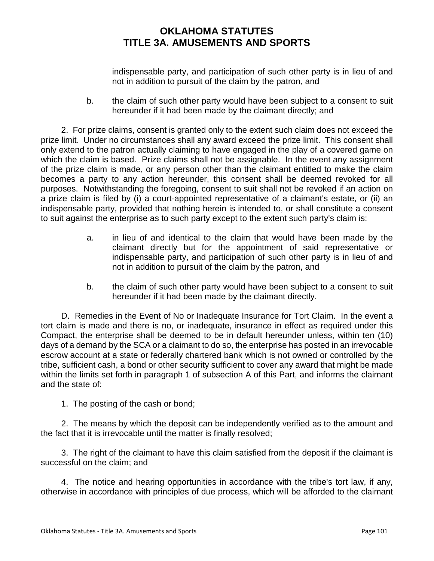indispensable party, and participation of such other party is in lieu of and not in addition to pursuit of the claim by the patron, and

b. the claim of such other party would have been subject to a consent to suit hereunder if it had been made by the claimant directly; and

2. For prize claims, consent is granted only to the extent such claim does not exceed the prize limit. Under no circumstances shall any award exceed the prize limit. This consent shall only extend to the patron actually claiming to have engaged in the play of a covered game on which the claim is based. Prize claims shall not be assignable. In the event any assignment of the prize claim is made, or any person other than the claimant entitled to make the claim becomes a party to any action hereunder, this consent shall be deemed revoked for all purposes. Notwithstanding the foregoing, consent to suit shall not be revoked if an action on a prize claim is filed by (i) a court-appointed representative of a claimant's estate, or (ii) an indispensable party, provided that nothing herein is intended to, or shall constitute a consent to suit against the enterprise as to such party except to the extent such party's claim is:

- a. in lieu of and identical to the claim that would have been made by the claimant directly but for the appointment of said representative or indispensable party, and participation of such other party is in lieu of and not in addition to pursuit of the claim by the patron, and
- b. the claim of such other party would have been subject to a consent to suit hereunder if it had been made by the claimant directly.

D. Remedies in the Event of No or Inadequate Insurance for Tort Claim. In the event a tort claim is made and there is no, or inadequate, insurance in effect as required under this Compact, the enterprise shall be deemed to be in default hereunder unless, within ten (10) days of a demand by the SCA or a claimant to do so, the enterprise has posted in an irrevocable escrow account at a state or federally chartered bank which is not owned or controlled by the tribe, sufficient cash, a bond or other security sufficient to cover any award that might be made within the limits set forth in paragraph 1 of subsection A of this Part, and informs the claimant and the state of:

1. The posting of the cash or bond;

2. The means by which the deposit can be independently verified as to the amount and the fact that it is irrevocable until the matter is finally resolved;

3. The right of the claimant to have this claim satisfied from the deposit if the claimant is successful on the claim; and

4. The notice and hearing opportunities in accordance with the tribe's tort law, if any, otherwise in accordance with principles of due process, which will be afforded to the claimant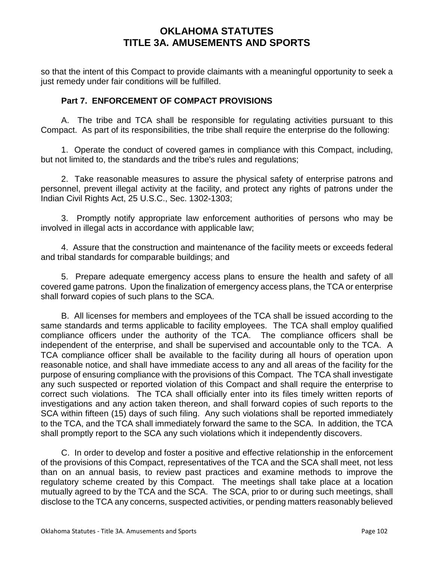so that the intent of this Compact to provide claimants with a meaningful opportunity to seek a just remedy under fair conditions will be fulfilled.

### **Part 7. ENFORCEMENT OF COMPACT PROVISIONS**

A. The tribe and TCA shall be responsible for regulating activities pursuant to this Compact. As part of its responsibilities, the tribe shall require the enterprise do the following:

1. Operate the conduct of covered games in compliance with this Compact, including, but not limited to, the standards and the tribe's rules and regulations;

2. Take reasonable measures to assure the physical safety of enterprise patrons and personnel, prevent illegal activity at the facility, and protect any rights of patrons under the Indian Civil Rights Act, 25 U.S.C., Sec. 1302-1303;

3. Promptly notify appropriate law enforcement authorities of persons who may be involved in illegal acts in accordance with applicable law;

4. Assure that the construction and maintenance of the facility meets or exceeds federal and tribal standards for comparable buildings; and

5. Prepare adequate emergency access plans to ensure the health and safety of all covered game patrons. Upon the finalization of emergency access plans, the TCA or enterprise shall forward copies of such plans to the SCA.

B. All licenses for members and employees of the TCA shall be issued according to the same standards and terms applicable to facility employees. The TCA shall employ qualified compliance officers under the authority of the TCA. The compliance officers shall be independent of the enterprise, and shall be supervised and accountable only to the TCA. A TCA compliance officer shall be available to the facility during all hours of operation upon reasonable notice, and shall have immediate access to any and all areas of the facility for the purpose of ensuring compliance with the provisions of this Compact. The TCA shall investigate any such suspected or reported violation of this Compact and shall require the enterprise to correct such violations. The TCA shall officially enter into its files timely written reports of investigations and any action taken thereon, and shall forward copies of such reports to the SCA within fifteen (15) days of such filing. Any such violations shall be reported immediately to the TCA, and the TCA shall immediately forward the same to the SCA. In addition, the TCA shall promptly report to the SCA any such violations which it independently discovers.

C. In order to develop and foster a positive and effective relationship in the enforcement of the provisions of this Compact, representatives of the TCA and the SCA shall meet, not less than on an annual basis, to review past practices and examine methods to improve the regulatory scheme created by this Compact. The meetings shall take place at a location mutually agreed to by the TCA and the SCA. The SCA, prior to or during such meetings, shall disclose to the TCA any concerns, suspected activities, or pending matters reasonably believed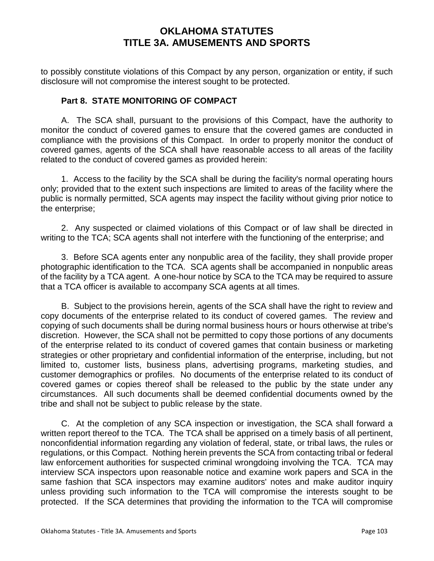to possibly constitute violations of this Compact by any person, organization or entity, if such disclosure will not compromise the interest sought to be protected.

### **Part 8. STATE MONITORING OF COMPACT**

A. The SCA shall, pursuant to the provisions of this Compact, have the authority to monitor the conduct of covered games to ensure that the covered games are conducted in compliance with the provisions of this Compact. In order to properly monitor the conduct of covered games, agents of the SCA shall have reasonable access to all areas of the facility related to the conduct of covered games as provided herein:

1. Access to the facility by the SCA shall be during the facility's normal operating hours only; provided that to the extent such inspections are limited to areas of the facility where the public is normally permitted, SCA agents may inspect the facility without giving prior notice to the enterprise;

2. Any suspected or claimed violations of this Compact or of law shall be directed in writing to the TCA; SCA agents shall not interfere with the functioning of the enterprise; and

3. Before SCA agents enter any nonpublic area of the facility, they shall provide proper photographic identification to the TCA. SCA agents shall be accompanied in nonpublic areas of the facility by a TCA agent. A one-hour notice by SCA to the TCA may be required to assure that a TCA officer is available to accompany SCA agents at all times.

B. Subject to the provisions herein, agents of the SCA shall have the right to review and copy documents of the enterprise related to its conduct of covered games. The review and copying of such documents shall be during normal business hours or hours otherwise at tribe's discretion. However, the SCA shall not be permitted to copy those portions of any documents of the enterprise related to its conduct of covered games that contain business or marketing strategies or other proprietary and confidential information of the enterprise, including, but not limited to, customer lists, business plans, advertising programs, marketing studies, and customer demographics or profiles. No documents of the enterprise related to its conduct of covered games or copies thereof shall be released to the public by the state under any circumstances. All such documents shall be deemed confidential documents owned by the tribe and shall not be subject to public release by the state.

C. At the completion of any SCA inspection or investigation, the SCA shall forward a written report thereof to the TCA. The TCA shall be apprised on a timely basis of all pertinent, nonconfidential information regarding any violation of federal, state, or tribal laws, the rules or regulations, or this Compact. Nothing herein prevents the SCA from contacting tribal or federal law enforcement authorities for suspected criminal wrongdoing involving the TCA. TCA may interview SCA inspectors upon reasonable notice and examine work papers and SCA in the same fashion that SCA inspectors may examine auditors' notes and make auditor inquiry unless providing such information to the TCA will compromise the interests sought to be protected. If the SCA determines that providing the information to the TCA will compromise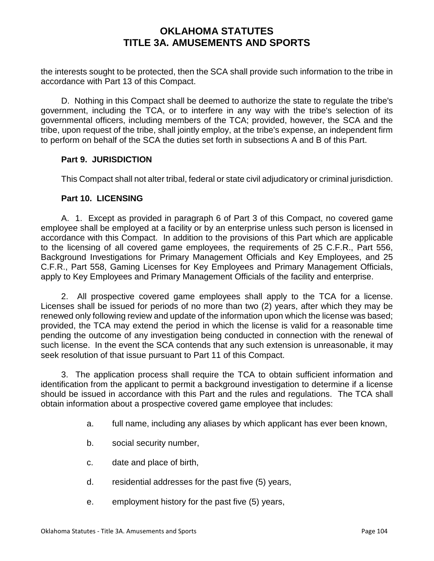the interests sought to be protected, then the SCA shall provide such information to the tribe in accordance with Part 13 of this Compact.

D. Nothing in this Compact shall be deemed to authorize the state to regulate the tribe's government, including the TCA, or to interfere in any way with the tribe's selection of its governmental officers, including members of the TCA; provided, however, the SCA and the tribe, upon request of the tribe, shall jointly employ, at the tribe's expense, an independent firm to perform on behalf of the SCA the duties set forth in subsections A and B of this Part.

#### **Part 9. JURISDICTION**

This Compact shall not alter tribal, federal or state civil adjudicatory or criminal jurisdiction.

#### **Part 10. LICENSING**

A. 1. Except as provided in paragraph 6 of Part 3 of this Compact, no covered game employee shall be employed at a facility or by an enterprise unless such person is licensed in accordance with this Compact. In addition to the provisions of this Part which are applicable to the licensing of all covered game employees, the requirements of 25 C.F.R., Part 556, Background Investigations for Primary Management Officials and Key Employees, and 25 C.F.R., Part 558, Gaming Licenses for Key Employees and Primary Management Officials, apply to Key Employees and Primary Management Officials of the facility and enterprise.

2. All prospective covered game employees shall apply to the TCA for a license. Licenses shall be issued for periods of no more than two (2) years, after which they may be renewed only following review and update of the information upon which the license was based; provided, the TCA may extend the period in which the license is valid for a reasonable time pending the outcome of any investigation being conducted in connection with the renewal of such license. In the event the SCA contends that any such extension is unreasonable, it may seek resolution of that issue pursuant to Part 11 of this Compact.

3. The application process shall require the TCA to obtain sufficient information and identification from the applicant to permit a background investigation to determine if a license should be issued in accordance with this Part and the rules and regulations. The TCA shall obtain information about a prospective covered game employee that includes:

- a. full name, including any aliases by which applicant has ever been known,
- b. social security number,
- c. date and place of birth,
- d. residential addresses for the past five (5) years,
- e. employment history for the past five (5) years,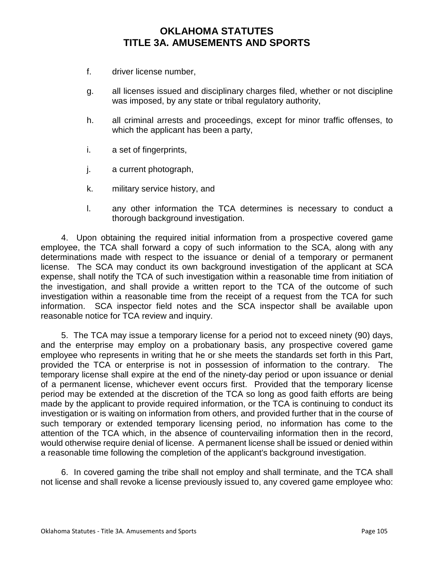- f. driver license number,
- g. all licenses issued and disciplinary charges filed, whether or not discipline was imposed, by any state or tribal regulatory authority,
- h. all criminal arrests and proceedings, except for minor traffic offenses, to which the applicant has been a party,
- i. a set of fingerprints,
- j. a current photograph,
- k. military service history, and
- l. any other information the TCA determines is necessary to conduct a thorough background investigation.

4. Upon obtaining the required initial information from a prospective covered game employee, the TCA shall forward a copy of such information to the SCA, along with any determinations made with respect to the issuance or denial of a temporary or permanent license. The SCA may conduct its own background investigation of the applicant at SCA expense, shall notify the TCA of such investigation within a reasonable time from initiation of the investigation, and shall provide a written report to the TCA of the outcome of such investigation within a reasonable time from the receipt of a request from the TCA for such information. SCA inspector field notes and the SCA inspector shall be available upon reasonable notice for TCA review and inquiry.

5. The TCA may issue a temporary license for a period not to exceed ninety (90) days, and the enterprise may employ on a probationary basis, any prospective covered game employee who represents in writing that he or she meets the standards set forth in this Part, provided the TCA or enterprise is not in possession of information to the contrary. The temporary license shall expire at the end of the ninety-day period or upon issuance or denial of a permanent license, whichever event occurs first. Provided that the temporary license period may be extended at the discretion of the TCA so long as good faith efforts are being made by the applicant to provide required information, or the TCA is continuing to conduct its investigation or is waiting on information from others, and provided further that in the course of such temporary or extended temporary licensing period, no information has come to the attention of the TCA which, in the absence of countervailing information then in the record, would otherwise require denial of license. A permanent license shall be issued or denied within a reasonable time following the completion of the applicant's background investigation.

6. In covered gaming the tribe shall not employ and shall terminate, and the TCA shall not license and shall revoke a license previously issued to, any covered game employee who: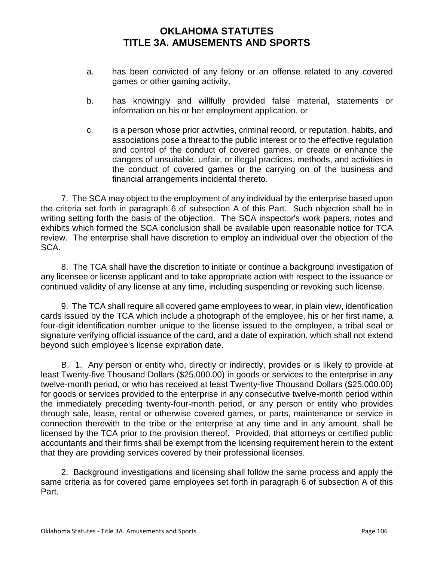- a. has been convicted of any felony or an offense related to any covered games or other gaming activity,
- b. has knowingly and willfully provided false material, statements or information on his or her employment application, or
- c. is a person whose prior activities, criminal record, or reputation, habits, and associations pose a threat to the public interest or to the effective regulation and control of the conduct of covered games, or create or enhance the dangers of unsuitable, unfair, or illegal practices, methods, and activities in the conduct of covered games or the carrying on of the business and financial arrangements incidental thereto.

7. The SCA may object to the employment of any individual by the enterprise based upon the criteria set forth in paragraph 6 of subsection A of this Part. Such objection shall be in writing setting forth the basis of the objection. The SCA inspector's work papers, notes and exhibits which formed the SCA conclusion shall be available upon reasonable notice for TCA review. The enterprise shall have discretion to employ an individual over the objection of the SCA.

8. The TCA shall have the discretion to initiate or continue a background investigation of any licensee or license applicant and to take appropriate action with respect to the issuance or continued validity of any license at any time, including suspending or revoking such license.

9. The TCA shall require all covered game employees to wear, in plain view, identification cards issued by the TCA which include a photograph of the employee, his or her first name, a four-digit identification number unique to the license issued to the employee, a tribal seal or signature verifying official issuance of the card, and a date of expiration, which shall not extend beyond such employee's license expiration date.

B. 1. Any person or entity who, directly or indirectly, provides or is likely to provide at least Twenty-five Thousand Dollars (\$25,000.00) in goods or services to the enterprise in any twelve-month period, or who has received at least Twenty-five Thousand Dollars (\$25,000.00) for goods or services provided to the enterprise in any consecutive twelve-month period within the immediately preceding twenty-four-month period, or any person or entity who provides through sale, lease, rental or otherwise covered games, or parts, maintenance or service in connection therewith to the tribe or the enterprise at any time and in any amount, shall be licensed by the TCA prior to the provision thereof. Provided, that attorneys or certified public accountants and their firms shall be exempt from the licensing requirement herein to the extent that they are providing services covered by their professional licenses.

2. Background investigations and licensing shall follow the same process and apply the same criteria as for covered game employees set forth in paragraph 6 of subsection A of this Part.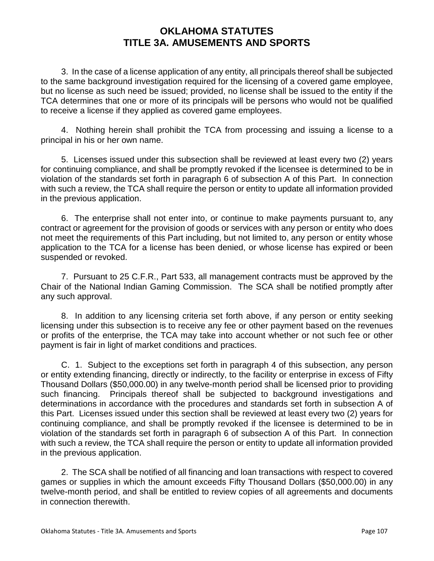3. In the case of a license application of any entity, all principals thereof shall be subjected to the same background investigation required for the licensing of a covered game employee, but no license as such need be issued; provided, no license shall be issued to the entity if the TCA determines that one or more of its principals will be persons who would not be qualified to receive a license if they applied as covered game employees.

4. Nothing herein shall prohibit the TCA from processing and issuing a license to a principal in his or her own name.

5. Licenses issued under this subsection shall be reviewed at least every two (2) years for continuing compliance, and shall be promptly revoked if the licensee is determined to be in violation of the standards set forth in paragraph 6 of subsection A of this Part. In connection with such a review, the TCA shall require the person or entity to update all information provided in the previous application.

6. The enterprise shall not enter into, or continue to make payments pursuant to, any contract or agreement for the provision of goods or services with any person or entity who does not meet the requirements of this Part including, but not limited to, any person or entity whose application to the TCA for a license has been denied, or whose license has expired or been suspended or revoked.

7. Pursuant to 25 C.F.R., Part 533, all management contracts must be approved by the Chair of the National Indian Gaming Commission. The SCA shall be notified promptly after any such approval.

8. In addition to any licensing criteria set forth above, if any person or entity seeking licensing under this subsection is to receive any fee or other payment based on the revenues or profits of the enterprise, the TCA may take into account whether or not such fee or other payment is fair in light of market conditions and practices.

C. 1. Subject to the exceptions set forth in paragraph 4 of this subsection, any person or entity extending financing, directly or indirectly, to the facility or enterprise in excess of Fifty Thousand Dollars (\$50,000.00) in any twelve-month period shall be licensed prior to providing such financing. Principals thereof shall be subjected to background investigations and determinations in accordance with the procedures and standards set forth in subsection A of this Part. Licenses issued under this section shall be reviewed at least every two (2) years for continuing compliance, and shall be promptly revoked if the licensee is determined to be in violation of the standards set forth in paragraph 6 of subsection A of this Part. In connection with such a review, the TCA shall require the person or entity to update all information provided in the previous application.

2. The SCA shall be notified of all financing and loan transactions with respect to covered games or supplies in which the amount exceeds Fifty Thousand Dollars (\$50,000.00) in any twelve-month period, and shall be entitled to review copies of all agreements and documents in connection therewith.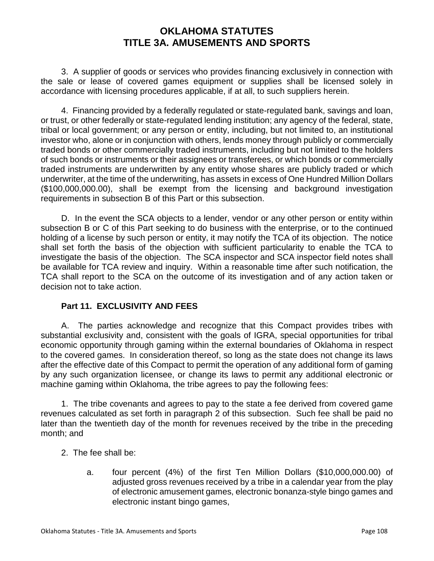3. A supplier of goods or services who provides financing exclusively in connection with the sale or lease of covered games equipment or supplies shall be licensed solely in accordance with licensing procedures applicable, if at all, to such suppliers herein.

4. Financing provided by a federally regulated or state-regulated bank, savings and loan, or trust, or other federally or state-regulated lending institution; any agency of the federal, state, tribal or local government; or any person or entity, including, but not limited to, an institutional investor who, alone or in conjunction with others, lends money through publicly or commercially traded bonds or other commercially traded instruments, including but not limited to the holders of such bonds or instruments or their assignees or transferees, or which bonds or commercially traded instruments are underwritten by any entity whose shares are publicly traded or which underwriter, at the time of the underwriting, has assets in excess of One Hundred Million Dollars (\$100,000,000.00), shall be exempt from the licensing and background investigation requirements in subsection B of this Part or this subsection.

D. In the event the SCA objects to a lender, vendor or any other person or entity within subsection B or C of this Part seeking to do business with the enterprise, or to the continued holding of a license by such person or entity, it may notify the TCA of its objection. The notice shall set forth the basis of the objection with sufficient particularity to enable the TCA to investigate the basis of the objection. The SCA inspector and SCA inspector field notes shall be available for TCA review and inquiry. Within a reasonable time after such notification, the TCA shall report to the SCA on the outcome of its investigation and of any action taken or decision not to take action.

### **Part 11. EXCLUSIVITY AND FEES**

A. The parties acknowledge and recognize that this Compact provides tribes with substantial exclusivity and, consistent with the goals of IGRA, special opportunities for tribal economic opportunity through gaming within the external boundaries of Oklahoma in respect to the covered games. In consideration thereof, so long as the state does not change its laws after the effective date of this Compact to permit the operation of any additional form of gaming by any such organization licensee, or change its laws to permit any additional electronic or machine gaming within Oklahoma, the tribe agrees to pay the following fees:

1. The tribe covenants and agrees to pay to the state a fee derived from covered game revenues calculated as set forth in paragraph 2 of this subsection. Such fee shall be paid no later than the twentieth day of the month for revenues received by the tribe in the preceding month; and

- 2. The fee shall be:
	- a. four percent (4%) of the first Ten Million Dollars (\$10,000,000.00) of adjusted gross revenues received by a tribe in a calendar year from the play of electronic amusement games, electronic bonanza-style bingo games and electronic instant bingo games,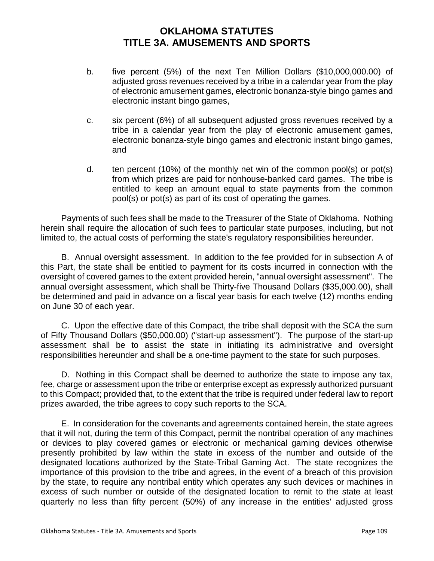- b. five percent (5%) of the next Ten Million Dollars (\$10,000,000.00) of adjusted gross revenues received by a tribe in a calendar year from the play of electronic amusement games, electronic bonanza-style bingo games and electronic instant bingo games,
- c. six percent (6%) of all subsequent adjusted gross revenues received by a tribe in a calendar year from the play of electronic amusement games, electronic bonanza-style bingo games and electronic instant bingo games, and
- d. ten percent (10%) of the monthly net win of the common pool(s) or pot(s) from which prizes are paid for nonhouse-banked card games. The tribe is entitled to keep an amount equal to state payments from the common pool(s) or pot(s) as part of its cost of operating the games.

Payments of such fees shall be made to the Treasurer of the State of Oklahoma. Nothing herein shall require the allocation of such fees to particular state purposes, including, but not limited to, the actual costs of performing the state's regulatory responsibilities hereunder.

B. Annual oversight assessment. In addition to the fee provided for in subsection A of this Part, the state shall be entitled to payment for its costs incurred in connection with the oversight of covered games to the extent provided herein, "annual oversight assessment". The annual oversight assessment, which shall be Thirty-five Thousand Dollars (\$35,000.00), shall be determined and paid in advance on a fiscal year basis for each twelve (12) months ending on June 30 of each year.

C. Upon the effective date of this Compact, the tribe shall deposit with the SCA the sum of Fifty Thousand Dollars (\$50,000.00) ("start-up assessment"). The purpose of the start-up assessment shall be to assist the state in initiating its administrative and oversight responsibilities hereunder and shall be a one-time payment to the state for such purposes.

D. Nothing in this Compact shall be deemed to authorize the state to impose any tax, fee, charge or assessment upon the tribe or enterprise except as expressly authorized pursuant to this Compact; provided that, to the extent that the tribe is required under federal law to report prizes awarded, the tribe agrees to copy such reports to the SCA.

E. In consideration for the covenants and agreements contained herein, the state agrees that it will not, during the term of this Compact, permit the nontribal operation of any machines or devices to play covered games or electronic or mechanical gaming devices otherwise presently prohibited by law within the state in excess of the number and outside of the designated locations authorized by the State-Tribal Gaming Act. The state recognizes the importance of this provision to the tribe and agrees, in the event of a breach of this provision by the state, to require any nontribal entity which operates any such devices or machines in excess of such number or outside of the designated location to remit to the state at least quarterly no less than fifty percent (50%) of any increase in the entities' adjusted gross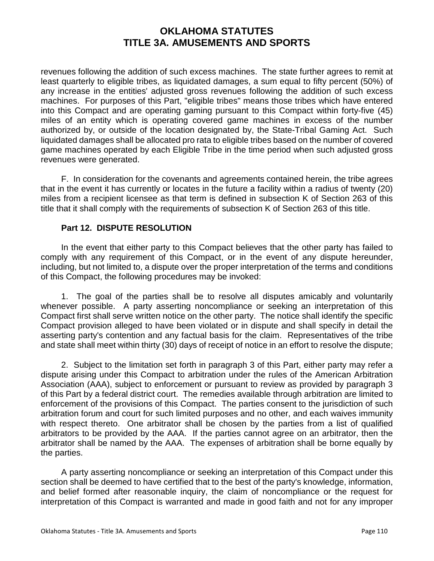revenues following the addition of such excess machines. The state further agrees to remit at least quarterly to eligible tribes, as liquidated damages, a sum equal to fifty percent (50%) of any increase in the entities' adjusted gross revenues following the addition of such excess machines. For purposes of this Part, "eligible tribes" means those tribes which have entered into this Compact and are operating gaming pursuant to this Compact within forty-five (45) miles of an entity which is operating covered game machines in excess of the number authorized by, or outside of the location designated by, the State-Tribal Gaming Act. Such liquidated damages shall be allocated pro rata to eligible tribes based on the number of covered game machines operated by each Eligible Tribe in the time period when such adjusted gross revenues were generated.

F. In consideration for the covenants and agreements contained herein, the tribe agrees that in the event it has currently or locates in the future a facility within a radius of twenty (20) miles from a recipient licensee as that term is defined in subsection K of Section 263 of this title that it shall comply with the requirements of subsection K of Section 263 of this title.

### **Part 12. DISPUTE RESOLUTION**

In the event that either party to this Compact believes that the other party has failed to comply with any requirement of this Compact, or in the event of any dispute hereunder, including, but not limited to, a dispute over the proper interpretation of the terms and conditions of this Compact, the following procedures may be invoked:

1. The goal of the parties shall be to resolve all disputes amicably and voluntarily whenever possible. A party asserting noncompliance or seeking an interpretation of this Compact first shall serve written notice on the other party. The notice shall identify the specific Compact provision alleged to have been violated or in dispute and shall specify in detail the asserting party's contention and any factual basis for the claim. Representatives of the tribe and state shall meet within thirty (30) days of receipt of notice in an effort to resolve the dispute;

2. Subject to the limitation set forth in paragraph 3 of this Part, either party may refer a dispute arising under this Compact to arbitration under the rules of the American Arbitration Association (AAA), subject to enforcement or pursuant to review as provided by paragraph 3 of this Part by a federal district court. The remedies available through arbitration are limited to enforcement of the provisions of this Compact. The parties consent to the jurisdiction of such arbitration forum and court for such limited purposes and no other, and each waives immunity with respect thereto. One arbitrator shall be chosen by the parties from a list of qualified arbitrators to be provided by the AAA. If the parties cannot agree on an arbitrator, then the arbitrator shall be named by the AAA. The expenses of arbitration shall be borne equally by the parties.

A party asserting noncompliance or seeking an interpretation of this Compact under this section shall be deemed to have certified that to the best of the party's knowledge, information, and belief formed after reasonable inquiry, the claim of noncompliance or the request for interpretation of this Compact is warranted and made in good faith and not for any improper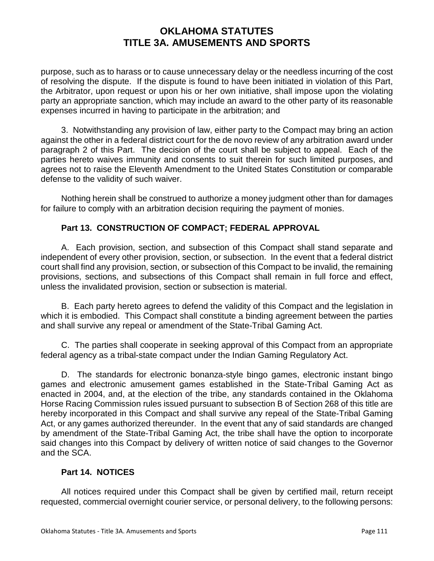purpose, such as to harass or to cause unnecessary delay or the needless incurring of the cost of resolving the dispute. If the dispute is found to have been initiated in violation of this Part, the Arbitrator, upon request or upon his or her own initiative, shall impose upon the violating party an appropriate sanction, which may include an award to the other party of its reasonable expenses incurred in having to participate in the arbitration; and

3. Notwithstanding any provision of law, either party to the Compact may bring an action against the other in a federal district court for the de novo review of any arbitration award under paragraph 2 of this Part. The decision of the court shall be subject to appeal. Each of the parties hereto waives immunity and consents to suit therein for such limited purposes, and agrees not to raise the Eleventh Amendment to the United States Constitution or comparable defense to the validity of such waiver.

Nothing herein shall be construed to authorize a money judgment other than for damages for failure to comply with an arbitration decision requiring the payment of monies.

### **Part 13. CONSTRUCTION OF COMPACT; FEDERAL APPROVAL**

A. Each provision, section, and subsection of this Compact shall stand separate and independent of every other provision, section, or subsection. In the event that a federal district court shall find any provision, section, or subsection of this Compact to be invalid, the remaining provisions, sections, and subsections of this Compact shall remain in full force and effect, unless the invalidated provision, section or subsection is material.

B. Each party hereto agrees to defend the validity of this Compact and the legislation in which it is embodied. This Compact shall constitute a binding agreement between the parties and shall survive any repeal or amendment of the State-Tribal Gaming Act.

C. The parties shall cooperate in seeking approval of this Compact from an appropriate federal agency as a tribal-state compact under the Indian Gaming Regulatory Act.

D. The standards for electronic bonanza-style bingo games, electronic instant bingo games and electronic amusement games established in the State-Tribal Gaming Act as enacted in 2004, and, at the election of the tribe, any standards contained in the Oklahoma Horse Racing Commission rules issued pursuant to subsection B of Section 268 of this title are hereby incorporated in this Compact and shall survive any repeal of the State-Tribal Gaming Act, or any games authorized thereunder. In the event that any of said standards are changed by amendment of the State-Tribal Gaming Act, the tribe shall have the option to incorporate said changes into this Compact by delivery of written notice of said changes to the Governor and the SCA.

#### **Part 14. NOTICES**

All notices required under this Compact shall be given by certified mail, return receipt requested, commercial overnight courier service, or personal delivery, to the following persons: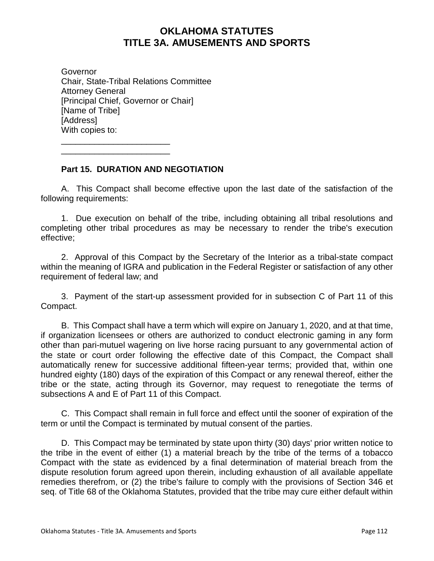Governor Chair, State-Tribal Relations Committee Attorney General [Principal Chief, Governor or Chair] [Name of Tribe] [Address] With copies to:

\_\_\_\_\_\_\_\_\_\_\_\_\_\_\_\_\_\_\_\_\_\_\_ \_\_\_\_\_\_\_\_\_\_\_\_\_\_\_\_\_\_\_\_\_\_\_

#### **Part 15. DURATION AND NEGOTIATION**

A. This Compact shall become effective upon the last date of the satisfaction of the following requirements:

1. Due execution on behalf of the tribe, including obtaining all tribal resolutions and completing other tribal procedures as may be necessary to render the tribe's execution effective;

2. Approval of this Compact by the Secretary of the Interior as a tribal-state compact within the meaning of IGRA and publication in the Federal Register or satisfaction of any other requirement of federal law; and

3. Payment of the start-up assessment provided for in subsection C of Part 11 of this Compact.

B. This Compact shall have a term which will expire on January 1, 2020, and at that time, if organization licensees or others are authorized to conduct electronic gaming in any form other than pari-mutuel wagering on live horse racing pursuant to any governmental action of the state or court order following the effective date of this Compact, the Compact shall automatically renew for successive additional fifteen-year terms; provided that, within one hundred eighty (180) days of the expiration of this Compact or any renewal thereof, either the tribe or the state, acting through its Governor, may request to renegotiate the terms of subsections A and E of Part 11 of this Compact.

C. This Compact shall remain in full force and effect until the sooner of expiration of the term or until the Compact is terminated by mutual consent of the parties.

D. This Compact may be terminated by state upon thirty (30) days' prior written notice to the tribe in the event of either (1) a material breach by the tribe of the terms of a tobacco Compact with the state as evidenced by a final determination of material breach from the dispute resolution forum agreed upon therein, including exhaustion of all available appellate remedies therefrom, or (2) the tribe's failure to comply with the provisions of Section 346 et seq. of Title 68 of the Oklahoma Statutes, provided that the tribe may cure either default within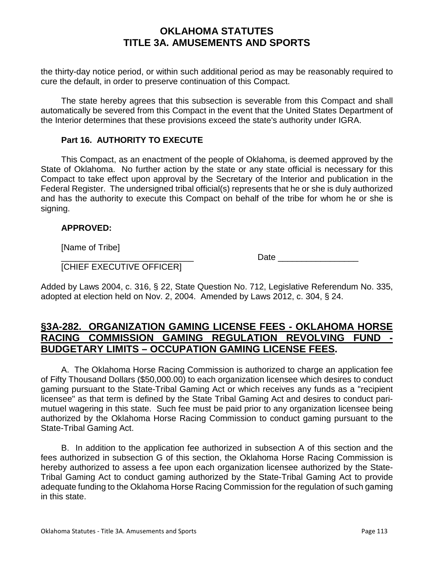the thirty-day notice period, or within such additional period as may be reasonably required to cure the default, in order to preserve continuation of this Compact.

The state hereby agrees that this subsection is severable from this Compact and shall automatically be severed from this Compact in the event that the United States Department of the Interior determines that these provisions exceed the state's authority under IGRA.

#### **Part 16. AUTHORITY TO EXECUTE**

This Compact, as an enactment of the people of Oklahoma, is deemed approved by the State of Oklahoma. No further action by the state or any state official is necessary for this Compact to take effect upon approval by the Secretary of the Interior and publication in the Federal Register. The undersigned tribal official(s) represents that he or she is duly authorized and has the authority to execute this Compact on behalf of the tribe for whom he or she is signing.

### **APPROVED:**

[Name of Tribe]

 $Date$  and  $Date$  and  $Date$  and  $Date$  and  $Date$  and  $Date$  and  $Date$  and  $Date$  and  $Date$  and  $Date$  and  $Date$  and  $Date$  and  $Date$  and  $Date$  and  $Date$  and  $Date$  and  $Date$  and  $Date$  and  $Date$  and  $Date$  and  $Date$  and  $Date$  and  $Date$  and  $Date$  and  $Date$  and  $Date$  and  $Date$  and  $Date$  a

[CHIEF EXECUTIVE OFFICER]

Added by Laws 2004, c. 316, § 22, State Question No. 712, Legislative Referendum No. 335, adopted at election held on Nov. 2, 2004. Amended by Laws 2012, c. 304, § 24.

## **§3A-282. ORGANIZATION GAMING LICENSE FEES - OKLAHOMA HORSE RACING COMMISSION GAMING REGULATION REVOLVING FUND - BUDGETARY LIMITS – OCCUPATION GAMING LICENSE FEES.**

A. The Oklahoma Horse Racing Commission is authorized to charge an application fee of Fifty Thousand Dollars (\$50,000.00) to each organization licensee which desires to conduct gaming pursuant to the State-Tribal Gaming Act or which receives any funds as a "recipient licensee" as that term is defined by the State Tribal Gaming Act and desires to conduct parimutuel wagering in this state. Such fee must be paid prior to any organization licensee being authorized by the Oklahoma Horse Racing Commission to conduct gaming pursuant to the State-Tribal Gaming Act.

B. In addition to the application fee authorized in subsection A of this section and the fees authorized in subsection G of this section, the Oklahoma Horse Racing Commission is hereby authorized to assess a fee upon each organization licensee authorized by the State-Tribal Gaming Act to conduct gaming authorized by the State-Tribal Gaming Act to provide adequate funding to the Oklahoma Horse Racing Commission for the regulation of such gaming in this state.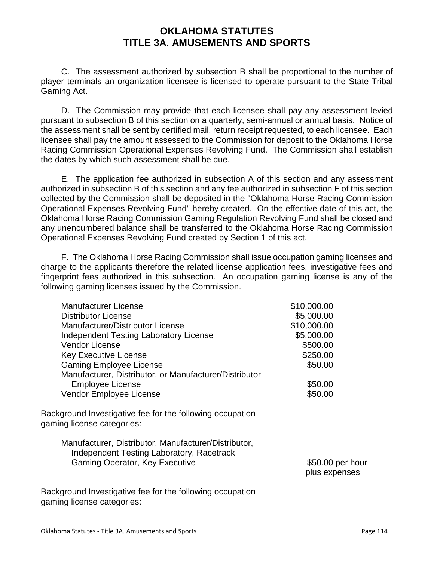C. The assessment authorized by subsection B shall be proportional to the number of player terminals an organization licensee is licensed to operate pursuant to the State-Tribal Gaming Act.

D. The Commission may provide that each licensee shall pay any assessment levied pursuant to subsection B of this section on a quarterly, semi-annual or annual basis. Notice of the assessment shall be sent by certified mail, return receipt requested, to each licensee. Each licensee shall pay the amount assessed to the Commission for deposit to the Oklahoma Horse Racing Commission Operational Expenses Revolving Fund. The Commission shall establish the dates by which such assessment shall be due.

E. The application fee authorized in subsection A of this section and any assessment authorized in subsection B of this section and any fee authorized in subsection F of this section collected by the Commission shall be deposited in the "Oklahoma Horse Racing Commission Operational Expenses Revolving Fund" hereby created. On the effective date of this act, the Oklahoma Horse Racing Commission Gaming Regulation Revolving Fund shall be closed and any unencumbered balance shall be transferred to the Oklahoma Horse Racing Commission Operational Expenses Revolving Fund created by Section 1 of this act.

F. The Oklahoma Horse Racing Commission shall issue occupation gaming licenses and charge to the applicants therefore the related license application fees, investigative fees and fingerprint fees authorized in this subsection. An occupation gaming license is any of the following gaming licenses issued by the Commission.

| <b>Manufacturer License</b>                                                                       | \$10,000.00                       |
|---------------------------------------------------------------------------------------------------|-----------------------------------|
| <b>Distributor License</b>                                                                        | \$5,000.00                        |
| Manufacturer/Distributor License                                                                  | \$10,000.00                       |
| <b>Independent Testing Laboratory License</b>                                                     | \$5,000.00                        |
| <b>Vendor License</b>                                                                             | \$500.00                          |
| <b>Key Executive License</b>                                                                      | \$250.00                          |
| <b>Gaming Employee License</b>                                                                    | \$50.00                           |
| Manufacturer, Distributor, or Manufacturer/Distributor                                            |                                   |
| <b>Employee License</b>                                                                           | \$50.00                           |
| Vendor Employee License                                                                           | \$50.00                           |
| Background Investigative fee for the following occupation<br>gaming license categories:           |                                   |
| Manufacturer, Distributor, Manufacturer/Distributor,<br>Independent Testing Laboratory, Racetrack |                                   |
| <b>Gaming Operator, Key Executive</b>                                                             | \$50.00 per hour<br>plus expenses |
| Background Investigative fee for the following occupation<br>gaming license categories:           |                                   |